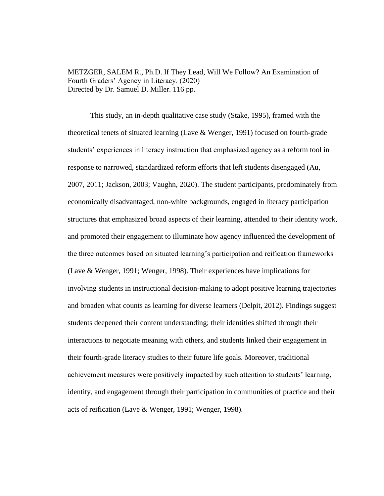METZGER, SALEM R., Ph.D. If They Lead, Will We Follow? An Examination of Fourth Graders' Agency in Literacy. (2020) Directed by Dr. Samuel D. Miller. 116 pp.

This study, an in-depth qualitative case study (Stake, 1995), framed with the theoretical tenets of situated learning (Lave & Wenger, 1991) focused on fourth-grade students' experiences in literacy instruction that emphasized agency as a reform tool in response to narrowed, standardized reform efforts that left students disengaged (Au, 2007, 2011; Jackson, 2003; Vaughn, 2020). The student participants, predominately from economically disadvantaged, non-white backgrounds, engaged in literacy participation structures that emphasized broad aspects of their learning, attended to their identity work, and promoted their engagement to illuminate how agency influenced the development of the three outcomes based on situated learning's participation and reification frameworks (Lave & Wenger, 1991; Wenger, 1998). Their experiences have implications for involving students in instructional decision-making to adopt positive learning trajectories and broaden what counts as learning for diverse learners (Delpit, 2012). Findings suggest students deepened their content understanding; their identities shifted through their interactions to negotiate meaning with others, and students linked their engagement in their fourth-grade literacy studies to their future life goals. Moreover, traditional achievement measures were positively impacted by such attention to students' learning, identity, and engagement through their participation in communities of practice and their acts of reification (Lave & Wenger, 1991; Wenger, 1998).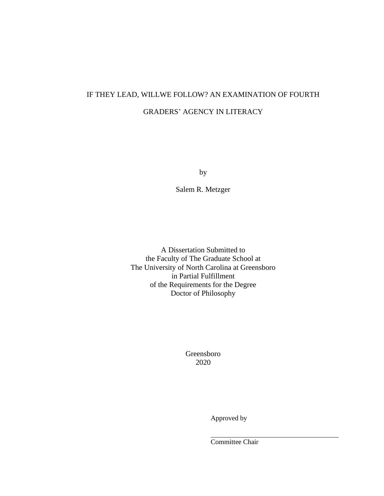# IF THEY LEAD, WILLWE FOLLOW? AN EXAMINATION OF FOURTH GRADERS' AGENCY IN LITERACY

by

Salem R. Metzger

A Dissertation Submitted to the Faculty of The Graduate School at The University of North Carolina at Greensboro in Partial Fulfillment of the Requirements for the Degree Doctor of Philosophy

> Greensboro 2020

> > Approved by

Committee Chair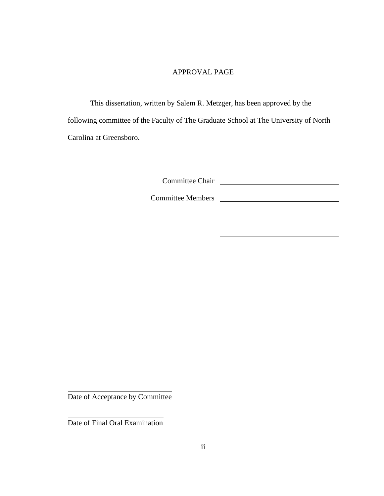# APPROVAL PAGE

This dissertation, written by Salem R. Metzger, has been approved by the following committee of the Faculty of The Graduate School at The University of North Carolina at Greensboro.

Committee Chair

Committee Members

Date of Acceptance by Committee

Date of Final Oral Examination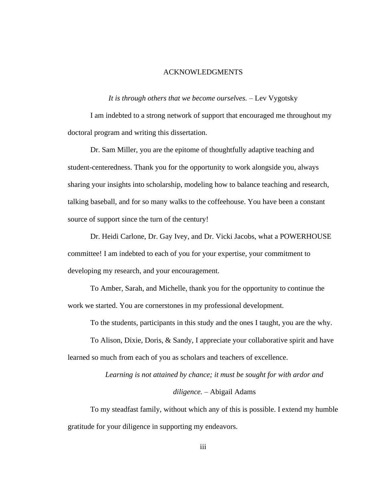# ACKNOWLEDGMENTS

#### *It is through others that we become ourselves. –* Lev Vygotsky

I am indebted to a strong network of support that encouraged me throughout my doctoral program and writing this dissertation.

Dr. Sam Miller, you are the epitome of thoughtfully adaptive teaching and student-centeredness. Thank you for the opportunity to work alongside you, always sharing your insights into scholarship, modeling how to balance teaching and research, talking baseball, and for so many walks to the coffeehouse. You have been a constant source of support since the turn of the century!

Dr. Heidi Carlone, Dr. Gay Ivey, and Dr. Vicki Jacobs, what a POWERHOUSE committee! I am indebted to each of you for your expertise, your commitment to developing my research, and your encouragement.

To Amber, Sarah, and Michelle, thank you for the opportunity to continue the work we started. You are cornerstones in my professional development.

To the students, participants in this study and the ones I taught, you are the why.

To Alison, Dixie, Doris, & Sandy, I appreciate your collaborative spirit and have learned so much from each of you as scholars and teachers of excellence.

> *Learning is not attained by chance; it must be sought for with ardor and diligence. –* Abigail Adams

To my steadfast family, without which any of this is possible. I extend my humble gratitude for your diligence in supporting my endeavors.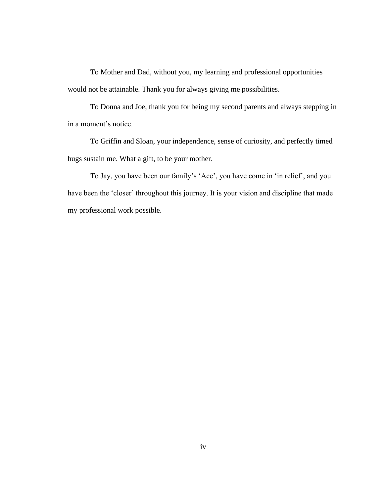To Mother and Dad, without you, my learning and professional opportunities would not be attainable. Thank you for always giving me possibilities.

To Donna and Joe, thank you for being my second parents and always stepping in in a moment's notice.

To Griffin and Sloan, your independence, sense of curiosity, and perfectly timed hugs sustain me. What a gift, to be your mother.

To Jay, you have been our family's 'Ace', you have come in 'in relief', and you have been the 'closer' throughout this journey. It is your vision and discipline that made my professional work possible.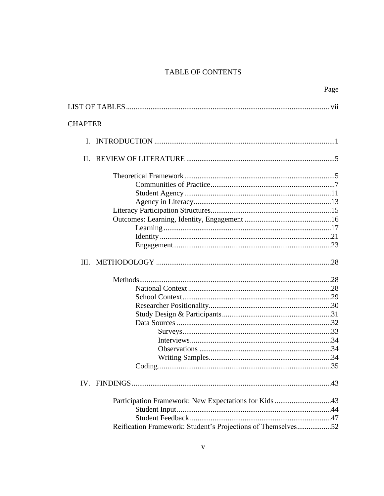# TABLE OF CONTENTS

|                |                                                              | Page |
|----------------|--------------------------------------------------------------|------|
|                |                                                              |      |
| <b>CHAPTER</b> |                                                              |      |
|                |                                                              |      |
| $\mathbf{I}$ . |                                                              |      |
|                |                                                              |      |
|                |                                                              |      |
|                |                                                              |      |
|                |                                                              |      |
|                |                                                              |      |
|                |                                                              |      |
|                |                                                              |      |
|                |                                                              |      |
|                |                                                              |      |
|                |                                                              |      |
|                |                                                              |      |
|                |                                                              |      |
|                |                                                              |      |
|                |                                                              |      |
|                |                                                              |      |
|                |                                                              |      |
|                |                                                              |      |
|                |                                                              |      |
|                |                                                              |      |
|                |                                                              |      |
|                |                                                              |      |
|                |                                                              |      |
|                |                                                              |      |
|                | Participation Framework: New Expectations for Kids 43        |      |
|                |                                                              |      |
|                |                                                              |      |
|                | Reification Framework: Student's Projections of Themselves52 |      |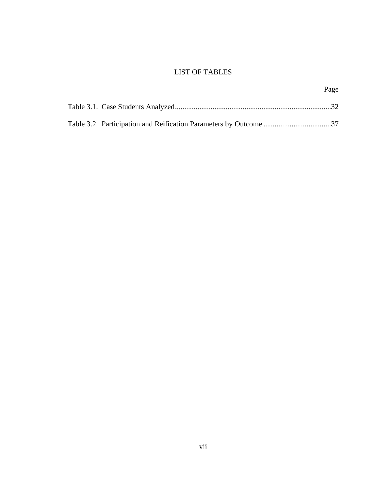# LIST OF TABLES

Page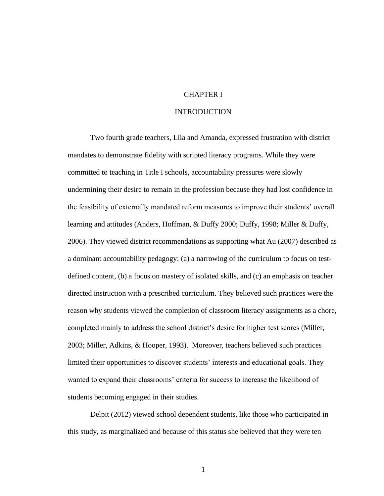# CHAPTER I

## INTRODUCTION

Two fourth grade teachers, Lila and Amanda, expressed frustration with district mandates to demonstrate fidelity with scripted literacy programs. While they were committed to teaching in Title I schools, accountability pressures were slowly undermining their desire to remain in the profession because they had lost confidence in the feasibility of externally mandated reform measures to improve their students' overall learning and attitudes (Anders, Hoffman, & Duffy 2000; Duffy, 1998; Miller & Duffy, 2006). They viewed district recommendations as supporting what Au (2007) described as a dominant accountability pedagogy: (a) a narrowing of the curriculum to focus on testdefined content, (b) a focus on mastery of isolated skills, and (c) an emphasis on teacher directed instruction with a prescribed curriculum. They believed such practices were the reason why students viewed the completion of classroom literacy assignments as a chore, completed mainly to address the school district's desire for higher test scores (Miller, 2003; Miller, Adkins, & Hooper, 1993). Moreover, teachers believed such practices limited their opportunities to discover students' interests and educational goals. They wanted to expand their classrooms' criteria for success to increase the likelihood of students becoming engaged in their studies.

Delpit (2012) viewed school dependent students, like those who participated in this study, as marginalized and because of this status she believed that they were ten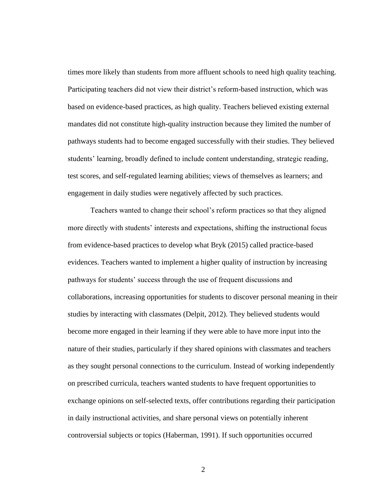times more likely than students from more affluent schools to need high quality teaching. Participating teachers did not view their district's reform-based instruction, which was based on evidence-based practices, as high quality. Teachers believed existing external mandates did not constitute high-quality instruction because they limited the number of pathways students had to become engaged successfully with their studies. They believed students' learning, broadly defined to include content understanding, strategic reading, test scores, and self-regulated learning abilities; views of themselves as learners; and engagement in daily studies were negatively affected by such practices.

Teachers wanted to change their school's reform practices so that they aligned more directly with students' interests and expectations, shifting the instructional focus from evidence-based practices to develop what Bryk (2015) called practice-based evidences. Teachers wanted to implement a higher quality of instruction by increasing pathways for students' success through the use of frequent discussions and collaborations, increasing opportunities for students to discover personal meaning in their studies by interacting with classmates (Delpit, 2012). They believed students would become more engaged in their learning if they were able to have more input into the nature of their studies, particularly if they shared opinions with classmates and teachers as they sought personal connections to the curriculum. Instead of working independently on prescribed curricula, teachers wanted students to have frequent opportunities to exchange opinions on self-selected texts, offer contributions regarding their participation in daily instructional activities, and share personal views on potentially inherent controversial subjects or topics (Haberman, 1991). If such opportunities occurred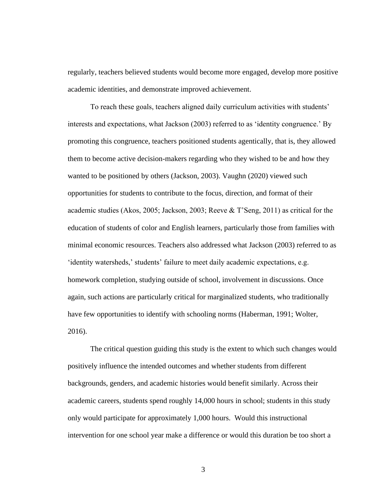regularly, teachers believed students would become more engaged, develop more positive academic identities, and demonstrate improved achievement.

To reach these goals, teachers aligned daily curriculum activities with students' interests and expectations, what Jackson (2003) referred to as 'identity congruence.' By promoting this congruence, teachers positioned students agentically, that is, they allowed them to become active decision-makers regarding who they wished to be and how they wanted to be positioned by others (Jackson, 2003). Vaughn (2020) viewed such opportunities for students to contribute to the focus, direction, and format of their academic studies (Akos, 2005; Jackson, 2003; Reeve & T'Seng, 2011) as critical for the education of students of color and English learners, particularly those from families with minimal economic resources. Teachers also addressed what Jackson (2003) referred to as 'identity watersheds,' students' failure to meet daily academic expectations, e.g. homework completion, studying outside of school, involvement in discussions. Once again, such actions are particularly critical for marginalized students, who traditionally have few opportunities to identify with schooling norms (Haberman, 1991; Wolter, 2016).

The critical question guiding this study is the extent to which such changes would positively influence the intended outcomes and whether students from different backgrounds, genders, and academic histories would benefit similarly. Across their academic careers, students spend roughly 14,000 hours in school; students in this study only would participate for approximately 1,000 hours. Would this instructional intervention for one school year make a difference or would this duration be too short a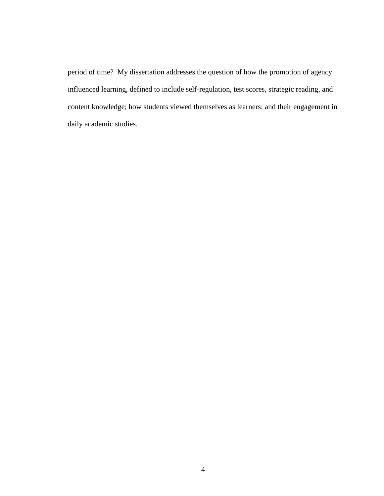period of time? My dissertation addresses the question of how the promotion of agency influenced learning, defined to include self-regulation, test scores, strategic reading, and content knowledge; how students viewed themselves as learners; and their engagement in daily academic studies.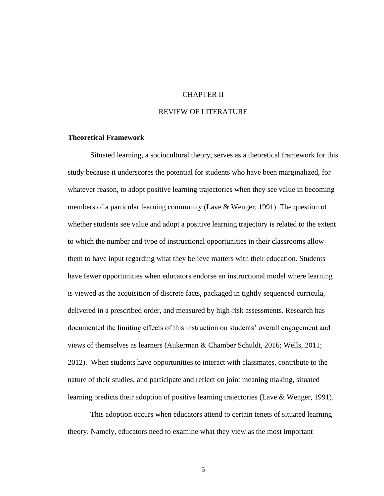# CHAPTER II

# REVIEW OF LITERATURE

#### **Theoretical Framework**

Situated learning, a sociocultural theory, serves as a theoretical framework for this study because it underscores the potential for students who have been marginalized, for whatever reason, to adopt positive learning trajectories when they see value in becoming members of a particular learning community (Lave  $&$  Wenger, 1991). The question of whether students see value and adopt a positive learning trajectory is related to the extent to which the number and type of instructional opportunities in their classrooms allow them to have input regarding what they believe matters with their education. Students have fewer opportunities when educators endorse an instructional model where learning is viewed as the acquisition of discrete facts, packaged in tightly sequenced curricula, delivered in a prescribed order, and measured by high-risk assessments. Research has documented the limiting effects of this instruction on students' overall engagement and views of themselves as learners (Aukerman & Chamber Schuldt, 2016; Wells, 2011; 2012). When students have opportunities to interact with classmates, contribute to the nature of their studies, and participate and reflect on joint meaning making, situated learning predicts their adoption of positive learning trajectories (Lave & Wenger, 1991).

This adoption occurs when educators attend to certain tenets of situated learning theory. Namely, educators need to examine what they view as the most important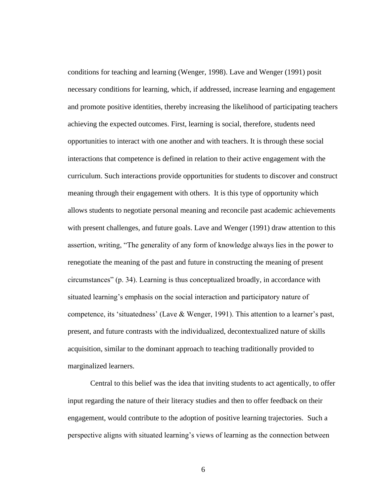conditions for teaching and learning (Wenger, 1998). Lave and Wenger (1991) posit necessary conditions for learning, which, if addressed, increase learning and engagement and promote positive identities, thereby increasing the likelihood of participating teachers achieving the expected outcomes. First, learning is social, therefore, students need opportunities to interact with one another and with teachers. It is through these social interactions that competence is defined in relation to their active engagement with the curriculum. Such interactions provide opportunities for students to discover and construct meaning through their engagement with others. It is this type of opportunity which allows students to negotiate personal meaning and reconcile past academic achievements with present challenges, and future goals. Lave and Wenger (1991) draw attention to this assertion, writing, "The generality of any form of knowledge always lies in the power to renegotiate the meaning of the past and future in constructing the meaning of present circumstances" (p. 34). Learning is thus conceptualized broadly, in accordance with situated learning's emphasis on the social interaction and participatory nature of competence, its 'situatedness' (Lave & Wenger, 1991). This attention to a learner's past, present, and future contrasts with the individualized, decontextualized nature of skills acquisition, similar to the dominant approach to teaching traditionally provided to marginalized learners.

Central to this belief was the idea that inviting students to act agentically, to offer input regarding the nature of their literacy studies and then to offer feedback on their engagement, would contribute to the adoption of positive learning trajectories. Such a perspective aligns with situated learning's views of learning as the connection between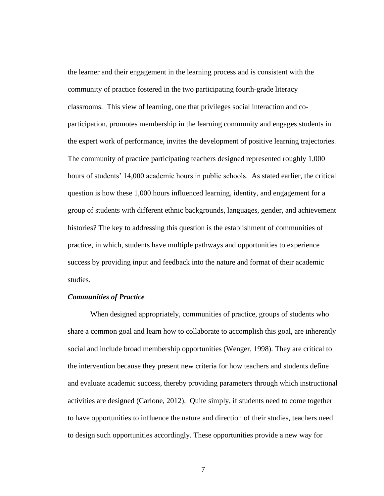the learner and their engagement in the learning process and is consistent with the community of practice fostered in the two participating fourth-grade literacy classrooms. This view of learning, one that privileges social interaction and coparticipation, promotes membership in the learning community and engages students in the expert work of performance, invites the development of positive learning trajectories. The community of practice participating teachers designed represented roughly 1,000 hours of students' 14,000 academic hours in public schools. As stated earlier, the critical question is how these 1,000 hours influenced learning, identity, and engagement for a group of students with different ethnic backgrounds, languages, gender, and achievement histories? The key to addressing this question is the establishment of communities of practice, in which, students have multiple pathways and opportunities to experience success by providing input and feedback into the nature and format of their academic studies.

### *Communities of Practice*

When designed appropriately, communities of practice, groups of students who share a common goal and learn how to collaborate to accomplish this goal, are inherently social and include broad membership opportunities (Wenger, 1998). They are critical to the intervention because they present new criteria for how teachers and students define and evaluate academic success, thereby providing parameters through which instructional activities are designed (Carlone, 2012). Quite simply, if students need to come together to have opportunities to influence the nature and direction of their studies, teachers need to design such opportunities accordingly. These opportunities provide a new way for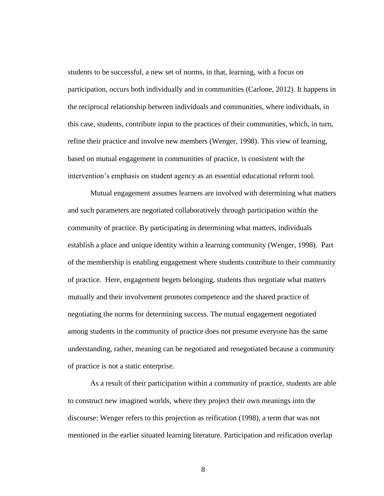students to be successful, a new set of norms, in that, learning, with a focus on participation, occurs both individually and in communities (Carlone, 2012). It happens in the reciprocal relationship between individuals and communities, where individuals, in this case, students, contribute input to the practices of their communities, which, in turn, refine their practice and involve new members (Wenger, 1998). This view of learning, based on mutual engagement in communities of practice, is consistent with the intervention's emphasis on student agency as an essential educational reform tool.

Mutual engagement assumes learners are involved with determining what matters and such parameters are negotiated collaboratively through participation within the community of practice. By participating in determining what matters, individuals establish a place and unique identity within a learning community (Wenger, 1998). Part of the membership is enabling engagement where students contribute to their community of practice. Here, engagement begets belonging, students thus negotiate what matters mutually and their involvement promotes competence and the shared practice of negotiating the norms for determining success. The mutual engagement negotiated among students in the community of practice does not presume everyone has the same understanding, rather, meaning can be negotiated and renegotiated because a community of practice is not a static enterprise.

As a result of their participation within a community of practice, students are able to construct new imagined worlds, where they project their own meanings into the discourse: Wenger refers to this projection as reification (1998), a term that was not mentioned in the earlier situated learning literature. Participation and reification overlap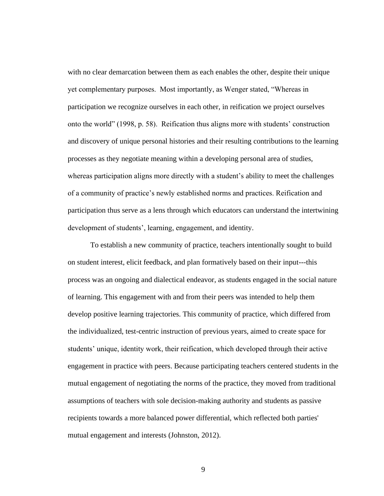with no clear demarcation between them as each enables the other, despite their unique yet complementary purposes. Most importantly, as Wenger stated, "Whereas in participation we recognize ourselves in each other, in reification we project ourselves onto the world" (1998, p. 58). Reification thus aligns more with students' construction and discovery of unique personal histories and their resulting contributions to the learning processes as they negotiate meaning within a developing personal area of studies, whereas participation aligns more directly with a student's ability to meet the challenges of a community of practice's newly established norms and practices. Reification and participation thus serve as a lens through which educators can understand the intertwining development of students', learning, engagement, and identity.

To establish a new community of practice, teachers intentionally sought to build on student interest, elicit feedback, and plan formatively based on their input---this process was an ongoing and dialectical endeavor, as students engaged in the social nature of learning. This engagement with and from their peers was intended to help them develop positive learning trajectories. This community of practice, which differed from the individualized, test-centric instruction of previous years, aimed to create space for students' unique, identity work, their reification, which developed through their active engagement in practice with peers. Because participating teachers centered students in the mutual engagement of negotiating the norms of the practice, they moved from traditional assumptions of teachers with sole decision-making authority and students as passive recipients towards a more balanced power differential, which reflected both parties' mutual engagement and interests (Johnston, 2012).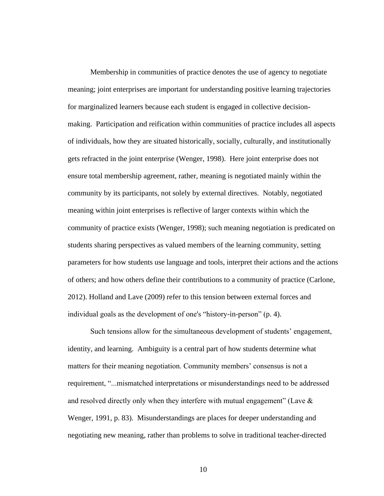Membership in communities of practice denotes the use of agency to negotiate meaning; joint enterprises are important for understanding positive learning trajectories for marginalized learners because each student is engaged in collective decisionmaking. Participation and reification within communities of practice includes all aspects of individuals, how they are situated historically, socially, culturally, and institutionally gets refracted in the joint enterprise (Wenger, 1998). Here joint enterprise does not ensure total membership agreement, rather, meaning is negotiated mainly within the community by its participants, not solely by external directives. Notably, negotiated meaning within joint enterprises is reflective of larger contexts within which the community of practice exists (Wenger, 1998); such meaning negotiation is predicated on students sharing perspectives as valued members of the learning community, setting parameters for how students use language and tools, interpret their actions and the actions of others; and how others define their contributions to a community of practice (Carlone, 2012). Holland and Lave (2009) refer to this tension between external forces and individual goals as the development of one's "history-in-person" (p. 4).

Such tensions allow for the simultaneous development of students' engagement, identity, and learning. Ambiguity is a central part of how students determine what matters for their meaning negotiation. Community members' consensus is not a requirement, "...mismatched interpretations or misunderstandings need to be addressed and resolved directly only when they interfere with mutual engagement" (Lave  $\&$ Wenger, 1991, p. 83). Misunderstandings are places for deeper understanding and negotiating new meaning, rather than problems to solve in traditional teacher-directed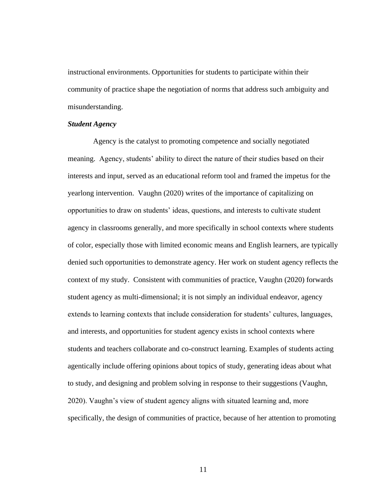instructional environments. Opportunities for students to participate within their community of practice shape the negotiation of norms that address such ambiguity and misunderstanding.

# *Student Agency*

Agency is the catalyst to promoting competence and socially negotiated meaning. Agency, students' ability to direct the nature of their studies based on their interests and input, served as an educational reform tool and framed the impetus for the yearlong intervention. Vaughn (2020) writes of the importance of capitalizing on opportunities to draw on students' ideas, questions, and interests to cultivate student agency in classrooms generally, and more specifically in school contexts where students of color, especially those with limited economic means and English learners, are typically denied such opportunities to demonstrate agency. Her work on student agency reflects the context of my study. Consistent with communities of practice, Vaughn (2020) forwards student agency as multi-dimensional; it is not simply an individual endeavor, agency extends to learning contexts that include consideration for students' cultures, languages, and interests, and opportunities for student agency exists in school contexts where students and teachers collaborate and co-construct learning. Examples of students acting agentically include offering opinions about topics of study, generating ideas about what to study, and designing and problem solving in response to their suggestions (Vaughn, 2020). Vaughn's view of student agency aligns with situated learning and, more specifically, the design of communities of practice, because of her attention to promoting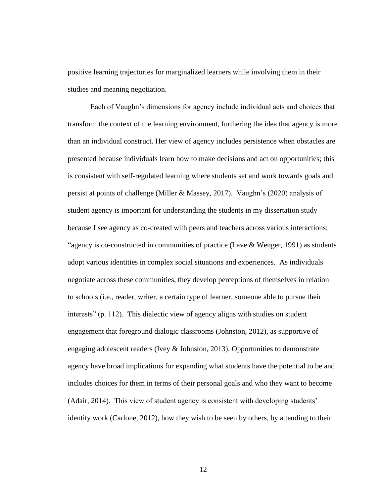positive learning trajectories for marginalized learners while involving them in their studies and meaning negotiation.

Each of Vaughn's dimensions for agency include individual acts and choices that transform the context of the learning environment, furthering the idea that agency is more than an individual construct. Her view of agency includes persistence when obstacles are presented because individuals learn how to make decisions and act on opportunities; this is consistent with self-regulated learning where students set and work towards goals and persist at points of challenge (Miller & Massey, 2017). Vaughn's (2020) analysis of student agency is important for understanding the students in my dissertation study because I see agency as co-created with peers and teachers across various interactions; "agency is co-constructed in communities of practice (Lave & Wenger, 1991) as students adopt various identities in complex social situations and experiences. As individuals negotiate across these communities, they develop perceptions of themselves in relation to schools (i.e., reader, writer, a certain type of learner, someone able to pursue their interests" (p. 112). This dialectic view of agency aligns with studies on student engagement that foreground dialogic classrooms (Johnston, 2012), as supportive of engaging adolescent readers (Ivey  $&$  Johnston, 2013). Opportunities to demonstrate agency have broad implications for expanding what students have the potential to be and includes choices for them in terms of their personal goals and who they want to become (Adair, 2014). This view of student agency is consistent with developing students' identity work (Carlone, 2012), how they wish to be seen by others, by attending to their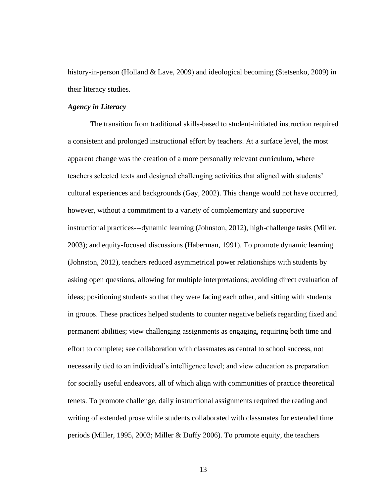history-in-person (Holland & Lave, 2009) and ideological becoming (Stetsenko, 2009) in their literacy studies.

## *Agency in Literacy*

The transition from traditional skills-based to student-initiated instruction required a consistent and prolonged instructional effort by teachers. At a surface level, the most apparent change was the creation of a more personally relevant curriculum, where teachers selected texts and designed challenging activities that aligned with students' cultural experiences and backgrounds (Gay, 2002). This change would not have occurred, however, without a commitment to a variety of complementary and supportive instructional practices---dynamic learning (Johnston, 2012), high-challenge tasks (Miller, 2003); and equity-focused discussions (Haberman, 1991). To promote dynamic learning (Johnston, 2012), teachers reduced asymmetrical power relationships with students by asking open questions, allowing for multiple interpretations; avoiding direct evaluation of ideas; positioning students so that they were facing each other, and sitting with students in groups. These practices helped students to counter negative beliefs regarding fixed and permanent abilities; view challenging assignments as engaging, requiring both time and effort to complete; see collaboration with classmates as central to school success, not necessarily tied to an individual's intelligence level; and view education as preparation for socially useful endeavors, all of which align with communities of practice theoretical tenets. To promote challenge, daily instructional assignments required the reading and writing of extended prose while students collaborated with classmates for extended time periods (Miller, 1995, 2003; Miller & Duffy 2006). To promote equity, the teachers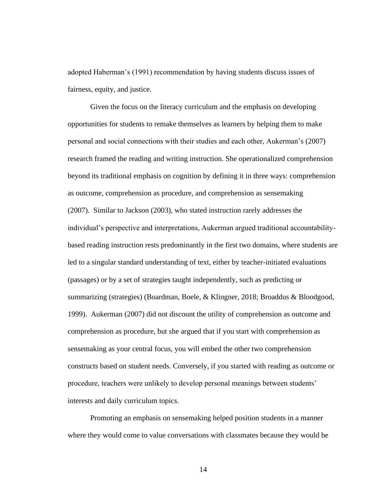adopted Haberman's (1991) recommendation by having students discuss issues of fairness, equity, and justice.

Given the focus on the literacy curriculum and the emphasis on developing opportunities for students to remake themselves as learners by helping them to make personal and social connections with their studies and each other, Aukerman's (2007) research framed the reading and writing instruction. She operationalized comprehension beyond its traditional emphasis on cognition by defining it in three ways: comprehension as outcome, comprehension as procedure, and comprehension as sensemaking (2007). Similar to Jackson (2003), who stated instruction rarely addresses the individual's perspective and interpretations, Aukerman argued traditional accountabilitybased reading instruction rests predominantly in the first two domains, where students are led to a singular standard understanding of text, either by teacher-initiated evaluations (passages) or by a set of strategies taught independently, such as predicting or summarizing (strategies) (Boardman, Boele, & Klingner, 2018; Broaddus & Bloodgood, 1999). Aukerman (2007) did not discount the utility of comprehension as outcome and comprehension as procedure, but she argued that if you start with comprehension as sensemaking as your central focus, you will embed the other two comprehension constructs based on student needs. Conversely, if you started with reading as outcome or procedure, teachers were unlikely to develop personal meanings between students' interests and daily curriculum topics.

Promoting an emphasis on sensemaking helped position students in a manner where they would come to value conversations with classmates because they would be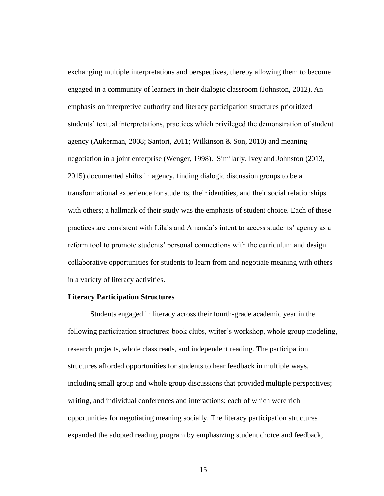exchanging multiple interpretations and perspectives, thereby allowing them to become engaged in a community of learners in their dialogic classroom (Johnston, 2012). An emphasis on interpretive authority and literacy participation structures prioritized students' textual interpretations, practices which privileged the demonstration of student agency (Aukerman, 2008; Santori, 2011; Wilkinson & Son, 2010) and meaning negotiation in a joint enterprise (Wenger, 1998). Similarly, Ivey and Johnston (2013, 2015) documented shifts in agency, finding dialogic discussion groups to be a transformational experience for students, their identities, and their social relationships with others; a hallmark of their study was the emphasis of student choice. Each of these practices are consistent with Lila's and Amanda's intent to access students' agency as a reform tool to promote students' personal connections with the curriculum and design collaborative opportunities for students to learn from and negotiate meaning with others in a variety of literacy activities.

### **Literacy Participation Structures**

Students engaged in literacy across their fourth-grade academic year in the following participation structures: book clubs, writer's workshop, whole group modeling, research projects, whole class reads, and independent reading. The participation structures afforded opportunities for students to hear feedback in multiple ways, including small group and whole group discussions that provided multiple perspectives; writing, and individual conferences and interactions; each of which were rich opportunities for negotiating meaning socially. The literacy participation structures expanded the adopted reading program by emphasizing student choice and feedback,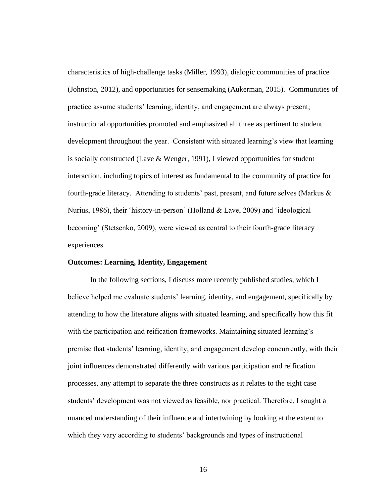characteristics of high-challenge tasks (Miller, 1993), dialogic communities of practice (Johnston, 2012), and opportunities for sensemaking (Aukerman, 2015). Communities of practice assume students' learning, identity, and engagement are always present; instructional opportunities promoted and emphasized all three as pertinent to student development throughout the year. Consistent with situated learning's view that learning is socially constructed (Lave & Wenger, 1991), I viewed opportunities for student interaction, including topics of interest as fundamental to the community of practice for fourth-grade literacy. Attending to students' past, present, and future selves (Markus  $\&$ Nurius, 1986), their 'history-in-person' (Holland & Lave, 2009) and 'ideological becoming' (Stetsenko, 2009), were viewed as central to their fourth-grade literacy experiences.

#### **Outcomes: Learning, Identity, Engagement**

In the following sections, I discuss more recently published studies, which I believe helped me evaluate students' learning, identity, and engagement, specifically by attending to how the literature aligns with situated learning, and specifically how this fit with the participation and reification frameworks. Maintaining situated learning's premise that students' learning, identity, and engagement develop concurrently, with their joint influences demonstrated differently with various participation and reification processes, any attempt to separate the three constructs as it relates to the eight case students' development was not viewed as feasible, nor practical. Therefore, I sought a nuanced understanding of their influence and intertwining by looking at the extent to which they vary according to students' backgrounds and types of instructional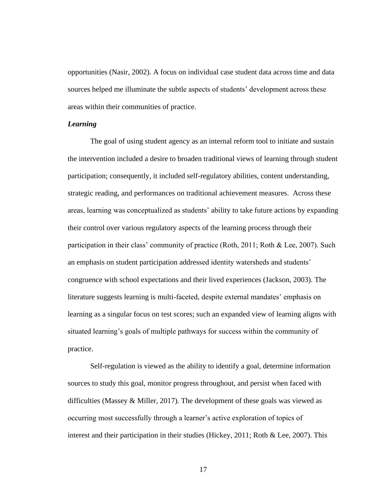opportunities (Nasir, 2002). A focus on individual case student data across time and data sources helped me illuminate the subtle aspects of students' development across these areas within their communities of practice.

# *Learning*

The goal of using student agency as an internal reform tool to initiate and sustain the intervention included a desire to broaden traditional views of learning through student participation; consequently, it included self-regulatory abilities, content understanding, strategic reading, and performances on traditional achievement measures. Across these areas, learning was conceptualized as students' ability to take future actions by expanding their control over various regulatory aspects of the learning process through their participation in their class' community of practice (Roth, 2011; Roth & Lee, 2007). Such an emphasis on student participation addressed identity watersheds and students' congruence with school expectations and their lived experiences (Jackson, 2003). The literature suggests learning is multi-faceted, despite external mandates' emphasis on learning as a singular focus on test scores; such an expanded view of learning aligns with situated learning's goals of multiple pathways for success within the community of practice.

Self-regulation is viewed as the ability to identify a goal, determine information sources to study this goal, monitor progress throughout, and persist when faced with difficulties (Massey  $&$  Miller, 2017). The development of these goals was viewed as occurring most successfully through a learner's active exploration of topics of interest and their participation in their studies (Hickey, 2011; Roth & Lee, 2007). This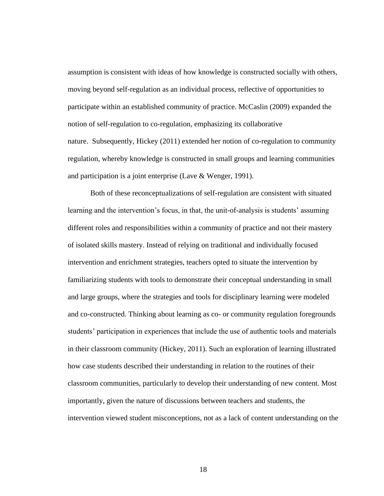assumption is consistent with ideas of how knowledge is constructed socially with others, moving beyond self-regulation as an individual process, reflective of opportunities to participate within an established community of practice. McCaslin (2009) expanded the notion of self-regulation to co-regulation, emphasizing its collaborative nature. Subsequently, Hickey (2011) extended her notion of co-regulation to community regulation, whereby knowledge is constructed in small groups and learning communities and participation is a joint enterprise (Lave & Wenger, 1991).

Both of these reconceptualizations of self-regulation are consistent with situated learning and the intervention's focus, in that, the unit-of-analysis is students' assuming different roles and responsibilities within a community of practice and not their mastery of isolated skills mastery. Instead of relying on traditional and individually focused intervention and enrichment strategies, teachers opted to situate the intervention by familiarizing students with tools to demonstrate their conceptual understanding in small and large groups, where the strategies and tools for disciplinary learning were modeled and co-constructed. Thinking about learning as co- or community regulation foregrounds students' participation in experiences that include the use of authentic tools and materials in their classroom community (Hickey, 2011). Such an exploration of learning illustrated how case students described their understanding in relation to the routines of their classroom communities, particularly to develop their understanding of new content. Most importantly, given the nature of discussions between teachers and students, the intervention viewed student misconceptions, not as a lack of content understanding on the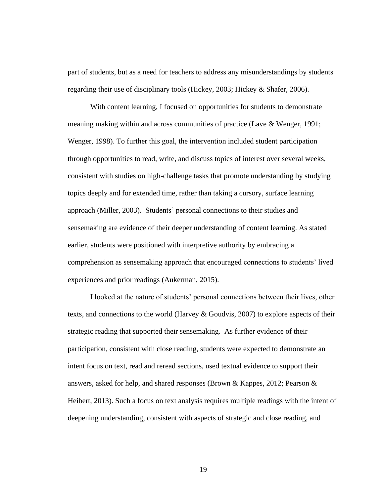part of students, but as a need for teachers to address any misunderstandings by students regarding their use of disciplinary tools (Hickey, 2003; Hickey & Shafer, 2006).

With content learning, I focused on opportunities for students to demonstrate meaning making within and across communities of practice (Lave & Wenger, 1991; Wenger, 1998). To further this goal, the intervention included student participation through opportunities to read, write, and discuss topics of interest over several weeks, consistent with studies on high-challenge tasks that promote understanding by studying topics deeply and for extended time, rather than taking a cursory, surface learning approach (Miller, 2003). Students' personal connections to their studies and sensemaking are evidence of their deeper understanding of content learning. As stated earlier, students were positioned with interpretive authority by embracing a comprehension as sensemaking approach that encouraged connections to students' lived experiences and prior readings (Aukerman, 2015).

I looked at the nature of students' personal connections between their lives, other texts, and connections to the world (Harvey & Goudvis, 2007) to explore aspects of their strategic reading that supported their sensemaking. As further evidence of their participation, consistent with close reading, students were expected to demonstrate an intent focus on text, read and reread sections, used textual evidence to support their answers, asked for help, and shared responses (Brown & Kappes, 2012; Pearson  $\&$ Heibert, 2013). Such a focus on text analysis requires multiple readings with the intent of deepening understanding, consistent with aspects of strategic and close reading, and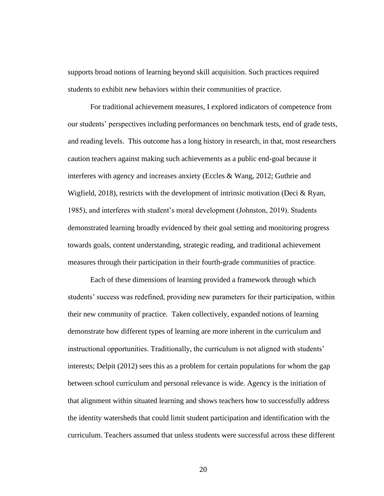supports broad notions of learning beyond skill acquisition. Such practices required students to exhibit new behaviors within their communities of practice.

For traditional achievement measures, I explored indicators of competence from our students' perspectives including performances on benchmark tests, end of grade tests, and reading levels. This outcome has a long history in research, in that, most researchers caution teachers against making such achievements as a public end-goal because it interferes with agency and increases anxiety (Eccles & Wang, 2012; Guthrie and Wigfield, 2018), restricts with the development of intrinsic motivation (Deci  $\&$  Ryan, 1985), and interferes with student's moral development (Johnston, 2019). Students demonstrated learning broadly evidenced by their goal setting and monitoring progress towards goals, content understanding, strategic reading, and traditional achievement measures through their participation in their fourth-grade communities of practice.

Each of these dimensions of learning provided a framework through which students' success was redefined, providing new parameters for their participation, within their new community of practice. Taken collectively, expanded notions of learning demonstrate how different types of learning are more inherent in the curriculum and instructional opportunities. Traditionally, the curriculum is not aligned with students' interests; Delpit (2012) sees this as a problem for certain populations for whom the gap between school curriculum and personal relevance is wide. Agency is the initiation of that alignment within situated learning and shows teachers how to successfully address the identity watersheds that could limit student participation and identification with the curriculum. Teachers assumed that unless students were successful across these different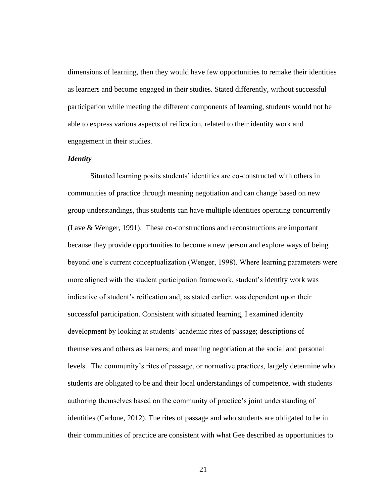dimensions of learning, then they would have few opportunities to remake their identities as learners and become engaged in their studies. Stated differently, without successful participation while meeting the different components of learning, students would not be able to express various aspects of reification, related to their identity work and engagement in their studies.

## *Identity*

Situated learning posits students' identities are co-constructed with others in communities of practice through meaning negotiation and can change based on new group understandings, thus students can have multiple identities operating concurrently (Lave & Wenger, 1991). These co-constructions and reconstructions are important because they provide opportunities to become a new person and explore ways of being beyond one's current conceptualization (Wenger, 1998). Where learning parameters were more aligned with the student participation framework, student's identity work was indicative of student's reification and, as stated earlier, was dependent upon their successful participation. Consistent with situated learning, I examined identity development by looking at students' academic rites of passage; descriptions of themselves and others as learners; and meaning negotiation at the social and personal levels. The community's rites of passage, or normative practices, largely determine who students are obligated to be and their local understandings of competence, with students authoring themselves based on the community of practice's joint understanding of identities (Carlone, 2012). The rites of passage and who students are obligated to be in their communities of practice are consistent with what Gee described as opportunities to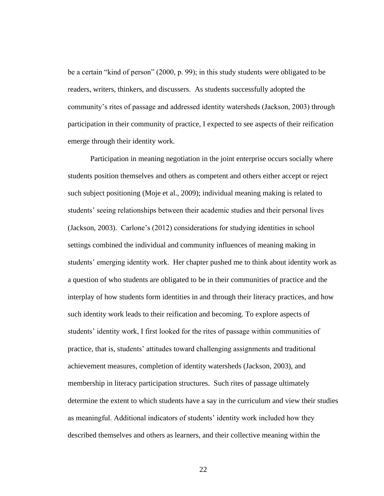be a certain "kind of person" (2000, p. 99); in this study students were obligated to be readers, writers, thinkers, and discussers. As students successfully adopted the community's rites of passage and addressed identity watersheds (Jackson, 2003) through participation in their community of practice, I expected to see aspects of their reification emerge through their identity work.

Participation in meaning negotiation in the joint enterprise occurs socially where students position themselves and others as competent and others either accept or reject such subject positioning (Moje et al., 2009); individual meaning making is related to students' seeing relationships between their academic studies and their personal lives (Jackson, 2003). Carlone's (2012) considerations for studying identities in school settings combined the individual and community influences of meaning making in students' emerging identity work. Her chapter pushed me to think about identity work as a question of who students are obligated to be in their communities of practice and the interplay of how students form identities in and through their literacy practices, and how such identity work leads to their reification and becoming. To explore aspects of students' identity work, I first looked for the rites of passage within communities of practice, that is, students' attitudes toward challenging assignments and traditional achievement measures, completion of identity watersheds (Jackson, 2003), and membership in literacy participation structures. Such rites of passage ultimately determine the extent to which students have a say in the curriculum and view their studies as meaningful. Additional indicators of students' identity work included how they described themselves and others as learners, and their collective meaning within the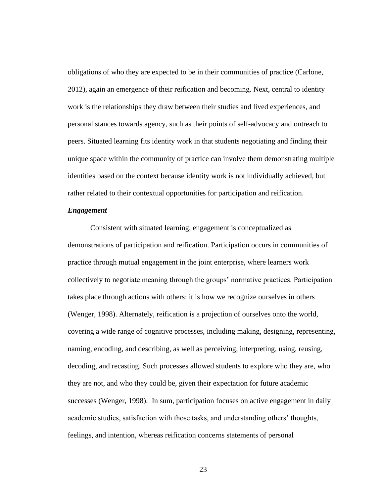obligations of who they are expected to be in their communities of practice (Carlone, 2012), again an emergence of their reification and becoming. Next, central to identity work is the relationships they draw between their studies and lived experiences, and personal stances towards agency, such as their points of self-advocacy and outreach to peers. Situated learning fits identity work in that students negotiating and finding their unique space within the community of practice can involve them demonstrating multiple identities based on the context because identity work is not individually achieved, but rather related to their contextual opportunities for participation and reification.

## *Engagement*

Consistent with situated learning, engagement is conceptualized as demonstrations of participation and reification. Participation occurs in communities of practice through mutual engagement in the joint enterprise, where learners work collectively to negotiate meaning through the groups' normative practices. Participation takes place through actions with others: it is how we recognize ourselves in others (Wenger, 1998). Alternately, reification is a projection of ourselves onto the world, covering a wide range of cognitive processes, including making, designing, representing, naming, encoding, and describing, as well as perceiving, interpreting, using, reusing, decoding, and recasting. Such processes allowed students to explore who they are, who they are not, and who they could be, given their expectation for future academic successes (Wenger, 1998). In sum, participation focuses on active engagement in daily academic studies, satisfaction with those tasks, and understanding others' thoughts, feelings, and intention, whereas reification concerns statements of personal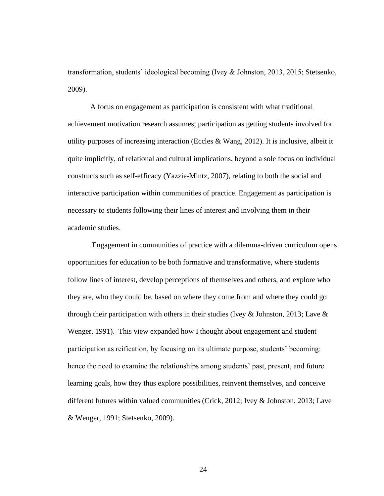transformation, students' ideological becoming (Ivey & Johnston, 2013, 2015; Stetsenko, 2009).

A focus on engagement as participation is consistent with what traditional achievement motivation research assumes; participation as getting students involved for utility purposes of increasing interaction (Eccles  $& Wang, 2012$ ). It is inclusive, albeit it quite implicitly, of relational and cultural implications, beyond a sole focus on individual constructs such as self-efficacy (Yazzie-Mintz, 2007), relating to both the social and interactive participation within communities of practice. Engagement as participation is necessary to students following their lines of interest and involving them in their academic studies.

Engagement in communities of practice with a dilemma-driven curriculum opens opportunities for education to be both formative and transformative, where students follow lines of interest, develop perceptions of themselves and others, and explore who they are, who they could be, based on where they come from and where they could go through their participation with others in their studies (Ivey & Johnston, 2013; Lave & Wenger, 1991). This view expanded how I thought about engagement and student participation as reification, by focusing on its ultimate purpose, students' becoming: hence the need to examine the relationships among students' past, present, and future learning goals, how they thus explore possibilities, reinvent themselves, and conceive different futures within valued communities (Crick, 2012; Ivey & Johnston, 2013; Lave & Wenger, 1991; Stetsenko, 2009).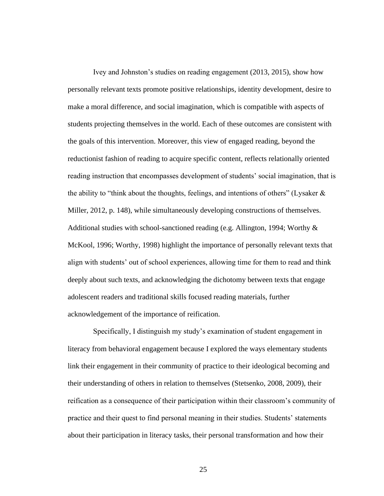Ivey and Johnston's studies on reading engagement (2013, 2015), show how personally relevant texts promote positive relationships, identity development, desire to make a moral difference, and social imagination, which is compatible with aspects of students projecting themselves in the world. Each of these outcomes are consistent with the goals of this intervention. Moreover, this view of engaged reading, beyond the reductionist fashion of reading to acquire specific content, reflects relationally oriented reading instruction that encompasses development of students' social imagination, that is the ability to "think about the thoughts, feelings, and intentions of others" (Lysaker  $\&$ Miller, 2012, p. 148), while simultaneously developing constructions of themselves. Additional studies with school-sanctioned reading (e.g. Allington, 1994; Worthy  $\&$ McKool, 1996; Worthy, 1998) highlight the importance of personally relevant texts that align with students' out of school experiences, allowing time for them to read and think deeply about such texts, and acknowledging the dichotomy between texts that engage adolescent readers and traditional skills focused reading materials, further acknowledgement of the importance of reification.

Specifically, I distinguish my study's examination of student engagement in literacy from behavioral engagement because I explored the ways elementary students link their engagement in their community of practice to their ideological becoming and their understanding of others in relation to themselves (Stetsenko, 2008, 2009), their reification as a consequence of their participation within their classroom's community of practice and their quest to find personal meaning in their studies. Students' statements about their participation in literacy tasks, their personal transformation and how their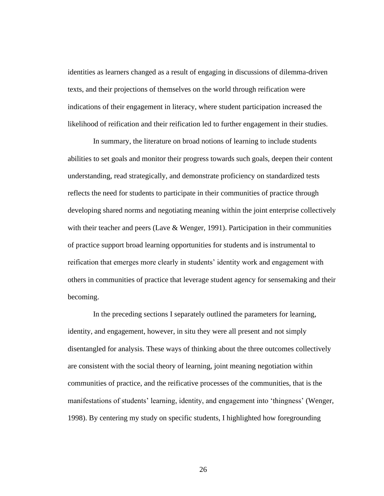identities as learners changed as a result of engaging in discussions of dilemma-driven texts, and their projections of themselves on the world through reification were indications of their engagement in literacy, where student participation increased the likelihood of reification and their reification led to further engagement in their studies.

In summary, the literature on broad notions of learning to include students abilities to set goals and monitor their progress towards such goals, deepen their content understanding, read strategically, and demonstrate proficiency on standardized tests reflects the need for students to participate in their communities of practice through developing shared norms and negotiating meaning within the joint enterprise collectively with their teacher and peers (Lave  $\&$  Wenger, 1991). Participation in their communities of practice support broad learning opportunities for students and is instrumental to reification that emerges more clearly in students' identity work and engagement with others in communities of practice that leverage student agency for sensemaking and their becoming.

In the preceding sections I separately outlined the parameters for learning, identity, and engagement, however, in situ they were all present and not simply disentangled for analysis. These ways of thinking about the three outcomes collectively are consistent with the social theory of learning, joint meaning negotiation within communities of practice, and the reificative processes of the communities, that is the manifestations of students' learning, identity, and engagement into 'thingness' (Wenger, 1998). By centering my study on specific students, I highlighted how foregrounding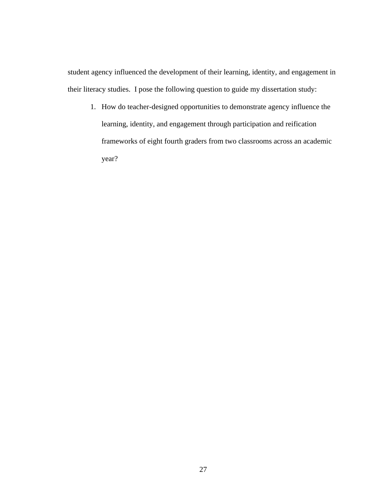student agency influenced the development of their learning, identity, and engagement in their literacy studies. I pose the following question to guide my dissertation study:

1. How do teacher-designed opportunities to demonstrate agency influence the learning, identity, and engagement through participation and reification frameworks of eight fourth graders from two classrooms across an academic year?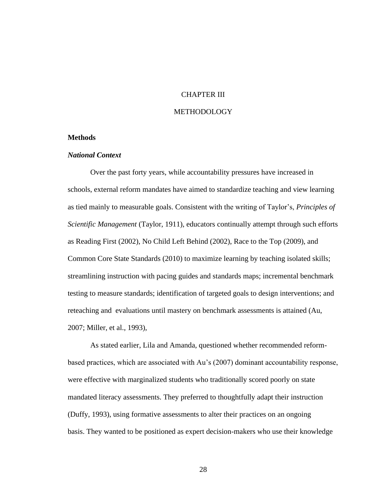# CHAPTER III

#### METHODOLOGY

# **Methods**

# *National Context*

Over the past forty years, while accountability pressures have increased in schools, external reform mandates have aimed to standardize teaching and view learning as tied mainly to measurable goals. Consistent with the writing of Taylor's, *Principles of Scientific Management* (Taylor, 1911), educators continually attempt through such efforts as Reading First (2002), No Child Left Behind (2002), Race to the Top (2009), and Common Core State Standards (2010) to maximize learning by teaching isolated skills; streamlining instruction with pacing guides and standards maps; incremental benchmark testing to measure standards; identification of targeted goals to design interventions; and reteaching and evaluations until mastery on benchmark assessments is attained (Au, 2007; Miller, et al., 1993),

As stated earlier, Lila and Amanda, questioned whether recommended reformbased practices, which are associated with Au's (2007) dominant accountability response, were effective with marginalized students who traditionally scored poorly on state mandated literacy assessments. They preferred to thoughtfully adapt their instruction (Duffy, 1993), using formative assessments to alter their practices on an ongoing basis. They wanted to be positioned as expert decision-makers who use their knowledge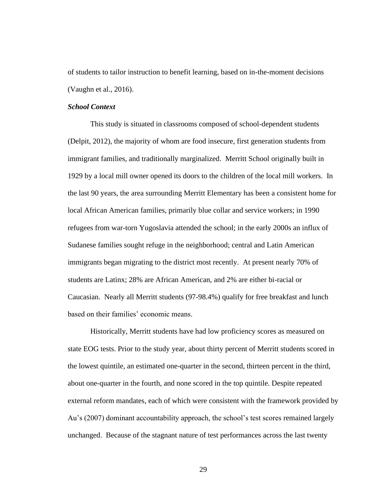of students to tailor instruction to benefit learning, based on in-the-moment decisions (Vaughn et al., 2016).

## *School Context*

This study is situated in classrooms composed of school-dependent students (Delpit, 2012), the majority of whom are food insecure, first generation students from immigrant families, and traditionally marginalized. Merritt School originally built in 1929 by a local mill owner opened its doors to the children of the local mill workers. In the last 90 years, the area surrounding Merritt Elementary has been a consistent home for local African American families, primarily blue collar and service workers; in 1990 refugees from war-torn Yugoslavia attended the school; in the early 2000s an influx of Sudanese families sought refuge in the neighborhood; central and Latin American immigrants began migrating to the district most recently. At present nearly 70% of students are Latinx; 28% are African American, and 2% are either bi-racial or Caucasian. Nearly all Merritt students (97-98.4%) qualify for free breakfast and lunch based on their families' economic means.

Historically, Merritt students have had low proficiency scores as measured on state EOG tests. Prior to the study year, about thirty percent of Merritt students scored in the lowest quintile, an estimated one-quarter in the second, thirteen percent in the third, about one-quarter in the fourth, and none scored in the top quintile. Despite repeated external reform mandates, each of which were consistent with the framework provided by Au's (2007) dominant accountability approach, the school's test scores remained largely unchanged. Because of the stagnant nature of test performances across the last twenty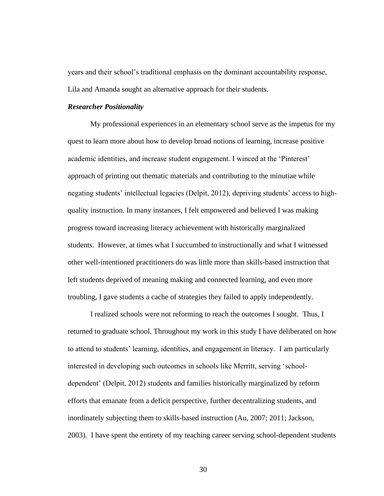years and their school's traditional emphasis on the dominant accountability response, Lila and Amanda sought an alternative approach for their students.

### *Researcher Positionality*

My professional experiences in an elementary school serve as the impetus for my quest to learn more about how to develop broad notions of learning, increase positive academic identities, and increase student engagement. I winced at the 'Pinterest' approach of printing out thematic materials and contributing to the minutiae while negating students' intellectual legacies (Delpit, 2012), depriving students' access to highquality instruction. In many instances, I felt empowered and believed I was making progress toward increasing literacy achievement with historically marginalized students. However, at times what I succumbed to instructionally and what I witnessed other well-intentioned practitioners do was little more than skills-based instruction that left students deprived of meaning making and connected learning, and even more troubling, I gave students a cache of strategies they failed to apply independently.

I realized schools were not reforming to reach the outcomes I sought. Thus, I returned to graduate school. Throughout my work in this study I have deliberated on how to attend to students' learning, identities, and engagement in literacy. I am particularly interested in developing such outcomes in schools like Merritt, serving 'schooldependent' (Delpit, 2012) students and families historically marginalized by reform efforts that emanate from a deficit perspective, further decentralizing students, and inordinately subjecting them to skills-based instruction (Au, 2007; 2011; Jackson, 2003). I have spent the entirety of my teaching career serving school-dependent students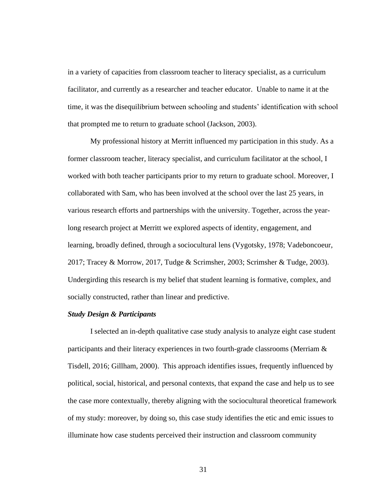in a variety of capacities from classroom teacher to literacy specialist, as a curriculum facilitator, and currently as a researcher and teacher educator. Unable to name it at the time, it was the disequilibrium between schooling and students' identification with school that prompted me to return to graduate school (Jackson, 2003).

My professional history at Merritt influenced my participation in this study. As a former classroom teacher, literacy specialist, and curriculum facilitator at the school, I worked with both teacher participants prior to my return to graduate school. Moreover, I collaborated with Sam, who has been involved at the school over the last 25 years, in various research efforts and partnerships with the university. Together, across the yearlong research project at Merritt we explored aspects of identity, engagement, and learning, broadly defined, through a sociocultural lens (Vygotsky, 1978; Vadeboncoeur, 2017; Tracey & Morrow, 2017, Tudge & Scrimsher, 2003; Scrimsher & Tudge, 2003). Undergirding this research is my belief that student learning is formative, complex, and socially constructed, rather than linear and predictive.

## *Study Design & Participants*

I selected an in-depth qualitative case study analysis to analyze eight case student participants and their literacy experiences in two fourth-grade classrooms (Merriam & Tisdell, 2016; Gillham, 2000). This approach identifies issues, frequently influenced by political, social, historical, and personal contexts, that expand the case and help us to see the case more contextually, thereby aligning with the sociocultural theoretical framework of my study: moreover, by doing so, this case study identifies the etic and emic issues to illuminate how case students perceived their instruction and classroom community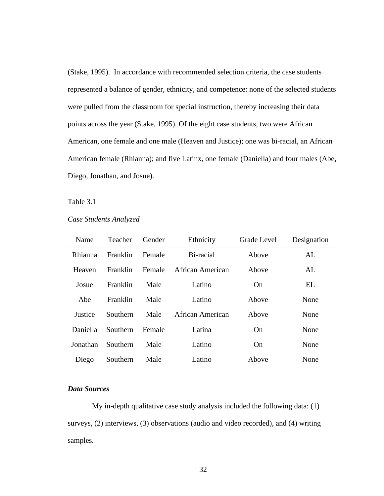(Stake, 1995). In accordance with recommended selection criteria, the case students represented a balance of gender, ethnicity, and competence: none of the selected students were pulled from the classroom for special instruction, thereby increasing their data points across the year (Stake, 1995). Of the eight case students, two were African American, one female and one male (Heaven and Justice); one was bi-racial, an African American female (Rhianna); and five Latinx, one female (Daniella) and four males (Abe, Diego, Jonathan, and Josue).

### Table 3.1

*Case Students Analyzed*

| Name          | Teacher         | Gender | Ethnicity               | Grade Level | Designation |
|---------------|-----------------|--------|-------------------------|-------------|-------------|
| Rhianna       | Franklin        | Female | Bi-racial               | Above       | AL          |
| <b>Heaven</b> | Franklin        | Female | African American        | Above       | AL          |
| Josue         | Franklin        | Male   | Latino                  | On          | EL          |
| Abe           | Franklin        | Male   | Latino                  | Above       | None        |
| Justice       | <b>Southern</b> | Male   | <b>African American</b> | Above       | None        |
| Daniella      | Southern        | Female | Latina                  | On          | None        |
| Jonathan      | Southern        | Male   | Latino                  | On          | None        |
| Diego         | Southern        | Male   | Latino                  | Above       | None        |

### *Data Sources*

My in-depth qualitative case study analysis included the following data: (1) surveys, (2) interviews, (3) observations (audio and video recorded), and (4) writing samples.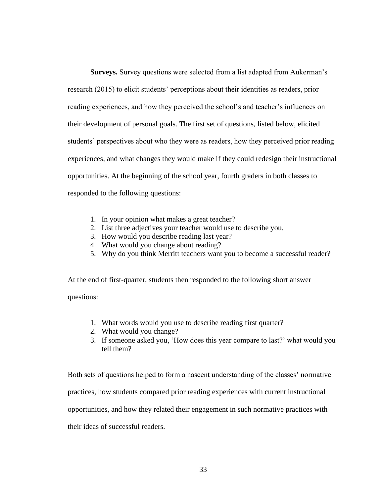**Surveys.** Survey questions were selected from a list adapted from Aukerman's research (2015) to elicit students' perceptions about their identities as readers, prior reading experiences, and how they perceived the school's and teacher's influences on their development of personal goals. The first set of questions, listed below, elicited students' perspectives about who they were as readers, how they perceived prior reading experiences, and what changes they would make if they could redesign their instructional opportunities. At the beginning of the school year, fourth graders in both classes to responded to the following questions:

- 1. In your opinion what makes a great teacher?
- 2. List three adjectives your teacher would use to describe you.
- 3. How would you describe reading last year?
- 4. What would you change about reading?
- 5. Why do you think Merritt teachers want you to become a successful reader?

At the end of first-quarter, students then responded to the following short answer questions:

- 1. What words would you use to describe reading first quarter?
- 2. What would you change?
- 3. If someone asked you, 'How does this year compare to last?' what would you tell them?

Both sets of questions helped to form a nascent understanding of the classes' normative practices, how students compared prior reading experiences with current instructional opportunities, and how they related their engagement in such normative practices with their ideas of successful readers.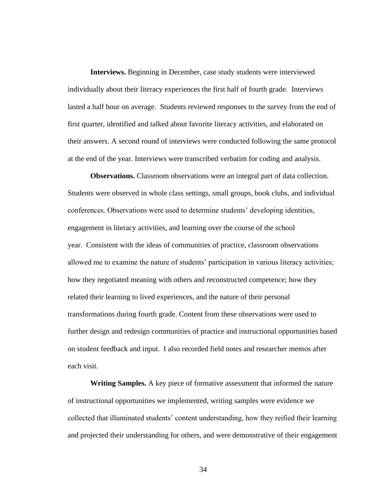**Interviews.** Beginning in December, case study students were interviewed individually about their literacy experiences the first half of fourth grade. Interviews lasted a half hour on average. Students reviewed responses to the survey from the end of first quarter, identified and talked about favorite literacy activities, and elaborated on their answers. A second round of interviews were conducted following the same protocol at the end of the year. Interviews were transcribed verbatim for coding and analysis.

**Observations.** Classroom observations were an integral part of data collection. Students were observed in whole class settings, small groups, book clubs, and individual conferences. Observations were used to determine students' developing identities, engagement in literacy activities, and learning over the course of the school year. Consistent with the ideas of communities of practice, classroom observations allowed me to examine the nature of students' participation in various literacy activities; how they negotiated meaning with others and reconstructed competence; how they related their learning to lived experiences, and the nature of their personal transformations during fourth grade. Content from these observations were used to further design and redesign communities of practice and instructional opportunities based on student feedback and input. I also recorded field notes and researcher memos after each visit.

**Writing Samples.** A key piece of formative assessment that informed the nature of instructional opportunities we implemented, writing samples were evidence we collected that illuminated students' content understanding, how they reified their learning and projected their understanding for others, and were demonstrative of their engagement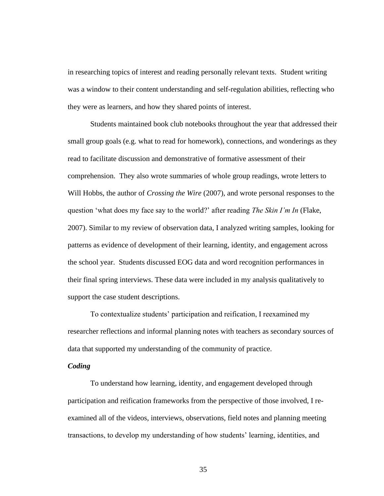in researching topics of interest and reading personally relevant texts. Student writing was a window to their content understanding and self-regulation abilities, reflecting who they were as learners, and how they shared points of interest.

Students maintained book club notebooks throughout the year that addressed their small group goals (e.g. what to read for homework), connections, and wonderings as they read to facilitate discussion and demonstrative of formative assessment of their comprehension. They also wrote summaries of whole group readings, wrote letters to Will Hobbs, the author of *Crossing the Wire* (2007), and wrote personal responses to the question 'what does my face say to the world?' after reading *The Skin I'm In* (Flake, 2007). Similar to my review of observation data, I analyzed writing samples, looking for patterns as evidence of development of their learning, identity, and engagement across the school year. Students discussed EOG data and word recognition performances in their final spring interviews. These data were included in my analysis qualitatively to support the case student descriptions.

To contextualize students' participation and reification, I reexamined my researcher reflections and informal planning notes with teachers as secondary sources of data that supported my understanding of the community of practice.

## *Coding*

To understand how learning, identity, and engagement developed through participation and reification frameworks from the perspective of those involved, I reexamined all of the videos, interviews, observations, field notes and planning meeting transactions, to develop my understanding of how students' learning, identities, and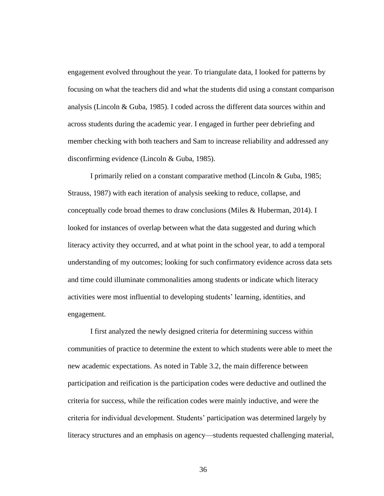engagement evolved throughout the year. To triangulate data, I looked for patterns by focusing on what the teachers did and what the students did using a constant comparison analysis (Lincoln & Guba, 1985). I coded across the different data sources within and across students during the academic year. I engaged in further peer debriefing and member checking with both teachers and Sam to increase reliability and addressed any disconfirming evidence (Lincoln & Guba, 1985).

I primarily relied on a constant comparative method (Lincoln & Guba, 1985; Strauss, 1987) with each iteration of analysis seeking to reduce, collapse, and conceptually code broad themes to draw conclusions (Miles & Huberman, 2014). I looked for instances of overlap between what the data suggested and during which literacy activity they occurred, and at what point in the school year, to add a temporal understanding of my outcomes; looking for such confirmatory evidence across data sets and time could illuminate commonalities among students or indicate which literacy activities were most influential to developing students' learning, identities, and engagement.

I first analyzed the newly designed criteria for determining success within communities of practice to determine the extent to which students were able to meet the new academic expectations. As noted in Table 3.2, the main difference between participation and reification is the participation codes were deductive and outlined the criteria for success, while the reification codes were mainly inductive, and were the criteria for individual development. Students' participation was determined largely by literacy structures and an emphasis on agency—students requested challenging material,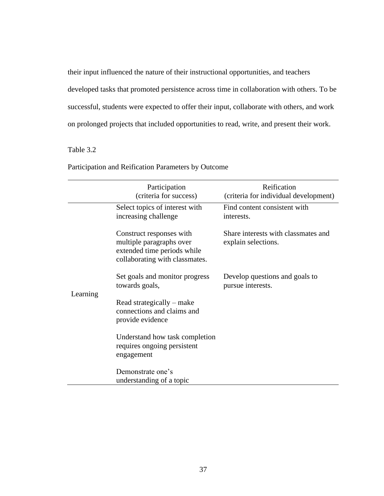their input influenced the nature of their instructional opportunities, and teachers developed tasks that promoted persistence across time in collaboration with others. To be successful, students were expected to offer their input, collaborate with others, and work on prolonged projects that included opportunities to read, write, and present their work.

# Table 3.2

|          | Participation<br>(criteria for success)                                                                               | Reification<br>(criteria for individual development)       |
|----------|-----------------------------------------------------------------------------------------------------------------------|------------------------------------------------------------|
|          | Select topics of interest with<br>increasing challenge                                                                | Find content consistent with<br>interests.                 |
|          | Construct responses with<br>multiple paragraphs over<br>extended time periods while<br>collaborating with classmates. | Share interests with classmates and<br>explain selections. |
|          | Set goals and monitor progress<br>towards goals,                                                                      | Develop questions and goals to<br>pursue interests.        |
| Learning | Read strategically – make<br>connections and claims and<br>provide evidence                                           |                                                            |
|          | Understand how task completion<br>requires ongoing persistent<br>engagement                                           |                                                            |
|          | Demonstrate one's<br>understanding of a topic                                                                         |                                                            |

Participation and Reification Parameters by Outcome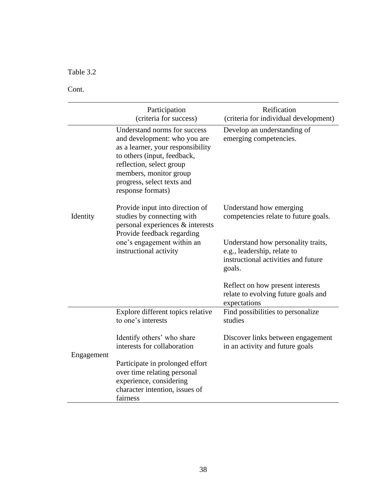Table 3.2

Cont.

|            | Participation                                                                                                                                                                                                                             | Reification                                                                                                        |
|------------|-------------------------------------------------------------------------------------------------------------------------------------------------------------------------------------------------------------------------------------------|--------------------------------------------------------------------------------------------------------------------|
|            | (criteria for success)                                                                                                                                                                                                                    | (criteria for individual development)                                                                              |
|            | Understand norms for success<br>and development: who you are<br>as a learner, your responsibility<br>to others (input, feedback,<br>reflection, select group<br>members, monitor group<br>progress, select texts and<br>response formats) | Develop an understanding of<br>emerging competencies.                                                              |
| Identity   | Provide input into direction of<br>studies by connecting with<br>personal experiences & interests<br>Provide feedback regarding                                                                                                           | Understand how emerging<br>competencies relate to future goals.                                                    |
|            | one's engagement within an<br>instructional activity                                                                                                                                                                                      | Understand how personality traits,<br>e.g., leadership, relate to<br>instructional activities and future<br>goals. |
|            |                                                                                                                                                                                                                                           | Reflect on how present interests<br>relate to evolving future goals and<br>expectations                            |
|            | Explore different topics relative<br>to one's interests                                                                                                                                                                                   | Find possibilities to personalize<br>studies                                                                       |
| Engagement | Identify others' who share<br>interests for collaboration                                                                                                                                                                                 | Discover links between engagement<br>in an activity and future goals                                               |
|            | Participate in prolonged effort<br>over time relating personal<br>experience, considering<br>character intention, issues of<br>fairness                                                                                                   |                                                                                                                    |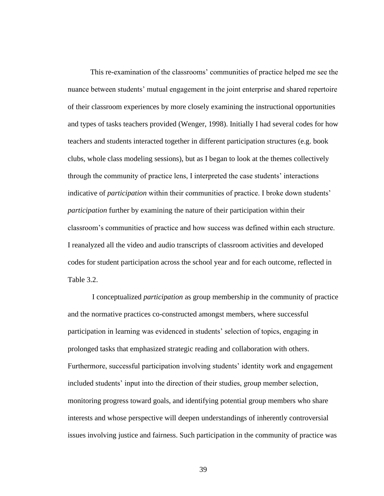This re-examination of the classrooms' communities of practice helped me see the nuance between students' mutual engagement in the joint enterprise and shared repertoire of their classroom experiences by more closely examining the instructional opportunities and types of tasks teachers provided (Wenger, 1998). Initially I had several codes for how teachers and students interacted together in different participation structures (e.g. book clubs, whole class modeling sessions), but as I began to look at the themes collectively through the community of practice lens, I interpreted the case students' interactions indicative of *participation* within their communities of practice. I broke down students' *participation* further by examining the nature of their participation within their classroom's communities of practice and how success was defined within each structure. I reanalyzed all the video and audio transcripts of classroom activities and developed codes for student participation across the school year and for each outcome, reflected in Table 3.2.

I conceptualized *participation* as group membership in the community of practice and the normative practices co-constructed amongst members, where successful participation in learning was evidenced in students' selection of topics, engaging in prolonged tasks that emphasized strategic reading and collaboration with others. Furthermore, successful participation involving students' identity work and engagement included students' input into the direction of their studies, group member selection, monitoring progress toward goals, and identifying potential group members who share interests and whose perspective will deepen understandings of inherently controversial issues involving justice and fairness. Such participation in the community of practice was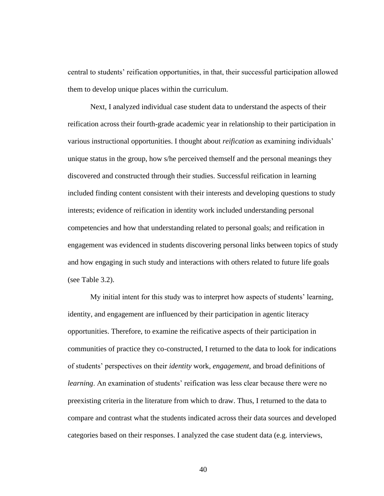central to students' reification opportunities, in that, their successful participation allowed them to develop unique places within the curriculum.

Next, I analyzed individual case student data to understand the aspects of their reification across their fourth-grade academic year in relationship to their participation in various instructional opportunities. I thought about *reification* as examining individuals' unique status in the group, how s/he perceived themself and the personal meanings they discovered and constructed through their studies. Successful reification in learning included finding content consistent with their interests and developing questions to study interests; evidence of reification in identity work included understanding personal competencies and how that understanding related to personal goals; and reification in engagement was evidenced in students discovering personal links between topics of study and how engaging in such study and interactions with others related to future life goals (see Table 3.2).

My initial intent for this study was to interpret how aspects of students' learning, identity, and engagement are influenced by their participation in agentic literacy opportunities. Therefore, to examine the reificative aspects of their participation in communities of practice they co-constructed, I returned to the data to look for indications of students' perspectives on their *identity* work, *engagement*, and broad definitions of *learning*. An examination of students' reification was less clear because there were no preexisting criteria in the literature from which to draw. Thus, I returned to the data to compare and contrast what the students indicated across their data sources and developed categories based on their responses. I analyzed the case student data (e.g. interviews,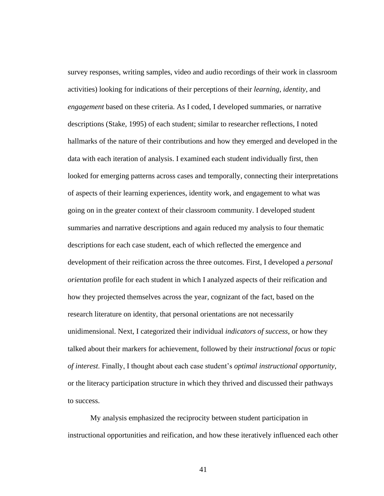survey responses, writing samples, video and audio recordings of their work in classroom activities) looking for indications of their perceptions of their *learning*, *identity*, and *engagement* based on these criteria. As I coded, I developed summaries, or narrative descriptions (Stake, 1995) of each student; similar to researcher reflections, I noted hallmarks of the nature of their contributions and how they emerged and developed in the data with each iteration of analysis. I examined each student individually first, then looked for emerging patterns across cases and temporally, connecting their interpretations of aspects of their learning experiences, identity work, and engagement to what was going on in the greater context of their classroom community. I developed student summaries and narrative descriptions and again reduced my analysis to four thematic descriptions for each case student, each of which reflected the emergence and development of their reification across the three outcomes. First, I developed a *personal orientation* profile for each student in which I analyzed aspects of their reification and how they projected themselves across the year, cognizant of the fact, based on the research literature on identity, that personal orientations are not necessarily unidimensional. Next, I categorized their individual *indicators of success*, or how they talked about their markers for achievement, followed by their *instructional focus* or *topic of interest*. Finally, I thought about each case student's *optimal instructional opportunity*, or the literacy participation structure in which they thrived and discussed their pathways to success.

My analysis emphasized the reciprocity between student participation in instructional opportunities and reification, and how these iteratively influenced each other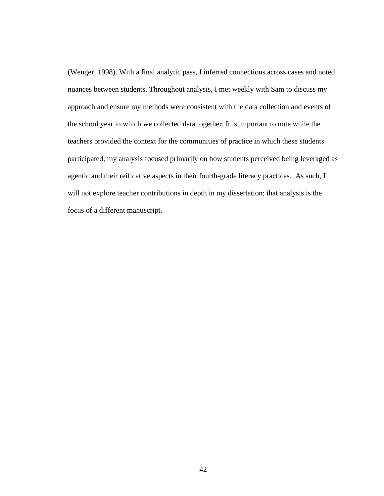(Wenger, 1998). With a final analytic pass, I inferred connections across cases and noted nuances between students. Throughout analysis, I met weekly with Sam to discuss my approach and ensure my methods were consistent with the data collection and events of the school year in which we collected data together. It is important to note while the teachers provided the context for the communities of practice in which these students participated; my analysis focused primarily on how students perceived being leveraged as agentic and their reificative aspects in their fourth-grade literacy practices. As such, I will not explore teacher contributions in depth in my dissertation; that analysis is the focus of a different manuscript.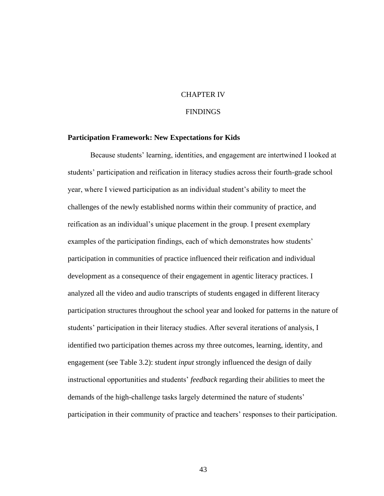## CHAPTER IV

# **FINDINGS**

### **Participation Framework: New Expectations for Kids**

Because students' learning, identities, and engagement are intertwined I looked at students' participation and reification in literacy studies across their fourth-grade school year, where I viewed participation as an individual student's ability to meet the challenges of the newly established norms within their community of practice, and reification as an individual's unique placement in the group. I present exemplary examples of the participation findings, each of which demonstrates how students' participation in communities of practice influenced their reification and individual development as a consequence of their engagement in agentic literacy practices. I analyzed all the video and audio transcripts of students engaged in different literacy participation structures throughout the school year and looked for patterns in the nature of students' participation in their literacy studies. After several iterations of analysis, I identified two participation themes across my three outcomes, learning, identity, and engagement (see Table 3.2): student *input* strongly influenced the design of daily instructional opportunities and students' *feedback* regarding their abilities to meet the demands of the high-challenge tasks largely determined the nature of students' participation in their community of practice and teachers' responses to their participation.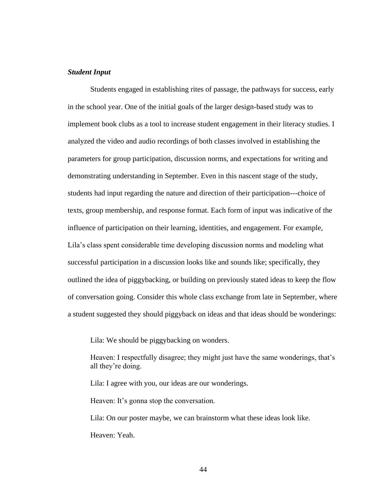## *Student Input*

Students engaged in establishing rites of passage, the pathways for success, early in the school year. One of the initial goals of the larger design-based study was to implement book clubs as a tool to increase student engagement in their literacy studies. I analyzed the video and audio recordings of both classes involved in establishing the parameters for group participation, discussion norms, and expectations for writing and demonstrating understanding in September. Even in this nascent stage of the study, students had input regarding the nature and direction of their participation---choice of texts, group membership, and response format. Each form of input was indicative of the influence of participation on their learning, identities, and engagement. For example, Lila's class spent considerable time developing discussion norms and modeling what successful participation in a discussion looks like and sounds like; specifically, they outlined the idea of piggybacking, or building on previously stated ideas to keep the flow of conversation going. Consider this whole class exchange from late in September, where a student suggested they should piggyback on ideas and that ideas should be wonderings:

Lila: We should be piggybacking on wonders.

Heaven: I respectfully disagree; they might just have the same wonderings, that's all they're doing.

Lila: I agree with you, our ideas are our wonderings.

Heaven: It's gonna stop the conversation.

Lila: On our poster maybe, we can brainstorm what these ideas look like. Heaven: Yeah.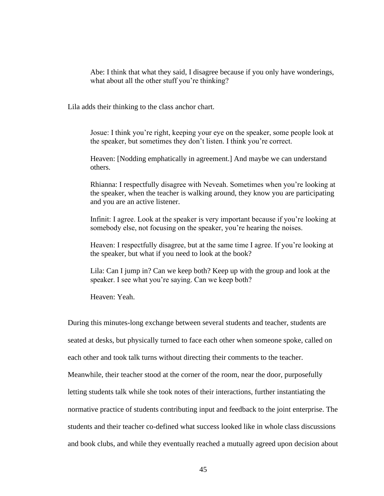Abe: I think that what they said, I disagree because if you only have wonderings, what about all the other stuff you're thinking?

Lila adds their thinking to the class anchor chart.

Josue: I think you're right, keeping your eye on the speaker, some people look at the speaker, but sometimes they don't listen. I think you're correct.

Heaven: [Nodding emphatically in agreement.] And maybe we can understand others.

Rhianna: I respectfully disagree with Neveah. Sometimes when you're looking at the speaker, when the teacher is walking around, they know you are participating and you are an active listener.

Infinit: I agree. Look at the speaker is very important because if you're looking at somebody else, not focusing on the speaker, you're hearing the noises.

Heaven: I respectfully disagree, but at the same time I agree. If you're looking at the speaker, but what if you need to look at the book?

Lila: Can I jump in? Can we keep both? Keep up with the group and look at the speaker. I see what you're saying. Can we keep both?

Heaven: Yeah.

During this minutes-long exchange between several students and teacher, students are

seated at desks, but physically turned to face each other when someone spoke, called on

each other and took talk turns without directing their comments to the teacher.

Meanwhile, their teacher stood at the corner of the room, near the door, purposefully

letting students talk while she took notes of their interactions, further instantiating the

normative practice of students contributing input and feedback to the joint enterprise. The

students and their teacher co-defined what success looked like in whole class discussions

and book clubs, and while they eventually reached a mutually agreed upon decision about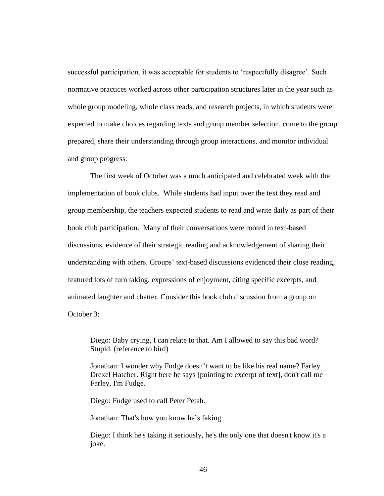successful participation, it was acceptable for students to 'respectfully disagree'. Such normative practices worked across other participation structures later in the year such as whole group modeling, whole class reads, and research projects, in which students were expected to make choices regarding texts and group member selection, come to the group prepared, share their understanding through group interactions, and monitor individual and group progress.

The first week of October was a much anticipated and celebrated week with the implementation of book clubs. While students had input over the text they read and group membership, the teachers expected students to read and write daily as part of their book club participation. Many of their conversations were rooted in text-based discussions, evidence of their strategic reading and acknowledgement of sharing their understanding with others. Groups' text-based discussions evidenced their close reading, featured lots of turn taking, expressions of enjoyment, citing specific excerpts, and animated laughter and chatter. Consider this book club discussion from a group on October 3:

Diego: Baby crying, I can relate to that. Am I allowed to say this bad word? Stupid. (reference to bird)

Jonathan: I wonder why Fudge doesn't want to be like his real name? Farley Drexel Hatcher. Right here he says [pointing to excerpt of text], don't call me Farley, I'm Fudge.

Diego: Fudge used to call Peter Petah.

Jonathan: That's how you know he's faking.

Diego: I think he's taking it seriously, he's the only one that doesn't know it's a joke.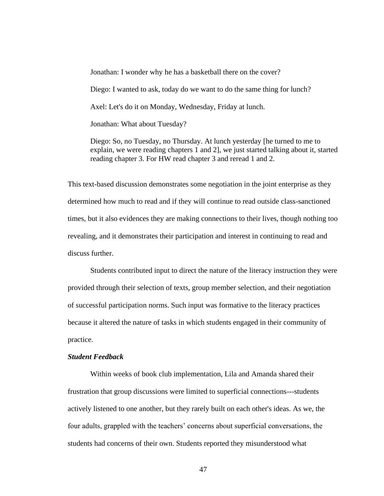Jonathan: I wonder why he has a basketball there on the cover? Diego: I wanted to ask, today do we want to do the same thing for lunch? Axel: Let's do it on Monday, Wednesday, Friday at lunch. Jonathan: What about Tuesday?

Diego: So, no Tuesday, no Thursday. At lunch yesterday [he turned to me to explain, we were reading chapters 1 and 2], we just started talking about it, started reading chapter 3. For HW read chapter 3 and reread 1 and 2.

This text-based discussion demonstrates some negotiation in the joint enterprise as they determined how much to read and if they will continue to read outside class-sanctioned times, but it also evidences they are making connections to their lives, though nothing too revealing, and it demonstrates their participation and interest in continuing to read and discuss further.

Students contributed input to direct the nature of the literacy instruction they were provided through their selection of texts, group member selection, and their negotiation of successful participation norms. Such input was formative to the literacy practices because it altered the nature of tasks in which students engaged in their community of practice.

#### *Student Feedback*

Within weeks of book club implementation, Lila and Amanda shared their frustration that group discussions were limited to superficial connections---students actively listened to one another, but they rarely built on each other's ideas. As we, the four adults, grappled with the teachers' concerns about superficial conversations, the students had concerns of their own. Students reported they misunderstood what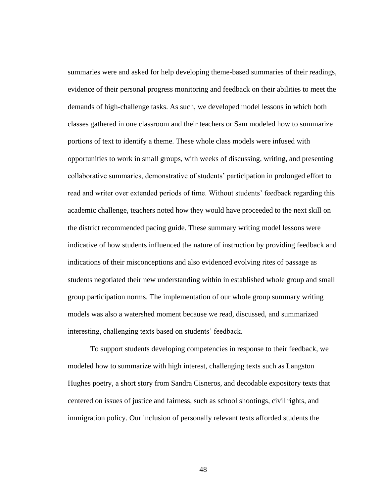summaries were and asked for help developing theme-based summaries of their readings, evidence of their personal progress monitoring and feedback on their abilities to meet the demands of high-challenge tasks. As such, we developed model lessons in which both classes gathered in one classroom and their teachers or Sam modeled how to summarize portions of text to identify a theme. These whole class models were infused with opportunities to work in small groups, with weeks of discussing, writing, and presenting collaborative summaries, demonstrative of students' participation in prolonged effort to read and writer over extended periods of time. Without students' feedback regarding this academic challenge, teachers noted how they would have proceeded to the next skill on the district recommended pacing guide. These summary writing model lessons were indicative of how students influenced the nature of instruction by providing feedback and indications of their misconceptions and also evidenced evolving rites of passage as students negotiated their new understanding within in established whole group and small group participation norms. The implementation of our whole group summary writing models was also a watershed moment because we read, discussed, and summarized interesting, challenging texts based on students' feedback.

To support students developing competencies in response to their feedback, we modeled how to summarize with high interest, challenging texts such as Langston Hughes poetry, a short story from Sandra Cisneros, and decodable expository texts that centered on issues of justice and fairness, such as school shootings, civil rights, and immigration policy. Our inclusion of personally relevant texts afforded students the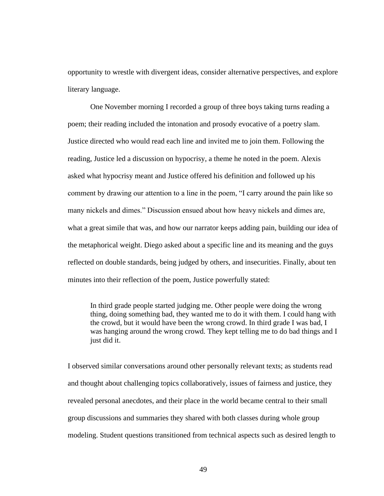opportunity to wrestle with divergent ideas, consider alternative perspectives, and explore literary language.

One November morning I recorded a group of three boys taking turns reading a poem; their reading included the intonation and prosody evocative of a poetry slam. Justice directed who would read each line and invited me to join them. Following the reading, Justice led a discussion on hypocrisy, a theme he noted in the poem. Alexis asked what hypocrisy meant and Justice offered his definition and followed up his comment by drawing our attention to a line in the poem, "I carry around the pain like so many nickels and dimes." Discussion ensued about how heavy nickels and dimes are, what a great simile that was, and how our narrator keeps adding pain, building our idea of the metaphorical weight. Diego asked about a specific line and its meaning and the guys reflected on double standards, being judged by others, and insecurities. Finally, about ten minutes into their reflection of the poem, Justice powerfully stated:

In third grade people started judging me. Other people were doing the wrong thing, doing something bad, they wanted me to do it with them. I could hang with the crowd, but it would have been the wrong crowd. In third grade I was bad, I was hanging around the wrong crowd. They kept telling me to do bad things and I just did it.

I observed similar conversations around other personally relevant texts; as students read and thought about challenging topics collaboratively, issues of fairness and justice, they revealed personal anecdotes, and their place in the world became central to their small group discussions and summaries they shared with both classes during whole group modeling. Student questions transitioned from technical aspects such as desired length to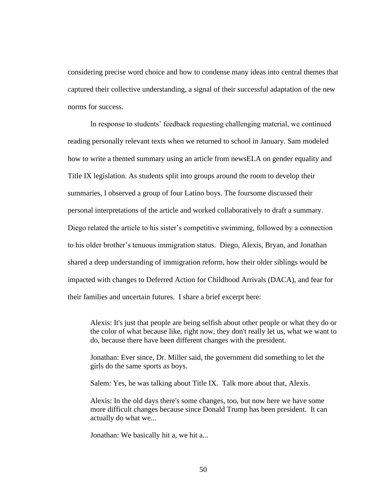considering precise word choice and how to condense many ideas into central themes that captured their collective understanding, a signal of their successful adaptation of the new norms for success.

In response to students' feedback requesting challenging material, we continued reading personally relevant texts when we returned to school in January. Sam modeled how to write a themed summary using an article from newsELA on gender equality and Title IX legislation. As students split into groups around the room to develop their summaries, I observed a group of four Latino boys. The foursome discussed their personal interpretations of the article and worked collaboratively to draft a summary. Diego related the article to his sister's competitive swimming, followed by a connection to his older brother's tenuous immigration status. Diego, Alexis, Bryan, and Jonathan shared a deep understanding of immigration reform, how their older siblings would be impacted with changes to Deferred Action for Childhood Arrivals (DACA), and fear for their families and uncertain futures. I share a brief excerpt here:

Alexis: It's just that people are being selfish about other people or what they do or the color of what because like, right now, they don't really let us, what we want to do, because there have been different changes with the president.

Jonathan: Ever since, Dr. Miller said, the government did something to let the girls do the same sports as boys.

Salem: Yes, he was talking about Title IX. Talk more about that, Alexis.

Alexis: In the old days there's some changes, too, but now here we have some more difficult changes because since Donald Trump has been president. It can actually do what we...

Jonathan: We basically hit a, we hit a...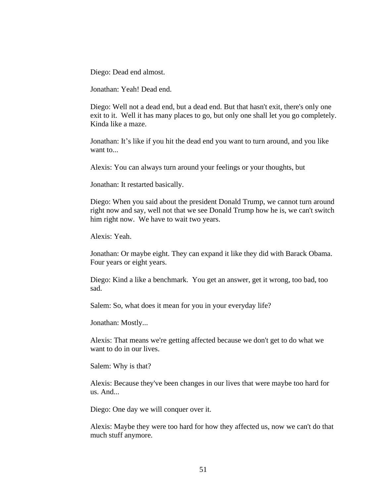Diego: Dead end almost.

Jonathan: Yeah! Dead end.

Diego: Well not a dead end, but a dead end. But that hasn't exit, there's only one exit to it. Well it has many places to go, but only one shall let you go completely. Kinda like a maze.

Jonathan: It's like if you hit the dead end you want to turn around, and you like want to...

Alexis: You can always turn around your feelings or your thoughts, but

Jonathan: It restarted basically.

Diego: When you said about the president Donald Trump, we cannot turn around right now and say, well not that we see Donald Trump how he is, we can't switch him right now. We have to wait two years.

Alexis: Yeah.

Jonathan: Or maybe eight. They can expand it like they did with Barack Obama. Four years or eight years.

Diego: Kind a like a benchmark. You get an answer, get it wrong, too bad, too sad.

Salem: So, what does it mean for you in your everyday life?

Jonathan: Mostly...

Alexis: That means we're getting affected because we don't get to do what we want to do in our lives.

Salem: Why is that?

Alexis: Because they've been changes in our lives that were maybe too hard for us. And...

Diego: One day we will conquer over it.

Alexis: Maybe they were too hard for how they affected us, now we can't do that much stuff anymore.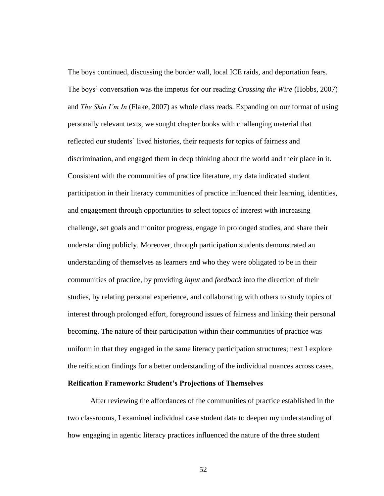The boys continued, discussing the border wall, local ICE raids, and deportation fears. The boys' conversation was the impetus for our reading *Crossing the Wire* (Hobbs, 2007) and *The Skin I'm In* (Flake, 2007) as whole class reads. Expanding on our format of using personally relevant texts, we sought chapter books with challenging material that reflected our students' lived histories, their requests for topics of fairness and discrimination, and engaged them in deep thinking about the world and their place in it. Consistent with the communities of practice literature, my data indicated student participation in their literacy communities of practice influenced their learning, identities, and engagement through opportunities to select topics of interest with increasing challenge, set goals and monitor progress, engage in prolonged studies, and share their understanding publicly. Moreover, through participation students demonstrated an understanding of themselves as learners and who they were obligated to be in their communities of practice, by providing *input* and *feedback* into the direction of their studies, by relating personal experience, and collaborating with others to study topics of interest through prolonged effort, foreground issues of fairness and linking their personal becoming. The nature of their participation within their communities of practice was uniform in that they engaged in the same literacy participation structures; next I explore the reification findings for a better understanding of the individual nuances across cases. **Reification Framework: Student's Projections of Themselves** 

After reviewing the affordances of the communities of practice established in the two classrooms, I examined individual case student data to deepen my understanding of how engaging in agentic literacy practices influenced the nature of the three student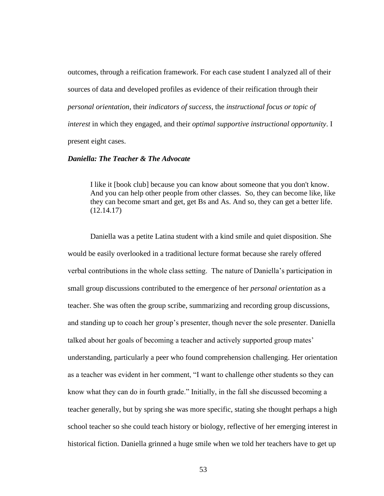outcomes, through a reification framework. For each case student I analyzed all of their sources of data and developed profiles as evidence of their reification through their *personal orientation*, their *indicators of success*, the *instructional focus or topic of interest* in which they engaged, and their *optimal supportive instructional opportunity*. I present eight cases.

### *Daniella: The Teacher & The Advocate*

I like it [book club] because you can know about someone that you don't know. And you can help other people from other classes. So, they can become like, like they can become smart and get, get Bs and As. And so, they can get a better life. (12.14.17)

Daniella was a petite Latina student with a kind smile and quiet disposition. She would be easily overlooked in a traditional lecture format because she rarely offered verbal contributions in the whole class setting. The nature of Daniella's participation in small group discussions contributed to the emergence of her *personal orientation* as a teacher. She was often the group scribe, summarizing and recording group discussions, and standing up to coach her group's presenter, though never the sole presenter. Daniella talked about her goals of becoming a teacher and actively supported group mates' understanding, particularly a peer who found comprehension challenging. Her orientation as a teacher was evident in her comment, "I want to challenge other students so they can know what they can do in fourth grade." Initially, in the fall she discussed becoming a teacher generally, but by spring she was more specific, stating she thought perhaps a high school teacher so she could teach history or biology, reflective of her emerging interest in historical fiction. Daniella grinned a huge smile when we told her teachers have to get up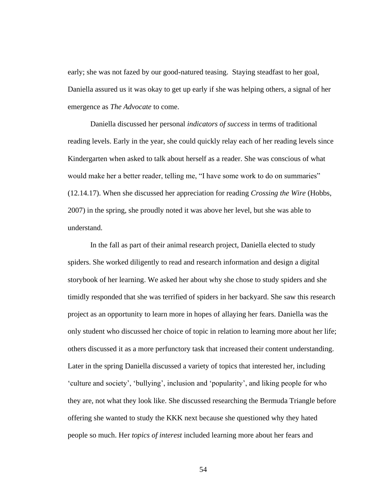early; she was not fazed by our good-natured teasing. Staying steadfast to her goal, Daniella assured us it was okay to get up early if she was helping others, a signal of her emergence as *The Advocate* to come.

Daniella discussed her personal *indicators of success* in terms of traditional reading levels. Early in the year, she could quickly relay each of her reading levels since Kindergarten when asked to talk about herself as a reader. She was conscious of what would make her a better reader, telling me, "I have some work to do on summaries" (12.14.17). When she discussed her appreciation for reading *Crossing the Wire* (Hobbs, 2007) in the spring, she proudly noted it was above her level, but she was able to understand.

In the fall as part of their animal research project, Daniella elected to study spiders. She worked diligently to read and research information and design a digital storybook of her learning. We asked her about why she chose to study spiders and she timidly responded that she was terrified of spiders in her backyard. She saw this research project as an opportunity to learn more in hopes of allaying her fears. Daniella was the only student who discussed her choice of topic in relation to learning more about her life; others discussed it as a more perfunctory task that increased their content understanding. Later in the spring Daniella discussed a variety of topics that interested her, including 'culture and society', 'bullying', inclusion and 'popularity', and liking people for who they are, not what they look like. She discussed researching the Bermuda Triangle before offering she wanted to study the KKK next because she questioned why they hated people so much. Her *topics of interest* included learning more about her fears and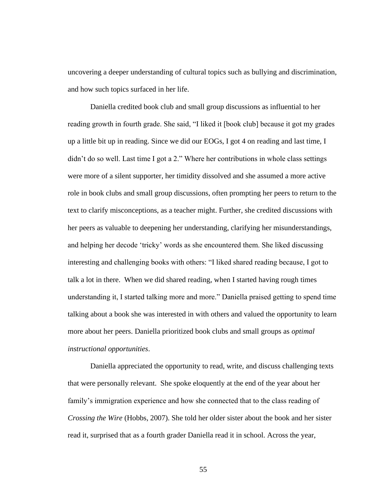uncovering a deeper understanding of cultural topics such as bullying and discrimination, and how such topics surfaced in her life.

Daniella credited book club and small group discussions as influential to her reading growth in fourth grade. She said, "I liked it [book club] because it got my grades up a little bit up in reading. Since we did our EOGs, I got 4 on reading and last time, I didn't do so well. Last time I got a 2." Where her contributions in whole class settings were more of a silent supporter, her timidity dissolved and she assumed a more active role in book clubs and small group discussions, often prompting her peers to return to the text to clarify misconceptions, as a teacher might. Further, she credited discussions with her peers as valuable to deepening her understanding, clarifying her misunderstandings, and helping her decode 'tricky' words as she encountered them. She liked discussing interesting and challenging books with others: "I liked shared reading because, I got to talk a lot in there. When we did shared reading, when I started having rough times understanding it, I started talking more and more." Daniella praised getting to spend time talking about a book she was interested in with others and valued the opportunity to learn more about her peers. Daniella prioritized book clubs and small groups as *optimal instructional opportunities*.

Daniella appreciated the opportunity to read, write, and discuss challenging texts that were personally relevant. She spoke eloquently at the end of the year about her family's immigration experience and how she connected that to the class reading of *Crossing the Wire* (Hobbs, 2007). She told her older sister about the book and her sister read it, surprised that as a fourth grader Daniella read it in school. Across the year,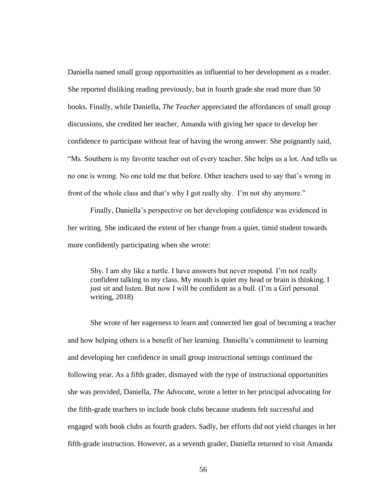Daniella named small group opportunities as influential to her development as a reader. She reported disliking reading previously, but in fourth grade she read more than 50 books. Finally, while Daniella, *The Teacher* appreciated the affordances of small group discussions, she credited her teacher, Amanda with giving her space to develop her confidence to participate without fear of having the wrong answer. She poignantly said, "Ms. Southern is my favorite teacher out of every teacher. She helps us a lot. And tells us no one is wrong. No one told me that before. Other teachers used to say that's wrong in front of the whole class and that's why I got really shy. I'm not shy anymore."

Finally, Daniella's perspective on her developing confidence was evidenced in her writing. She indicated the extent of her change from a quiet, timid student towards more confidently participating when she wrote:

Shy. I am shy like a turtle. I have answers but never respond. I'm not really confident talking to my class. My mouth is quiet my head or brain is thinking. I just sit and listen. But now I will be confident as a bull. (I'm a Girl personal writing, 2018)

She wrote of her eagerness to learn and connected her goal of becoming a teacher and how helping others is a benefit of her learning. Daniella's commitment to learning and developing her confidence in small group instructional settings continued the following year. As a fifth grader, dismayed with the type of instructional opportunities she was provided, Daniella, *The Advocate*, wrote a letter to her principal advocating for the fifth-grade teachers to include book clubs because students felt successful and engaged with book clubs as fourth graders. Sadly, her efforts did not yield changes in her fifth-grade instruction. However, as a seventh grader, Daniella returned to visit Amanda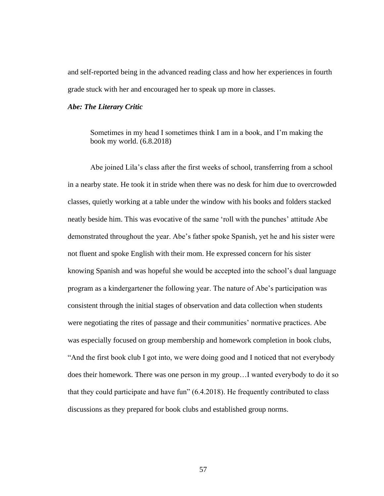and self-reported being in the advanced reading class and how her experiences in fourth grade stuck with her and encouraged her to speak up more in classes.

## *Abe: The Literary Critic*

Sometimes in my head I sometimes think I am in a book, and I'm making the book my world. (6.8.2018)

Abe joined Lila's class after the first weeks of school, transferring from a school in a nearby state. He took it in stride when there was no desk for him due to overcrowded classes, quietly working at a table under the window with his books and folders stacked neatly beside him. This was evocative of the same 'roll with the punches' attitude Abe demonstrated throughout the year. Abe's father spoke Spanish, yet he and his sister were not fluent and spoke English with their mom. He expressed concern for his sister knowing Spanish and was hopeful she would be accepted into the school's dual language program as a kindergartener the following year. The nature of Abe's participation was consistent through the initial stages of observation and data collection when students were negotiating the rites of passage and their communities' normative practices. Abe was especially focused on group membership and homework completion in book clubs, "And the first book club I got into, we were doing good and I noticed that not everybody does their homework. There was one person in my group…I wanted everybody to do it so that they could participate and have fun" (6.4.2018). He frequently contributed to class discussions as they prepared for book clubs and established group norms.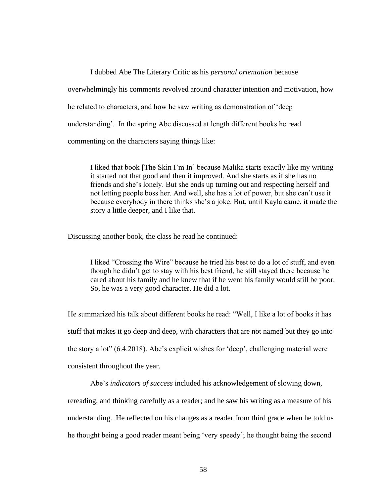I dubbed Abe The Literary Critic as his *personal orientation* because overwhelmingly his comments revolved around character intention and motivation, how he related to characters, and how he saw writing as demonstration of 'deep understanding'. In the spring Abe discussed at length different books he read commenting on the characters saying things like:

I liked that book [The Skin I'm In] because Malika starts exactly like my writing it started not that good and then it improved. And she starts as if she has no friends and she's lonely. But she ends up turning out and respecting herself and not letting people boss her. And well, she has a lot of power, but she can't use it because everybody in there thinks she's a joke. But, until Kayla came, it made the story a little deeper, and I like that.

Discussing another book, the class he read he continued:

I liked "Crossing the Wire" because he tried his best to do a lot of stuff, and even though he didn't get to stay with his best friend, he still stayed there because he cared about his family and he knew that if he went his family would still be poor. So, he was a very good character. He did a lot.

He summarized his talk about different books he read: "Well, I like a lot of books it has stuff that makes it go deep and deep, with characters that are not named but they go into the story a lot" (6.4.2018). Abe's explicit wishes for 'deep', challenging material were consistent throughout the year.

Abe's *indicators of success* included his acknowledgement of slowing down,

rereading, and thinking carefully as a reader; and he saw his writing as a measure of his understanding. He reflected on his changes as a reader from third grade when he told us he thought being a good reader meant being 'very speedy'; he thought being the second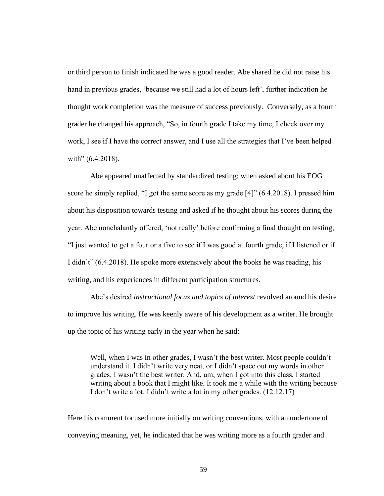or third person to finish indicated he was a good reader. Abe shared he did not raise his hand in previous grades, 'because we still had a lot of hours left', further indication he thought work completion was the measure of success previously. Conversely, as a fourth grader he changed his approach, "So, in fourth grade I take my time, I check over my work, I see if I have the correct answer, and I use all the strategies that I've been helped with" (6.4.2018).

Abe appeared unaffected by standardized testing; when asked about his EOG score he simply replied, "I got the same score as my grade [4]" (6.4.2018). I pressed him about his disposition towards testing and asked if he thought about his scores during the year. Abe nonchalantly offered, 'not really' before confirming a final thought on testing, "I just wanted to get a four or a five to see if I was good at fourth grade, if I listened or if I didn't" (6.4.2018). He spoke more extensively about the books he was reading, his writing, and his experiences in different participation structures.

Abe's desired *instructional focus and topics of interest* revolved around his desire to improve his writing. He was keenly aware of his development as a writer. He brought up the topic of his writing early in the year when he said:

Well, when I was in other grades, I wasn't the best writer. Most people couldn't understand it. I didn't write very neat, or I didn't space out my words in other grades. I wasn't the best writer. And, um, when I got into this class, I started writing about a book that I might like. It took me a while with the writing because I don't write a lot. I didn't write a lot in my other grades. (12.12.17)

Here his comment focused more initially on writing conventions, with an undertone of conveying meaning, yet, he indicated that he was writing more as a fourth grader and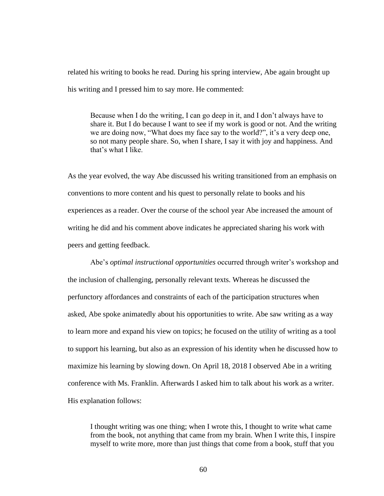related his writing to books he read. During his spring interview, Abe again brought up his writing and I pressed him to say more. He commented:

Because when I do the writing, I can go deep in it, and I don't always have to share it. But I do because I want to see if my work is good or not. And the writing we are doing now, "What does my face say to the world?", it's a very deep one, so not many people share. So, when I share, I say it with joy and happiness. And that's what I like.

As the year evolved, the way Abe discussed his writing transitioned from an emphasis on conventions to more content and his quest to personally relate to books and his experiences as a reader. Over the course of the school year Abe increased the amount of writing he did and his comment above indicates he appreciated sharing his work with peers and getting feedback.

Abe's *optimal instructional opportunities* occurred through writer's workshop and the inclusion of challenging, personally relevant texts. Whereas he discussed the perfunctory affordances and constraints of each of the participation structures when asked, Abe spoke animatedly about his opportunities to write. Abe saw writing as a way to learn more and expand his view on topics; he focused on the utility of writing as a tool to support his learning, but also as an expression of his identity when he discussed how to maximize his learning by slowing down. On April 18, 2018 I observed Abe in a writing conference with Ms. Franklin. Afterwards I asked him to talk about his work as a writer. His explanation follows:

I thought writing was one thing; when I wrote this, I thought to write what came from the book, not anything that came from my brain. When I write this, I inspire myself to write more, more than just things that come from a book, stuff that you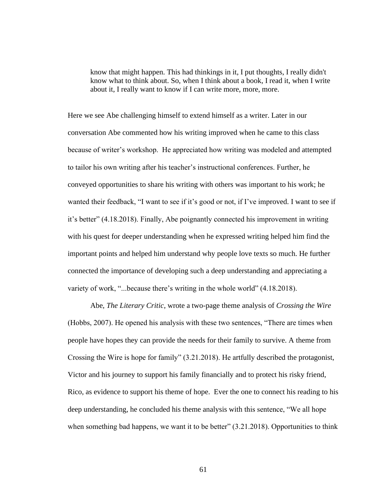know that might happen. This had thinkings in it, I put thoughts, I really didn't know what to think about. So, when I think about a book, I read it, when I write about it, I really want to know if I can write more, more, more.

Here we see Abe challenging himself to extend himself as a writer. Later in our conversation Abe commented how his writing improved when he came to this class because of writer's workshop. He appreciated how writing was modeled and attempted to tailor his own writing after his teacher's instructional conferences. Further, he conveyed opportunities to share his writing with others was important to his work; he wanted their feedback, "I want to see if it's good or not, if I've improved. I want to see if it's better" (4.18.2018). Finally, Abe poignantly connected his improvement in writing with his quest for deeper understanding when he expressed writing helped him find the important points and helped him understand why people love texts so much. He further connected the importance of developing such a deep understanding and appreciating a variety of work, "...because there's writing in the whole world" (4.18.2018).

Abe, *The Literary Critic*, wrote a two-page theme analysis of *Crossing the Wire* (Hobbs, 2007). He opened his analysis with these two sentences, "There are times when people have hopes they can provide the needs for their family to survive. A theme from Crossing the Wire is hope for family" (3.21.2018). He artfully described the protagonist, Victor and his journey to support his family financially and to protect his risky friend, Rico, as evidence to support his theme of hope. Ever the one to connect his reading to his deep understanding, he concluded his theme analysis with this sentence, "We all hope when something bad happens, we want it to be better" (3.21.2018). Opportunities to think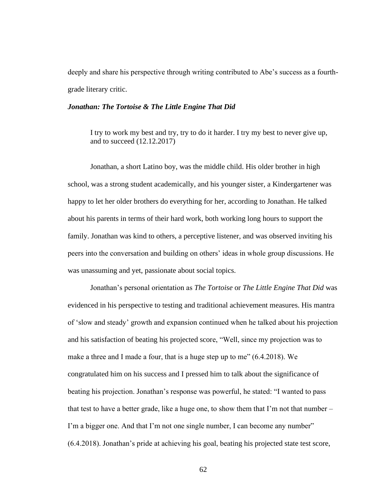deeply and share his perspective through writing contributed to Abe's success as a fourthgrade literary critic.

### *Jonathan: The Tortoise & The Little Engine That Did*

I try to work my best and try, try to do it harder. I try my best to never give up, and to succeed (12.12.2017)

Jonathan, a short Latino boy, was the middle child. His older brother in high school, was a strong student academically, and his younger sister, a Kindergartener was happy to let her older brothers do everything for her, according to Jonathan. He talked about his parents in terms of their hard work, both working long hours to support the family. Jonathan was kind to others, a perceptive listener, and was observed inviting his peers into the conversation and building on others' ideas in whole group discussions. He was unassuming and yet, passionate about social topics.

Jonathan's personal orientation as *The Tortoise* or *The Little Engine That Did* was evidenced in his perspective to testing and traditional achievement measures. His mantra of 'slow and steady' growth and expansion continued when he talked about his projection and his satisfaction of beating his projected score, "Well, since my projection was to make a three and I made a four, that is a huge step up to me" (6.4.2018). We congratulated him on his success and I pressed him to talk about the significance of beating his projection. Jonathan's response was powerful, he stated: "I wanted to pass that test to have a better grade, like a huge one, to show them that I'm not that number  $-$ I'm a bigger one. And that I'm not one single number, I can become any number" (6.4.2018). Jonathan's pride at achieving his goal, beating his projected state test score,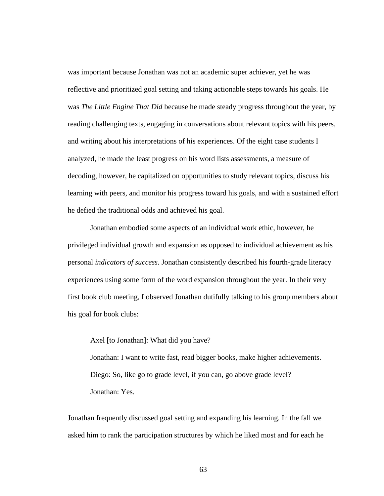was important because Jonathan was not an academic super achiever, yet he was reflective and prioritized goal setting and taking actionable steps towards his goals. He was *The Little Engine That Did* because he made steady progress throughout the year, by reading challenging texts, engaging in conversations about relevant topics with his peers, and writing about his interpretations of his experiences. Of the eight case students I analyzed, he made the least progress on his word lists assessments, a measure of decoding, however, he capitalized on opportunities to study relevant topics, discuss his learning with peers, and monitor his progress toward his goals, and with a sustained effort he defied the traditional odds and achieved his goal.

Jonathan embodied some aspects of an individual work ethic, however, he privileged individual growth and expansion as opposed to individual achievement as his personal *indicators of success*. Jonathan consistently described his fourth-grade literacy experiences using some form of the word expansion throughout the year. In their very first book club meeting, I observed Jonathan dutifully talking to his group members about his goal for book clubs:

Axel [to Jonathan]: What did you have?

Jonathan: I want to write fast, read bigger books, make higher achievements. Diego: So, like go to grade level, if you can, go above grade level? Jonathan: Yes.

Jonathan frequently discussed goal setting and expanding his learning. In the fall we asked him to rank the participation structures by which he liked most and for each he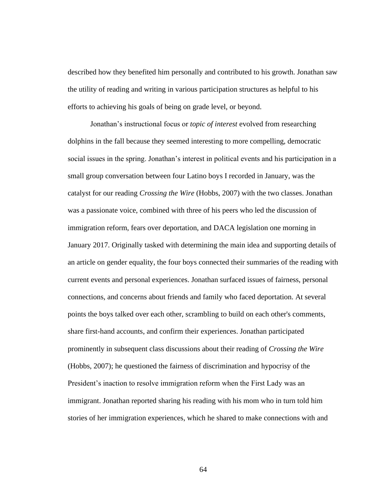described how they benefited him personally and contributed to his growth. Jonathan saw the utility of reading and writing in various participation structures as helpful to his efforts to achieving his goals of being on grade level, or beyond.

Jonathan's instructional focus or *topic of interest* evolved from researching dolphins in the fall because they seemed interesting to more compelling, democratic social issues in the spring. Jonathan's interest in political events and his participation in a small group conversation between four Latino boys I recorded in January, was the catalyst for our reading *Crossing the Wire* (Hobbs, 2007) with the two classes. Jonathan was a passionate voice, combined with three of his peers who led the discussion of immigration reform, fears over deportation, and DACA legislation one morning in January 2017. Originally tasked with determining the main idea and supporting details of an article on gender equality, the four boys connected their summaries of the reading with current events and personal experiences. Jonathan surfaced issues of fairness, personal connections, and concerns about friends and family who faced deportation. At several points the boys talked over each other, scrambling to build on each other's comments, share first-hand accounts, and confirm their experiences. Jonathan participated prominently in subsequent class discussions about their reading of *Crossing the Wire* (Hobbs, 2007); he questioned the fairness of discrimination and hypocrisy of the President's inaction to resolve immigration reform when the First Lady was an immigrant. Jonathan reported sharing his reading with his mom who in turn told him stories of her immigration experiences, which he shared to make connections with and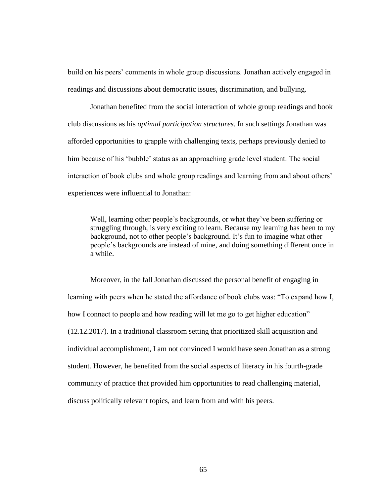build on his peers' comments in whole group discussions. Jonathan actively engaged in readings and discussions about democratic issues, discrimination, and bullying.

Jonathan benefited from the social interaction of whole group readings and book club discussions as his *optimal participation structures*. In such settings Jonathan was afforded opportunities to grapple with challenging texts, perhaps previously denied to him because of his 'bubble' status as an approaching grade level student. The social interaction of book clubs and whole group readings and learning from and about others' experiences were influential to Jonathan:

Well, learning other people's backgrounds, or what they've been suffering or struggling through, is very exciting to learn. Because my learning has been to my background, not to other people's background. It's fun to imagine what other people's backgrounds are instead of mine, and doing something different once in a while.

Moreover, in the fall Jonathan discussed the personal benefit of engaging in learning with peers when he stated the affordance of book clubs was: "To expand how I, how I connect to people and how reading will let me go to get higher education" (12.12.2017). In a traditional classroom setting that prioritized skill acquisition and individual accomplishment, I am not convinced I would have seen Jonathan as a strong student. However, he benefited from the social aspects of literacy in his fourth-grade community of practice that provided him opportunities to read challenging material, discuss politically relevant topics, and learn from and with his peers.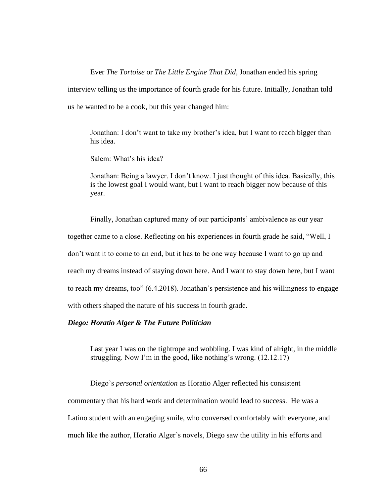Ever *The Tortoise* or *The Little Engine That Did*, Jonathan ended his spring interview telling us the importance of fourth grade for his future. Initially, Jonathan told us he wanted to be a cook, but this year changed him:

Jonathan: I don't want to take my brother's idea, but I want to reach bigger than his idea.

Salem: What's his idea?

Jonathan: Being a lawyer. I don't know. I just thought of this idea. Basically, this is the lowest goal I would want, but I want to reach bigger now because of this year.

Finally, Jonathan captured many of our participants' ambivalence as our year together came to a close. Reflecting on his experiences in fourth grade he said, "Well, I don't want it to come to an end, but it has to be one way because I want to go up and reach my dreams instead of staying down here. And I want to stay down here, but I want to reach my dreams, too" (6.4.2018). Jonathan's persistence and his willingness to engage with others shaped the nature of his success in fourth grade.

### *Diego: Horatio Alger & The Future Politician*

Last year I was on the tightrope and wobbling. I was kind of alright, in the middle struggling. Now I'm in the good, like nothing's wrong. (12.12.17)

Diego's *personal orientation* as Horatio Alger reflected his consistent commentary that his hard work and determination would lead to success. He was a Latino student with an engaging smile, who conversed comfortably with everyone, and much like the author, Horatio Alger's novels, Diego saw the utility in his efforts and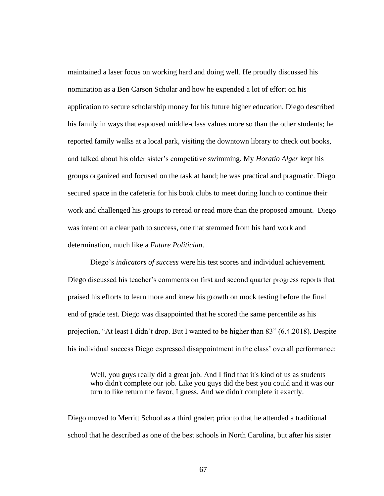maintained a laser focus on working hard and doing well. He proudly discussed his nomination as a Ben Carson Scholar and how he expended a lot of effort on his application to secure scholarship money for his future higher education. Diego described his family in ways that espoused middle-class values more so than the other students; he reported family walks at a local park, visiting the downtown library to check out books, and talked about his older sister's competitive swimming. My *Horatio Alger* kept his groups organized and focused on the task at hand; he was practical and pragmatic. Diego secured space in the cafeteria for his book clubs to meet during lunch to continue their work and challenged his groups to reread or read more than the proposed amount. Diego was intent on a clear path to success, one that stemmed from his hard work and determination, much like a *Future Politician*.

Diego's *indicators of success* were his test scores and individual achievement. Diego discussed his teacher's comments on first and second quarter progress reports that praised his efforts to learn more and knew his growth on mock testing before the final end of grade test. Diego was disappointed that he scored the same percentile as his projection, "At least I didn't drop. But I wanted to be higher than 83" (6.4.2018). Despite his individual success Diego expressed disappointment in the class' overall performance:

Well, you guys really did a great job. And I find that it's kind of us as students who didn't complete our job. Like you guys did the best you could and it was our turn to like return the favor, I guess. And we didn't complete it exactly.

Diego moved to Merritt School as a third grader; prior to that he attended a traditional school that he described as one of the best schools in North Carolina, but after his sister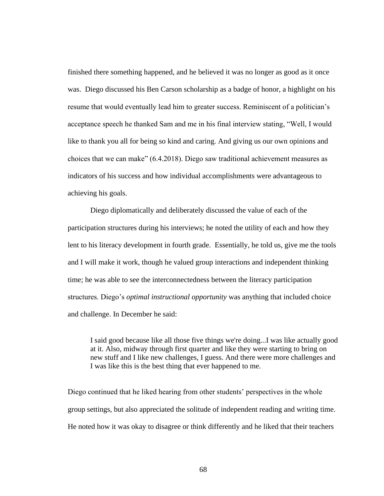finished there something happened, and he believed it was no longer as good as it once was. Diego discussed his Ben Carson scholarship as a badge of honor, a highlight on his resume that would eventually lead him to greater success. Reminiscent of a politician's acceptance speech he thanked Sam and me in his final interview stating, "Well, I would like to thank you all for being so kind and caring. And giving us our own opinions and choices that we can make" (6.4.2018). Diego saw traditional achievement measures as indicators of his success and how individual accomplishments were advantageous to achieving his goals.

Diego diplomatically and deliberately discussed the value of each of the participation structures during his interviews; he noted the utility of each and how they lent to his literacy development in fourth grade. Essentially, he told us, give me the tools and I will make it work, though he valued group interactions and independent thinking time; he was able to see the interconnectedness between the literacy participation structures. Diego's *optimal instructional opportunity* was anything that included choice and challenge. In December he said:

I said good because like all those five things we're doing...I was like actually good at it. Also, midway through first quarter and like they were starting to bring on new stuff and I like new challenges, I guess. And there were more challenges and I was like this is the best thing that ever happened to me.

Diego continued that he liked hearing from other students' perspectives in the whole group settings, but also appreciated the solitude of independent reading and writing time. He noted how it was okay to disagree or think differently and he liked that their teachers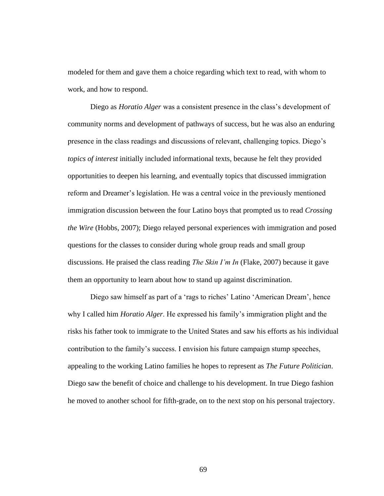modeled for them and gave them a choice regarding which text to read, with whom to work, and how to respond.

Diego as *Horatio Alger* was a consistent presence in the class's development of community norms and development of pathways of success, but he was also an enduring presence in the class readings and discussions of relevant, challenging topics. Diego's *topics of interest* initially included informational texts, because he felt they provided opportunities to deepen his learning, and eventually topics that discussed immigration reform and Dreamer's legislation. He was a central voice in the previously mentioned immigration discussion between the four Latino boys that prompted us to read *Crossing the Wire* (Hobbs, 2007); Diego relayed personal experiences with immigration and posed questions for the classes to consider during whole group reads and small group discussions. He praised the class reading *The Skin I'm In* (Flake, 2007) because it gave them an opportunity to learn about how to stand up against discrimination.

Diego saw himself as part of a 'rags to riches' Latino 'American Dream', hence why I called him *Horatio Alger*. He expressed his family's immigration plight and the risks his father took to immigrate to the United States and saw his efforts as his individual contribution to the family's success. I envision his future campaign stump speeches, appealing to the working Latino families he hopes to represent as *The Future Politician*. Diego saw the benefit of choice and challenge to his development. In true Diego fashion he moved to another school for fifth-grade, on to the next stop on his personal trajectory.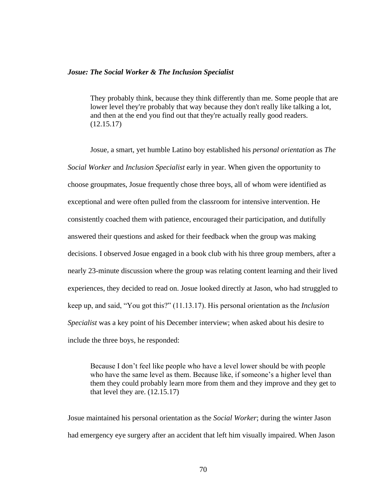## *Josue: The Social Worker & The Inclusion Specialist*

They probably think, because they think differently than me. Some people that are lower level they're probably that way because they don't really like talking a lot, and then at the end you find out that they're actually really good readers. (12.15.17)

Josue, a smart, yet humble Latino boy established his *personal orientation* as *The Social Worker* and *Inclusion Specialist* early in year. When given the opportunity to choose groupmates, Josue frequently chose three boys, all of whom were identified as exceptional and were often pulled from the classroom for intensive intervention. He consistently coached them with patience, encouraged their participation, and dutifully answered their questions and asked for their feedback when the group was making decisions. I observed Josue engaged in a book club with his three group members, after a nearly 23-minute discussion where the group was relating content learning and their lived experiences, they decided to read on. Josue looked directly at Jason, who had struggled to keep up, and said, "You got this?" (11.13.17). His personal orientation as the *Inclusion Specialist* was a key point of his December interview; when asked about his desire to include the three boys, he responded:

Because I don't feel like people who have a level lower should be with people who have the same level as them. Because like, if someone's a higher level than them they could probably learn more from them and they improve and they get to that level they are. (12.15.17)

Josue maintained his personal orientation as the *Social Worker*; during the winter Jason had emergency eye surgery after an accident that left him visually impaired. When Jason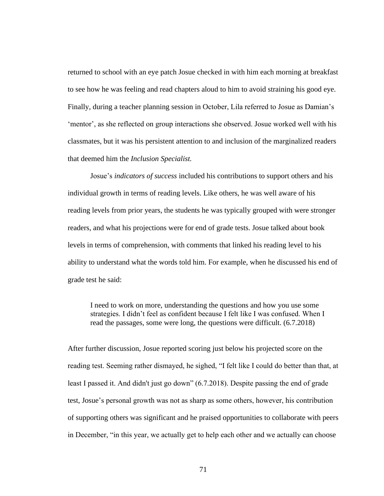returned to school with an eye patch Josue checked in with him each morning at breakfast to see how he was feeling and read chapters aloud to him to avoid straining his good eye. Finally, during a teacher planning session in October, Lila referred to Josue as Damian's 'mentor', as she reflected on group interactions she observed. Josue worked well with his classmates, but it was his persistent attention to and inclusion of the marginalized readers that deemed him the *Inclusion Specialist.*

Josue's *indicators of success* included his contributions to support others and his individual growth in terms of reading levels. Like others, he was well aware of his reading levels from prior years, the students he was typically grouped with were stronger readers, and what his projections were for end of grade tests. Josue talked about book levels in terms of comprehension, with comments that linked his reading level to his ability to understand what the words told him. For example, when he discussed his end of grade test he said:

I need to work on more, understanding the questions and how you use some strategies. I didn't feel as confident because I felt like I was confused. When I read the passages, some were long, the questions were difficult. (6.7.2018)

After further discussion, Josue reported scoring just below his projected score on the reading test. Seeming rather dismayed, he sighed, "I felt like I could do better than that, at least I passed it. And didn't just go down" (6.7.2018). Despite passing the end of grade test, Josue's personal growth was not as sharp as some others, however, his contribution of supporting others was significant and he praised opportunities to collaborate with peers in December, "in this year, we actually get to help each other and we actually can choose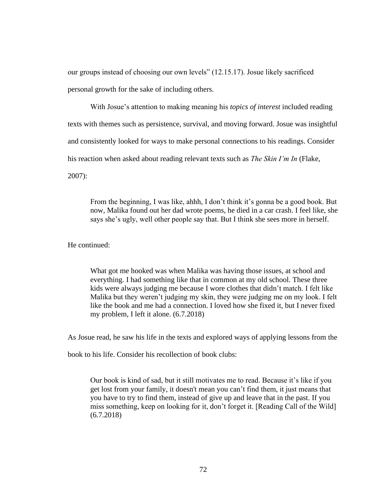our groups instead of choosing our own levels" (12.15.17). Josue likely sacrificed personal growth for the sake of including others.

With Josue's attention to making meaning his *topics of interest* included reading texts with themes such as persistence, survival, and moving forward. Josue was insightful and consistently looked for ways to make personal connections to his readings. Consider his reaction when asked about reading relevant texts such as *The Skin I'm In* (Flake, 2007):

From the beginning, I was like, ahhh, I don't think it's gonna be a good book. But now, Malika found out her dad wrote poems, he died in a car crash. I feel like, she says she's ugly, well other people say that. But I think she sees more in herself.

He continued:

What got me hooked was when Malika was having those issues, at school and everything. I had something like that in common at my old school. These three kids were always judging me because I wore clothes that didn't match. I felt like Malika but they weren't judging my skin, they were judging me on my look. I felt like the book and me had a connection. I loved how she fixed it, but I never fixed my problem, I left it alone. (6.7.2018)

As Josue read, he saw his life in the texts and explored ways of applying lessons from the

book to his life. Consider his recollection of book clubs:

Our book is kind of sad, but it still motivates me to read. Because it's like if you get lost from your family, it doesn't mean you can't find them, it just means that you have to try to find them, instead of give up and leave that in the past. If you miss something, keep on looking for it, don't forget it. [Reading Call of the Wild] (6.7.2018)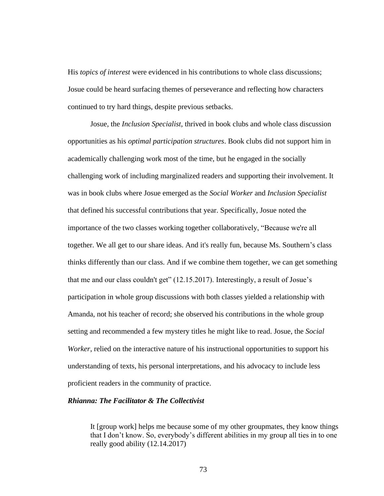His *topics of interest* were evidenced in his contributions to whole class discussions; Josue could be heard surfacing themes of perseverance and reflecting how characters continued to try hard things, despite previous setbacks.

Josue, the *Inclusion Specialist*, thrived in book clubs and whole class discussion opportunities as his *optimal participation structures*. Book clubs did not support him in academically challenging work most of the time, but he engaged in the socially challenging work of including marginalized readers and supporting their involvement. It was in book clubs where Josue emerged as the *Social Worker* and *Inclusion Specialist* that defined his successful contributions that year. Specifically, Josue noted the importance of the two classes working together collaboratively, "Because we're all together. We all get to our share ideas. And it's really fun, because Ms. Southern's class thinks differently than our class. And if we combine them together, we can get something that me and our class couldn't get" (12.15.2017). Interestingly, a result of Josue's participation in whole group discussions with both classes yielded a relationship with Amanda, not his teacher of record; she observed his contributions in the whole group setting and recommended a few mystery titles he might like to read. Josue, the *Social Worker*, relied on the interactive nature of his instructional opportunities to support his understanding of texts, his personal interpretations, and his advocacy to include less proficient readers in the community of practice.

# *Rhianna: The Facilitator & The Collectivist*

It [group work] helps me because some of my other groupmates, they know things that I don't know. So, everybody's different abilities in my group all ties in to one really good ability (12.14.2017)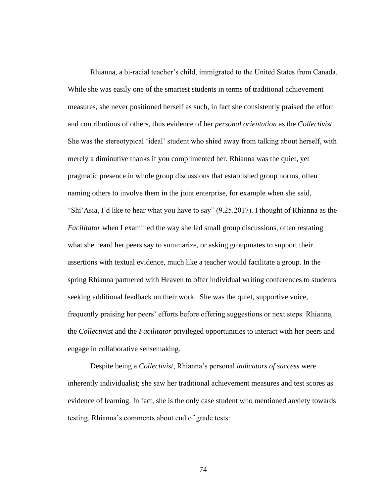Rhianna, a bi-racial teacher's child, immigrated to the United States from Canada. While she was easily one of the smartest students in terms of traditional achievement measures, she never positioned herself as such, in fact she consistently praised the effort and contributions of others, thus evidence of her *personal orientation* as the *Collectivist*. She was the stereotypical 'ideal' student who shied away from talking about herself, with merely a diminutive thanks if you complimented her. Rhianna was the quiet, yet pragmatic presence in whole group discussions that established group norms, often naming others to involve them in the joint enterprise, for example when she said, "Shi'Asia, I'd like to hear what you have to say" (9.25.2017). I thought of Rhianna as the *Facilitator* when I examined the way she led small group discussions, often restating what she heard her peers say to summarize, or asking groupmates to support their assertions with textual evidence, much like a teacher would facilitate a group. In the spring Rhianna partnered with Heaven to offer individual writing conferences to students seeking additional feedback on their work. She was the quiet, supportive voice, frequently praising her peers' efforts before offering suggestions or next steps. Rhianna, the *Collectivist* and the *Facilitator* privileged opportunities to interact with her peers and engage in collaborative sensemaking.

Despite being a *Collectivist*, Rhianna's personal *indicators of success* were inherently individualist; she saw her traditional achievement measures and test scores as evidence of learning. In fact, she is the only case student who mentioned anxiety towards testing. Rhianna's comments about end of grade tests: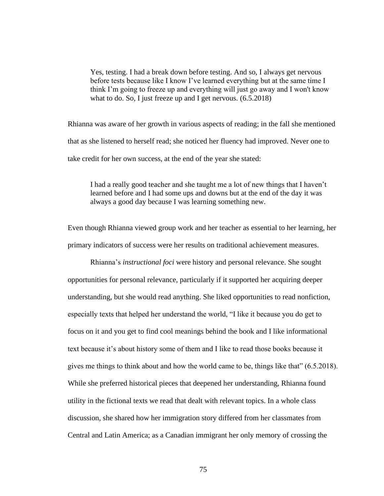Yes, testing. I had a break down before testing. And so, I always get nervous before tests because like I know I've learned everything but at the same time I think I'm going to freeze up and everything will just go away and I won't know what to do. So, I just freeze up and I get nervous.  $(6.5.2018)$ 

Rhianna was aware of her growth in various aspects of reading; in the fall she mentioned that as she listened to herself read; she noticed her fluency had improved. Never one to take credit for her own success, at the end of the year she stated:

I had a really good teacher and she taught me a lot of new things that I haven't learned before and I had some ups and downs but at the end of the day it was always a good day because I was learning something new.

Even though Rhianna viewed group work and her teacher as essential to her learning, her primary indicators of success were her results on traditional achievement measures.

Rhianna's *instructional foci* were history and personal relevance. She sought opportunities for personal relevance, particularly if it supported her acquiring deeper understanding, but she would read anything. She liked opportunities to read nonfiction, especially texts that helped her understand the world, "I like it because you do get to focus on it and you get to find cool meanings behind the book and I like informational text because it's about history some of them and I like to read those books because it gives me things to think about and how the world came to be, things like that" (6.5.2018). While she preferred historical pieces that deepened her understanding, Rhianna found utility in the fictional texts we read that dealt with relevant topics. In a whole class discussion, she shared how her immigration story differed from her classmates from Central and Latin America; as a Canadian immigrant her only memory of crossing the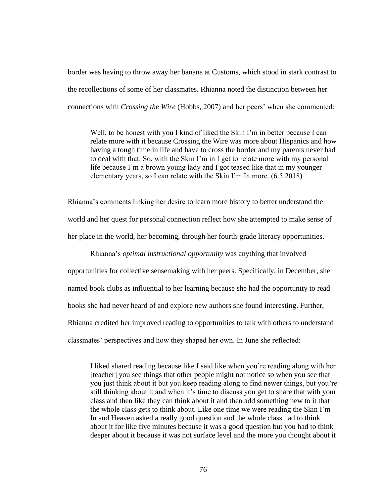border was having to throw away her banana at Customs, which stood in stark contrast to the recollections of some of her classmates. Rhianna noted the distinction between her connections with *Crossing the Wire* (Hobbs, 2007) and her peers' when she commented:

Well, to be honest with you I kind of liked the Skin I'm in better because I can relate more with it because Crossing the Wire was more about Hispanics and how having a tough time in life and have to cross the border and my parents never had to deal with that. So, with the Skin I'm in I get to relate more with my personal life because I'm a brown young lady and I got teased like that in my younger elementary years, so I can relate with the Skin I'm In more. (6.5.2018)

Rhianna's comments linking her desire to learn more history to better understand the world and her quest for personal connection reflect how she attempted to make sense of her place in the world, her becoming, through her fourth-grade literacy opportunities.

Rhianna's *optimal instructional opportunity* was anything that involved opportunities for collective sensemaking with her peers. Specifically, in December, she named book clubs as influential to her learning because she had the opportunity to read books she had never heard of and explore new authors she found interesting. Further, Rhianna credited her improved reading to opportunities to talk with others to understand classmates' perspectives and how they shaped her own. In June she reflected:

I liked shared reading because like I said like when you're reading along with her [teacher] you see things that other people might not notice so when you see that you just think about it but you keep reading along to find newer things, but you're still thinking about it and when it's time to discuss you get to share that with your class and then like they can think about it and then add something new to it that the whole class gets to think about. Like one time we were reading the Skin I'm In and Heaven asked a really good question and the whole class had to think about it for like five minutes because it was a good question but you had to think deeper about it because it was not surface level and the more you thought about it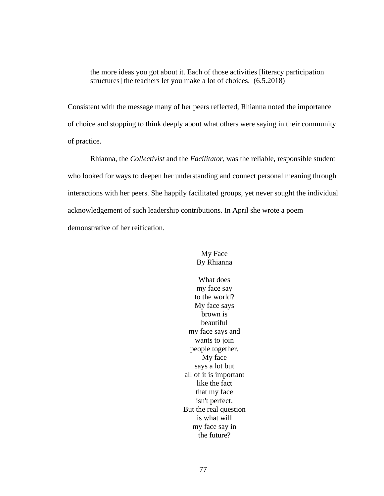the more ideas you got about it. Each of those activities [literacy participation structures] the teachers let you make a lot of choices. (6.5.2018)

Consistent with the message many of her peers reflected, Rhianna noted the importance of choice and stopping to think deeply about what others were saying in their community of practice.

Rhianna, the *Collectivist* and the *Facilitator*, was the reliable, responsible student who looked for ways to deepen her understanding and connect personal meaning through interactions with her peers. She happily facilitated groups, yet never sought the individual acknowledgement of such leadership contributions. In April she wrote a poem demonstrative of her reification.

> My Face By Rhianna

What does my face say to the world? My face says brown is beautiful my face says and wants to join people together. My face says a lot but all of it is important like the fact that my face isn't perfect. But the real question is what will my face say in the future?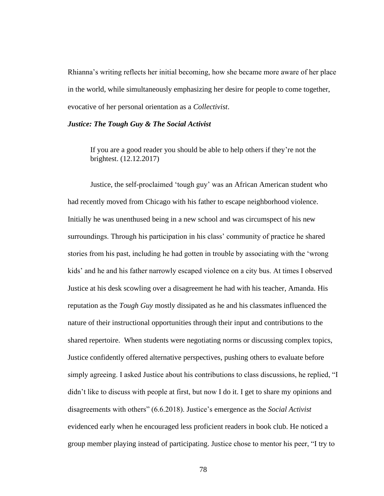Rhianna's writing reflects her initial becoming, how she became more aware of her place in the world, while simultaneously emphasizing her desire for people to come together, evocative of her personal orientation as a *Collectivist*.

## *Justice: The Tough Guy & The Social Activist*

If you are a good reader you should be able to help others if they're not the brightest. (12.12.2017)

Justice, the self-proclaimed 'tough guy' was an African American student who had recently moved from Chicago with his father to escape neighborhood violence. Initially he was unenthused being in a new school and was circumspect of his new surroundings. Through his participation in his class' community of practice he shared stories from his past, including he had gotten in trouble by associating with the 'wrong kids' and he and his father narrowly escaped violence on a city bus. At times I observed Justice at his desk scowling over a disagreement he had with his teacher, Amanda. His reputation as the *Tough Guy* mostly dissipated as he and his classmates influenced the nature of their instructional opportunities through their input and contributions to the shared repertoire. When students were negotiating norms or discussing complex topics, Justice confidently offered alternative perspectives, pushing others to evaluate before simply agreeing. I asked Justice about his contributions to class discussions, he replied, "I didn't like to discuss with people at first, but now I do it. I get to share my opinions and disagreements with others" (6.6.2018). Justice's emergence as the *Social Activist* evidenced early when he encouraged less proficient readers in book club. He noticed a group member playing instead of participating. Justice chose to mentor his peer, "I try to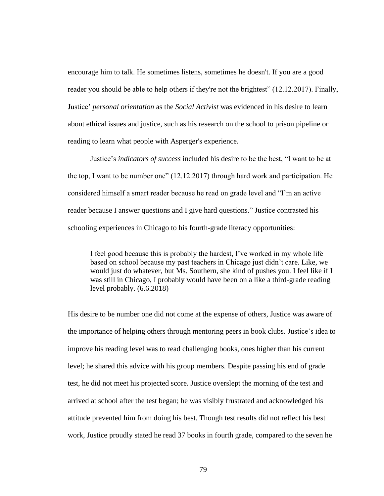encourage him to talk. He sometimes listens, sometimes he doesn't. If you are a good reader you should be able to help others if they're not the brightest" (12.12.2017). Finally, Justice' *personal orientation* as the *Social Activist* was evidenced in his desire to learn about ethical issues and justice, such as his research on the school to prison pipeline or reading to learn what people with Asperger's experience.

Justice's *indicators of success* included his desire to be the best, "I want to be at the top, I want to be number one" (12.12.2017) through hard work and participation. He considered himself a smart reader because he read on grade level and "I'm an active reader because I answer questions and I give hard questions." Justice contrasted his schooling experiences in Chicago to his fourth-grade literacy opportunities:

I feel good because this is probably the hardest, I've worked in my whole life based on school because my past teachers in Chicago just didn't care. Like, we would just do whatever, but Ms. Southern, she kind of pushes you. I feel like if I was still in Chicago, I probably would have been on a like a third-grade reading level probably. (6.6.2018)

His desire to be number one did not come at the expense of others, Justice was aware of the importance of helping others through mentoring peers in book clubs. Justice's idea to improve his reading level was to read challenging books, ones higher than his current level; he shared this advice with his group members. Despite passing his end of grade test, he did not meet his projected score. Justice overslept the morning of the test and arrived at school after the test began; he was visibly frustrated and acknowledged his attitude prevented him from doing his best. Though test results did not reflect his best work, Justice proudly stated he read 37 books in fourth grade, compared to the seven he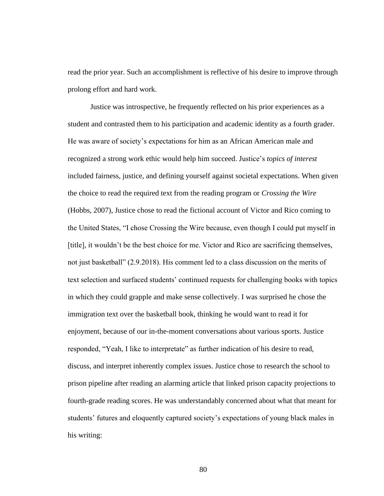read the prior year. Such an accomplishment is reflective of his desire to improve through prolong effort and hard work.

Justice was introspective, he frequently reflected on his prior experiences as a student and contrasted them to his participation and academic identity as a fourth grader. He was aware of society's expectations for him as an African American male and recognized a strong work ethic would help him succeed. Justice's *topics of interest* included fairness, justice, and defining yourself against societal expectations. When given the choice to read the required text from the reading program or *Crossing the Wire* (Hobbs, 2007), Justice chose to read the fictional account of Victor and Rico coming to the United States, "I chose Crossing the Wire because, even though I could put myself in [title], it wouldn't be the best choice for me. Victor and Rico are sacrificing themselves, not just basketball" (2.9.2018). His comment led to a class discussion on the merits of text selection and surfaced students' continued requests for challenging books with topics in which they could grapple and make sense collectively. I was surprised he chose the immigration text over the basketball book, thinking he would want to read it for enjoyment, because of our in-the-moment conversations about various sports. Justice responded, "Yeah, I like to interpretate" as further indication of his desire to read, discuss, and interpret inherently complex issues. Justice chose to research the school to prison pipeline after reading an alarming article that linked prison capacity projections to fourth-grade reading scores. He was understandably concerned about what that meant for students' futures and eloquently captured society's expectations of young black males in his writing: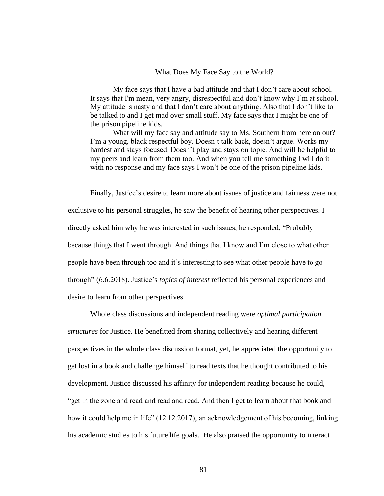#### What Does My Face Say to the World?

My face says that I have a bad attitude and that I don't care about school. It says that I'm mean, very angry, disrespectful and don't know why I'm at school. My attitude is nasty and that I don't care about anything. Also that I don't like to be talked to and I get mad over small stuff. My face says that I might be one of the prison pipeline kids.

What will my face say and attitude say to Ms. Southern from here on out? I'm a young, black respectful boy. Doesn't talk back, doesn't argue. Works my hardest and stays focused. Doesn't play and stays on topic. And will be helpful to my peers and learn from them too. And when you tell me something I will do it with no response and my face says I won't be one of the prison pipeline kids.

Finally, Justice's desire to learn more about issues of justice and fairness were not exclusive to his personal struggles, he saw the benefit of hearing other perspectives. I directly asked him why he was interested in such issues, he responded, "Probably because things that I went through. And things that I know and I'm close to what other people have been through too and it's interesting to see what other people have to go through" (6.6.2018). Justice's *topics of interest* reflected his personal experiences and desire to learn from other perspectives.

Whole class discussions and independent reading were *optimal participation structures* for Justice. He benefitted from sharing collectively and hearing different perspectives in the whole class discussion format, yet, he appreciated the opportunity to get lost in a book and challenge himself to read texts that he thought contributed to his development. Justice discussed his affinity for independent reading because he could, "get in the zone and read and read and read. And then I get to learn about that book and how it could help me in life" (12.12.2017), an acknowledgement of his becoming, linking his academic studies to his future life goals. He also praised the opportunity to interact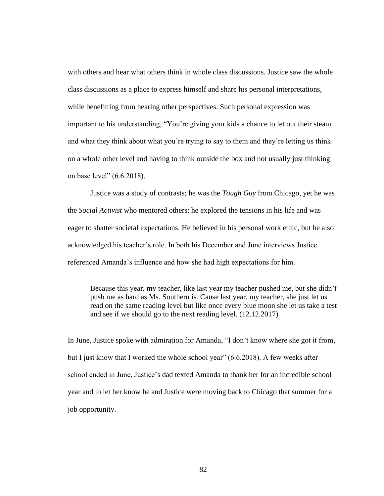with others and hear what others think in whole class discussions. Justice saw the whole class discussions as a place to express himself and share his personal interpretations, while benefitting from hearing other perspectives. Such personal expression was important to his understanding, "You're giving your kids a chance to let out their steam and what they think about what you're trying to say to them and they're letting us think on a whole other level and having to think outside the box and not usually just thinking on base level" (6.6.2018).

Justice was a study of contrasts; he was the *Tough Guy* from Chicago, yet he was the *Social Activist* who mentored others; he explored the tensions in his life and was eager to shatter societal expectations. He believed in his personal work ethic, but he also acknowledged his teacher's role. In both his December and June interviews Justice referenced Amanda's influence and how she had high expectations for him.

Because this year, my teacher, like last year my teacher pushed me, but she didn't push me as hard as Ms. Southern is. Cause last year, my teacher, she just let us read on the same reading level but like once every blue moon she let us take a test and see if we should go to the next reading level. (12.12.2017)

In June, Justice spoke with admiration for Amanda, "I don't know where she got it from, but I just know that I worked the whole school year" (6.6.2018). A few weeks after school ended in June, Justice's dad texted Amanda to thank her for an incredible school year and to let her know he and Justice were moving back to Chicago that summer for a job opportunity.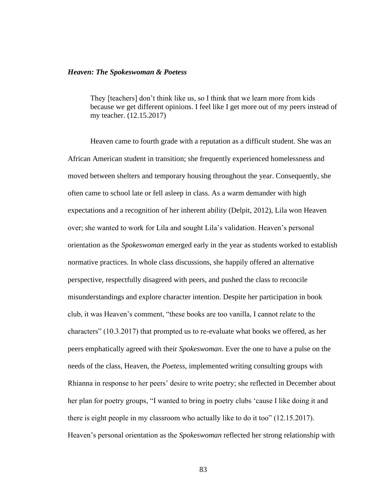#### *Heaven: The Spokeswoman & Poetess*

They [teachers] don't think like us, so I think that we learn more from kids because we get different opinions. I feel like I get more out of my peers instead of my teacher. (12.15.2017)

Heaven came to fourth grade with a reputation as a difficult student. She was an African American student in transition; she frequently experienced homelessness and moved between shelters and temporary housing throughout the year. Consequently, she often came to school late or fell asleep in class. As a warm demander with high expectations and a recognition of her inherent ability (Delpit, 2012), Lila won Heaven over; she wanted to work for Lila and sought Lila's validation. Heaven's personal orientation as the *Spokeswoman* emerged early in the year as students worked to establish normative practices. In whole class discussions, she happily offered an alternative perspective, respectfully disagreed with peers, and pushed the class to reconcile misunderstandings and explore character intention. Despite her participation in book club, it was Heaven's comment, "these books are too vanilla, I cannot relate to the characters" (10.3.2017) that prompted us to re-evaluate what books we offered, as her peers emphatically agreed with their *Spokeswoman*. Ever the one to have a pulse on the needs of the class, Heaven, the *Poetess*, implemented writing consulting groups with Rhianna in response to her peers' desire to write poetry; she reflected in December about her plan for poetry groups, "I wanted to bring in poetry clubs 'cause I like doing it and there is eight people in my classroom who actually like to do it too" (12.15.2017). Heaven's personal orientation as the *Spokeswoman* reflected her strong relationship with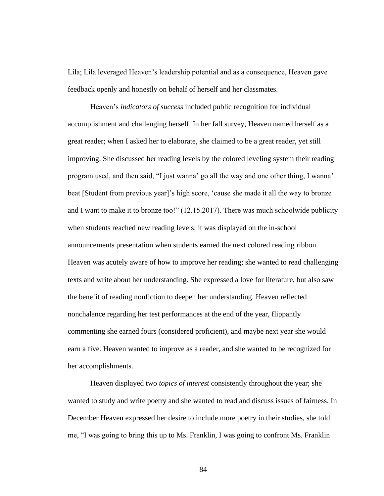Lila; Lila leveraged Heaven's leadership potential and as a consequence, Heaven gave feedback openly and honestly on behalf of herself and her classmates.

Heaven's *indicators of success* included public recognition for individual accomplishment and challenging herself. In her fall survey, Heaven named herself as a great reader; when I asked her to elaborate, she claimed to be a great reader, yet still improving. She discussed her reading levels by the colored leveling system their reading program used, and then said, "I just wanna' go all the way and one other thing, I wanna' beat [Student from previous year]'s high score, 'cause she made it all the way to bronze and I want to make it to bronze too!" (12.15.2017). There was much schoolwide publicity when students reached new reading levels; it was displayed on the in-school announcements presentation when students earned the next colored reading ribbon. Heaven was acutely aware of how to improve her reading; she wanted to read challenging texts and write about her understanding. She expressed a love for literature, but also saw the benefit of reading nonfiction to deepen her understanding. Heaven reflected nonchalance regarding her test performances at the end of the year, flippantly commenting she earned fours (considered proficient), and maybe next year she would earn a five. Heaven wanted to improve as a reader, and she wanted to be recognized for her accomplishments.

Heaven displayed two *topics of interest* consistently throughout the year; she wanted to study and write poetry and she wanted to read and discuss issues of fairness. In December Heaven expressed her desire to include more poetry in their studies, she told me, "I was going to bring this up to Ms. Franklin, I was going to confront Ms. Franklin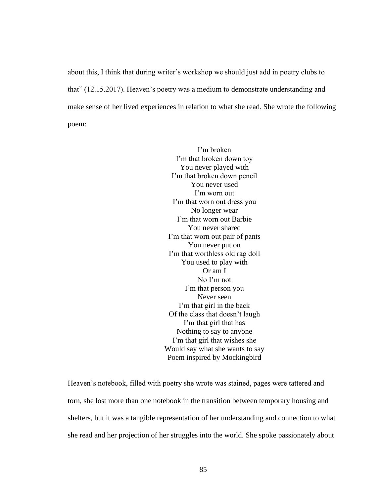about this, I think that during writer's workshop we should just add in poetry clubs to that" (12.15.2017). Heaven's poetry was a medium to demonstrate understanding and make sense of her lived experiences in relation to what she read. She wrote the following poem:

> I'm broken I'm that broken down toy You never played with I'm that broken down pencil You never used I'm worn out I'm that worn out dress you No longer wear I'm that worn out Barbie You never shared I'm that worn out pair of pants You never put on I'm that worthless old rag doll You used to play with Or am I No I'm not I'm that person you Never seen I'm that girl in the back Of the class that doesn't laugh I'm that girl that has Nothing to say to anyone I'm that girl that wishes she Would say what she wants to say Poem inspired by Mockingbird

Heaven's notebook, filled with poetry she wrote was stained, pages were tattered and torn, she lost more than one notebook in the transition between temporary housing and shelters, but it was a tangible representation of her understanding and connection to what she read and her projection of her struggles into the world. She spoke passionately about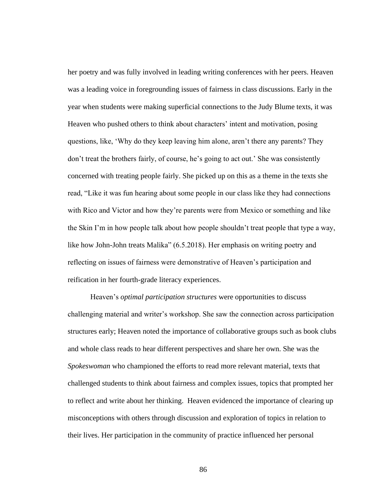her poetry and was fully involved in leading writing conferences with her peers. Heaven was a leading voice in foregrounding issues of fairness in class discussions. Early in the year when students were making superficial connections to the Judy Blume texts, it was Heaven who pushed others to think about characters' intent and motivation, posing questions, like, 'Why do they keep leaving him alone, aren't there any parents? They don't treat the brothers fairly, of course, he's going to act out.' She was consistently concerned with treating people fairly. She picked up on this as a theme in the texts she read, "Like it was fun hearing about some people in our class like they had connections with Rico and Victor and how they're parents were from Mexico or something and like the Skin I'm in how people talk about how people shouldn't treat people that type a way, like how John-John treats Malika" (6.5.2018). Her emphasis on writing poetry and reflecting on issues of fairness were demonstrative of Heaven's participation and reification in her fourth-grade literacy experiences.

Heaven's *optimal participation structures* were opportunities to discuss challenging material and writer's workshop. She saw the connection across participation structures early; Heaven noted the importance of collaborative groups such as book clubs and whole class reads to hear different perspectives and share her own. She was the *Spokeswoman* who championed the efforts to read more relevant material, texts that challenged students to think about fairness and complex issues, topics that prompted her to reflect and write about her thinking. Heaven evidenced the importance of clearing up misconceptions with others through discussion and exploration of topics in relation to their lives. Her participation in the community of practice influenced her personal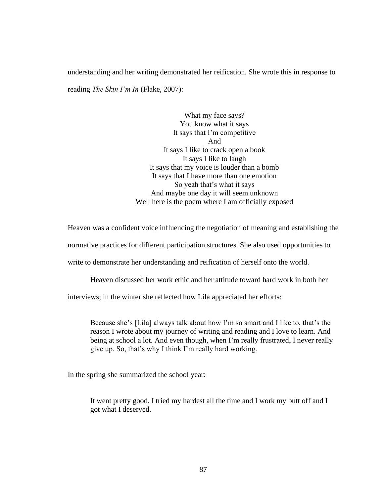understanding and her writing demonstrated her reification. She wrote this in response to reading *The Skin I'm In* (Flake, 2007):

> What my face says? You know what it says It says that I'm competitive And It says I like to crack open a book It says I like to laugh It says that my voice is louder than a bomb It says that I have more than one emotion So yeah that's what it says And maybe one day it will seem unknown Well here is the poem where I am officially exposed

Heaven was a confident voice influencing the negotiation of meaning and establishing the

normative practices for different participation structures. She also used opportunities to

write to demonstrate her understanding and reification of herself onto the world.

Heaven discussed her work ethic and her attitude toward hard work in both her

interviews; in the winter she reflected how Lila appreciated her efforts:

Because she's [Lila] always talk about how I'm so smart and I like to, that's the reason I wrote about my journey of writing and reading and I love to learn. And being at school a lot. And even though, when I'm really frustrated, I never really give up. So, that's why I think I'm really hard working.

In the spring she summarized the school year:

It went pretty good. I tried my hardest all the time and I work my butt off and I got what I deserved.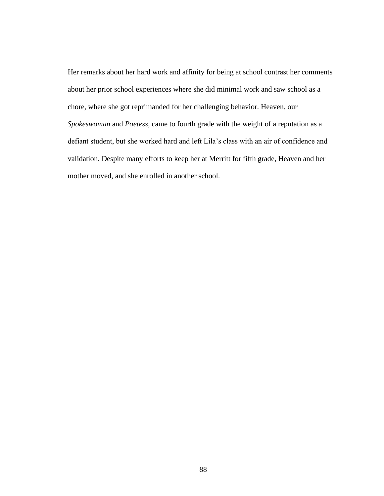Her remarks about her hard work and affinity for being at school contrast her comments about her prior school experiences where she did minimal work and saw school as a chore, where she got reprimanded for her challenging behavior. Heaven, our *Spokeswoman* and *Poetess*, came to fourth grade with the weight of a reputation as a defiant student, but she worked hard and left Lila's class with an air of confidence and validation. Despite many efforts to keep her at Merritt for fifth grade, Heaven and her mother moved, and she enrolled in another school.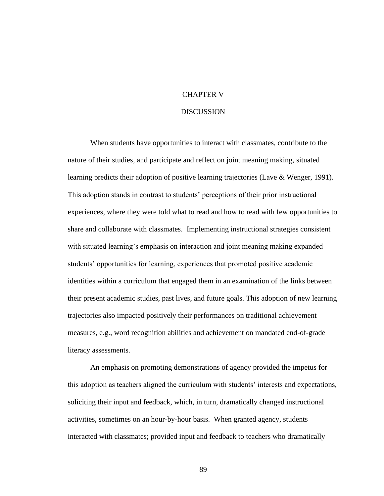# CHAPTER V

## **DISCUSSION**

When students have opportunities to interact with classmates, contribute to the nature of their studies, and participate and reflect on joint meaning making, situated learning predicts their adoption of positive learning trajectories (Lave & Wenger, 1991). This adoption stands in contrast to students' perceptions of their prior instructional experiences, where they were told what to read and how to read with few opportunities to share and collaborate with classmates. Implementing instructional strategies consistent with situated learning's emphasis on interaction and joint meaning making expanded students' opportunities for learning, experiences that promoted positive academic identities within a curriculum that engaged them in an examination of the links between their present academic studies, past lives, and future goals. This adoption of new learning trajectories also impacted positively their performances on traditional achievement measures, e.g., word recognition abilities and achievement on mandated end-of-grade literacy assessments.

An emphasis on promoting demonstrations of agency provided the impetus for this adoption as teachers aligned the curriculum with students' interests and expectations, soliciting their input and feedback, which, in turn, dramatically changed instructional activities, sometimes on an hour-by-hour basis. When granted agency, students interacted with classmates; provided input and feedback to teachers who dramatically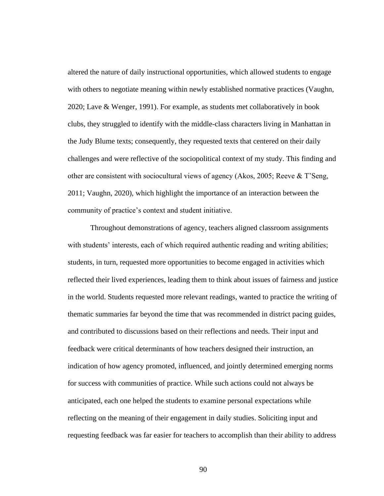altered the nature of daily instructional opportunities, which allowed students to engage with others to negotiate meaning within newly established normative practices (Vaughn, 2020; Lave & Wenger, 1991). For example, as students met collaboratively in book clubs, they struggled to identify with the middle-class characters living in Manhattan in the Judy Blume texts; consequently, they requested texts that centered on their daily challenges and were reflective of the sociopolitical context of my study. This finding and other are consistent with sociocultural views of agency (Akos, 2005; Reeve & T'Seng, 2011; Vaughn, 2020), which highlight the importance of an interaction between the community of practice's context and student initiative.

Throughout demonstrations of agency, teachers aligned classroom assignments with students' interests, each of which required authentic reading and writing abilities; students, in turn, requested more opportunities to become engaged in activities which reflected their lived experiences, leading them to think about issues of fairness and justice in the world. Students requested more relevant readings, wanted to practice the writing of thematic summaries far beyond the time that was recommended in district pacing guides, and contributed to discussions based on their reflections and needs. Their input and feedback were critical determinants of how teachers designed their instruction, an indication of how agency promoted, influenced, and jointly determined emerging norms for success with communities of practice. While such actions could not always be anticipated, each one helped the students to examine personal expectations while reflecting on the meaning of their engagement in daily studies. Soliciting input and requesting feedback was far easier for teachers to accomplish than their ability to address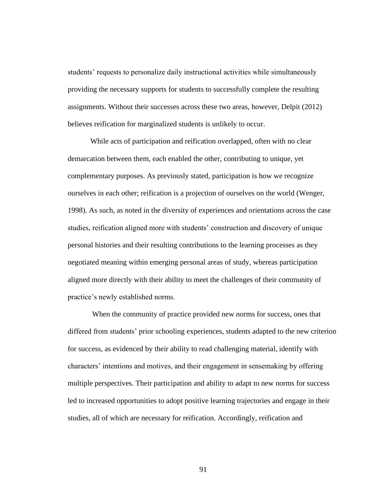students' requests to personalize daily instructional activities while simultaneously providing the necessary supports for students to successfully complete the resulting assignments. Without their successes across these two areas, however, Delpit (2012) believes reification for marginalized students is unlikely to occur.

While acts of participation and reification overlapped, often with no clear demarcation between them, each enabled the other, contributing to unique, yet complementary purposes. As previously stated, participation is how we recognize ourselves in each other; reification is a projection of ourselves on the world (Wenger, 1998). As such, as noted in the diversity of experiences and orientations across the case studies, reification aligned more with students' construction and discovery of unique personal histories and their resulting contributions to the learning processes as they negotiated meaning within emerging personal areas of study, whereas participation aligned more directly with their ability to meet the challenges of their community of practice's newly established norms.

When the community of practice provided new norms for success, ones that differed from students' prior schooling experiences, students adapted to the new criterion for success, as evidenced by their ability to read challenging material, identify with characters' intentions and motives, and their engagement in sensemaking by offering multiple perspectives. Their participation and ability to adapt to new norms for success led to increased opportunities to adopt positive learning trajectories and engage in their studies, all of which are necessary for reification. Accordingly, reification and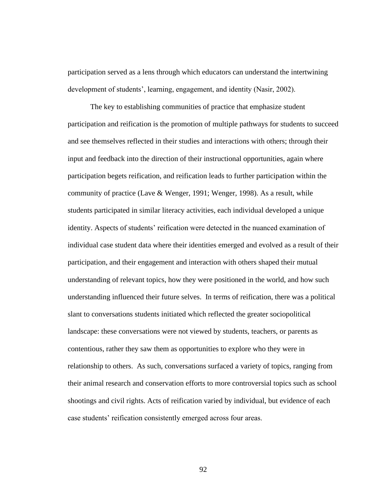participation served as a lens through which educators can understand the intertwining development of students', learning, engagement, and identity (Nasir, 2002).

The key to establishing communities of practice that emphasize student participation and reification is the promotion of multiple pathways for students to succeed and see themselves reflected in their studies and interactions with others; through their input and feedback into the direction of their instructional opportunities, again where participation begets reification, and reification leads to further participation within the community of practice (Lave  $&$  Wenger, 1991; Wenger, 1998). As a result, while students participated in similar literacy activities, each individual developed a unique identity. Aspects of students' reification were detected in the nuanced examination of individual case student data where their identities emerged and evolved as a result of their participation, and their engagement and interaction with others shaped their mutual understanding of relevant topics, how they were positioned in the world, and how such understanding influenced their future selves. In terms of reification, there was a political slant to conversations students initiated which reflected the greater sociopolitical landscape: these conversations were not viewed by students, teachers, or parents as contentious, rather they saw them as opportunities to explore who they were in relationship to others. As such, conversations surfaced a variety of topics, ranging from their animal research and conservation efforts to more controversial topics such as school shootings and civil rights. Acts of reification varied by individual, but evidence of each case students' reification consistently emerged across four areas.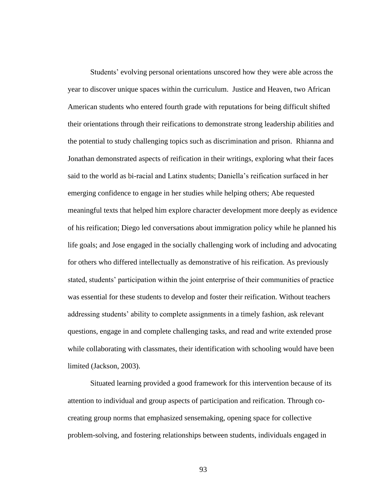Students' evolving personal orientations unscored how they were able across the year to discover unique spaces within the curriculum. Justice and Heaven, two African American students who entered fourth grade with reputations for being difficult shifted their orientations through their reifications to demonstrate strong leadership abilities and the potential to study challenging topics such as discrimination and prison. Rhianna and Jonathan demonstrated aspects of reification in their writings, exploring what their faces said to the world as bi-racial and Latinx students; Daniella's reification surfaced in her emerging confidence to engage in her studies while helping others; Abe requested meaningful texts that helped him explore character development more deeply as evidence of his reification; Diego led conversations about immigration policy while he planned his life goals; and Jose engaged in the socially challenging work of including and advocating for others who differed intellectually as demonstrative of his reification. As previously stated, students' participation within the joint enterprise of their communities of practice was essential for these students to develop and foster their reification. Without teachers addressing students' ability to complete assignments in a timely fashion, ask relevant questions, engage in and complete challenging tasks, and read and write extended prose while collaborating with classmates, their identification with schooling would have been limited (Jackson, 2003).

Situated learning provided a good framework for this intervention because of its attention to individual and group aspects of participation and reification. Through cocreating group norms that emphasized sensemaking, opening space for collective problem-solving, and fostering relationships between students, individuals engaged in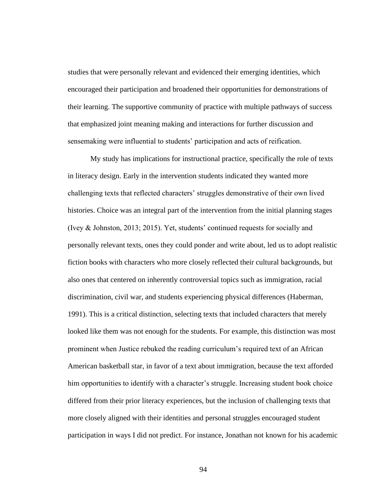studies that were personally relevant and evidenced their emerging identities, which encouraged their participation and broadened their opportunities for demonstrations of their learning. The supportive community of practice with multiple pathways of success that emphasized joint meaning making and interactions for further discussion and sensemaking were influential to students' participation and acts of reification.

My study has implications for instructional practice, specifically the role of texts in literacy design. Early in the intervention students indicated they wanted more challenging texts that reflected characters' struggles demonstrative of their own lived histories. Choice was an integral part of the intervention from the initial planning stages (Ivey & Johnston, 2013; 2015). Yet, students' continued requests for socially and personally relevant texts, ones they could ponder and write about, led us to adopt realistic fiction books with characters who more closely reflected their cultural backgrounds, but also ones that centered on inherently controversial topics such as immigration, racial discrimination, civil war, and students experiencing physical differences (Haberman, 1991). This is a critical distinction, selecting texts that included characters that merely looked like them was not enough for the students. For example, this distinction was most prominent when Justice rebuked the reading curriculum's required text of an African American basketball star, in favor of a text about immigration, because the text afforded him opportunities to identify with a character's struggle. Increasing student book choice differed from their prior literacy experiences, but the inclusion of challenging texts that more closely aligned with their identities and personal struggles encouraged student participation in ways I did not predict. For instance, Jonathan not known for his academic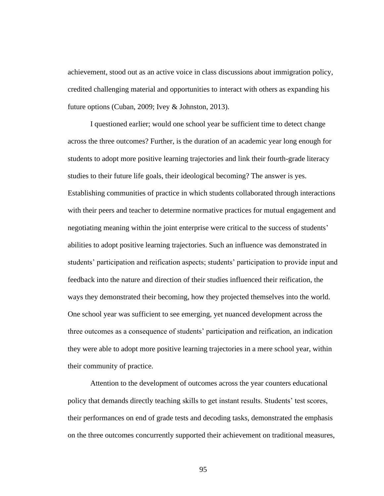achievement, stood out as an active voice in class discussions about immigration policy, credited challenging material and opportunities to interact with others as expanding his future options (Cuban, 2009; Ivey & Johnston, 2013).

I questioned earlier; would one school year be sufficient time to detect change across the three outcomes? Further, is the duration of an academic year long enough for students to adopt more positive learning trajectories and link their fourth-grade literacy studies to their future life goals, their ideological becoming? The answer is yes. Establishing communities of practice in which students collaborated through interactions with their peers and teacher to determine normative practices for mutual engagement and negotiating meaning within the joint enterprise were critical to the success of students' abilities to adopt positive learning trajectories. Such an influence was demonstrated in students' participation and reification aspects; students' participation to provide input and feedback into the nature and direction of their studies influenced their reification, the ways they demonstrated their becoming, how they projected themselves into the world. One school year was sufficient to see emerging, yet nuanced development across the three outcomes as a consequence of students' participation and reification, an indication they were able to adopt more positive learning trajectories in a mere school year, within their community of practice.

Attention to the development of outcomes across the year counters educational policy that demands directly teaching skills to get instant results. Students' test scores, their performances on end of grade tests and decoding tasks, demonstrated the emphasis on the three outcomes concurrently supported their achievement on traditional measures,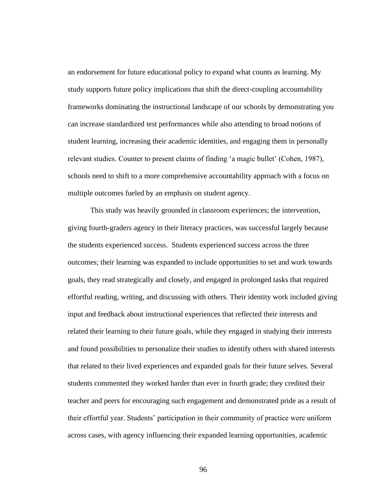an endorsement for future educational policy to expand what counts as learning. My study supports future policy implications that shift the direct-coupling accountability frameworks dominating the instructional landscape of our schools by demonstrating you can increase standardized test performances while also attending to broad notions of student learning, increasing their academic identities, and engaging them in personally relevant studies. Counter to present claims of finding 'a magic bullet' (Cohen, 1987), schools need to shift to a more comprehensive accountability approach with a focus on multiple outcomes fueled by an emphasis on student agency.

This study was heavily grounded in classroom experiences; the intervention, giving fourth-graders agency in their literacy practices, was successful largely because the students experienced success. Students experienced success across the three outcomes; their learning was expanded to include opportunities to set and work towards goals, they read strategically and closely, and engaged in prolonged tasks that required effortful reading, writing, and discussing with others. Their identity work included giving input and feedback about instructional experiences that reflected their interests and related their learning to their future goals, while they engaged in studying their interests and found possibilities to personalize their studies to identify others with shared interests that related to their lived experiences and expanded goals for their future selves. Several students commented they worked harder than ever in fourth grade; they credited their teacher and peers for encouraging such engagement and demonstrated pride as a result of their effortful year. Students' participation in their community of practice were uniform across cases, with agency influencing their expanded learning opportunities, academic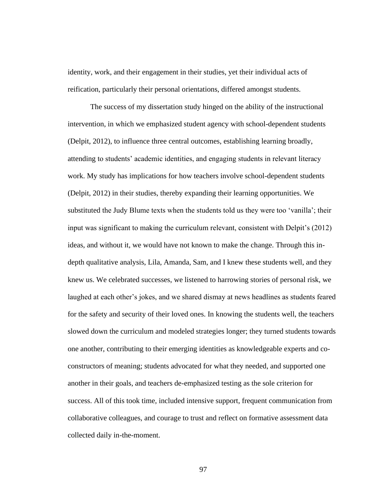identity, work, and their engagement in their studies, yet their individual acts of reification, particularly their personal orientations, differed amongst students.

The success of my dissertation study hinged on the ability of the instructional intervention, in which we emphasized student agency with school-dependent students (Delpit, 2012), to influence three central outcomes, establishing learning broadly, attending to students' academic identities, and engaging students in relevant literacy work. My study has implications for how teachers involve school-dependent students (Delpit, 2012) in their studies, thereby expanding their learning opportunities. We substituted the Judy Blume texts when the students told us they were too 'vanilla'; their input was significant to making the curriculum relevant, consistent with Delpit's (2012) ideas, and without it, we would have not known to make the change. Through this indepth qualitative analysis, Lila, Amanda, Sam, and I knew these students well, and they knew us. We celebrated successes, we listened to harrowing stories of personal risk, we laughed at each other's jokes, and we shared dismay at news headlines as students feared for the safety and security of their loved ones. In knowing the students well, the teachers slowed down the curriculum and modeled strategies longer; they turned students towards one another, contributing to their emerging identities as knowledgeable experts and coconstructors of meaning; students advocated for what they needed, and supported one another in their goals, and teachers de-emphasized testing as the sole criterion for success. All of this took time, included intensive support, frequent communication from collaborative colleagues, and courage to trust and reflect on formative assessment data collected daily in-the-moment.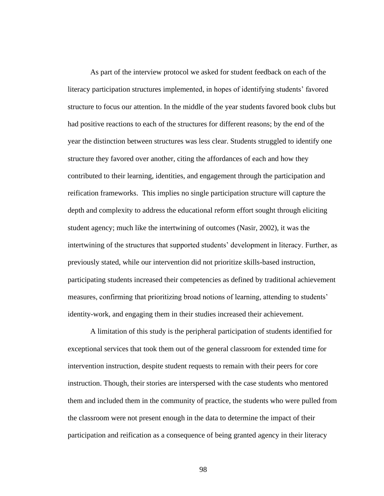As part of the interview protocol we asked for student feedback on each of the literacy participation structures implemented, in hopes of identifying students' favored structure to focus our attention. In the middle of the year students favored book clubs but had positive reactions to each of the structures for different reasons; by the end of the year the distinction between structures was less clear. Students struggled to identify one structure they favored over another, citing the affordances of each and how they contributed to their learning, identities, and engagement through the participation and reification frameworks. This implies no single participation structure will capture the depth and complexity to address the educational reform effort sought through eliciting student agency; much like the intertwining of outcomes (Nasir, 2002), it was the intertwining of the structures that supported students' development in literacy. Further, as previously stated, while our intervention did not prioritize skills-based instruction, participating students increased their competencies as defined by traditional achievement measures, confirming that prioritizing broad notions of learning, attending to students' identity-work, and engaging them in their studies increased their achievement.

A limitation of this study is the peripheral participation of students identified for exceptional services that took them out of the general classroom for extended time for intervention instruction, despite student requests to remain with their peers for core instruction. Though, their stories are interspersed with the case students who mentored them and included them in the community of practice, the students who were pulled from the classroom were not present enough in the data to determine the impact of their participation and reification as a consequence of being granted agency in their literacy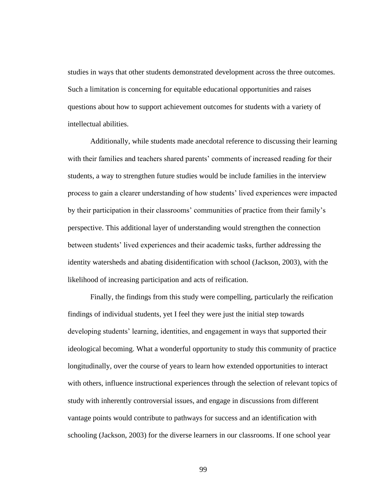studies in ways that other students demonstrated development across the three outcomes. Such a limitation is concerning for equitable educational opportunities and raises questions about how to support achievement outcomes for students with a variety of intellectual abilities.

Additionally, while students made anecdotal reference to discussing their learning with their families and teachers shared parents' comments of increased reading for their students, a way to strengthen future studies would be include families in the interview process to gain a clearer understanding of how students' lived experiences were impacted by their participation in their classrooms' communities of practice from their family's perspective. This additional layer of understanding would strengthen the connection between students' lived experiences and their academic tasks, further addressing the identity watersheds and abating disidentification with school (Jackson, 2003), with the likelihood of increasing participation and acts of reification.

Finally, the findings from this study were compelling, particularly the reification findings of individual students, yet I feel they were just the initial step towards developing students' learning, identities, and engagement in ways that supported their ideological becoming. What a wonderful opportunity to study this community of practice longitudinally, over the course of years to learn how extended opportunities to interact with others, influence instructional experiences through the selection of relevant topics of study with inherently controversial issues, and engage in discussions from different vantage points would contribute to pathways for success and an identification with schooling (Jackson, 2003) for the diverse learners in our classrooms. If one school year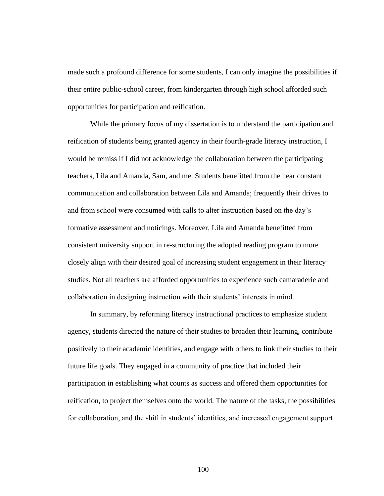made such a profound difference for some students, I can only imagine the possibilities if their entire public-school career, from kindergarten through high school afforded such opportunities for participation and reification.

While the primary focus of my dissertation is to understand the participation and reification of students being granted agency in their fourth-grade literacy instruction, I would be remiss if I did not acknowledge the collaboration between the participating teachers, Lila and Amanda, Sam, and me. Students benefitted from the near constant communication and collaboration between Lila and Amanda; frequently their drives to and from school were consumed with calls to alter instruction based on the day's formative assessment and noticings. Moreover, Lila and Amanda benefitted from consistent university support in re-structuring the adopted reading program to more closely align with their desired goal of increasing student engagement in their literacy studies. Not all teachers are afforded opportunities to experience such camaraderie and collaboration in designing instruction with their students' interests in mind.

In summary, by reforming literacy instructional practices to emphasize student agency, students directed the nature of their studies to broaden their learning, contribute positively to their academic identities, and engage with others to link their studies to their future life goals. They engaged in a community of practice that included their participation in establishing what counts as success and offered them opportunities for reification, to project themselves onto the world. The nature of the tasks, the possibilities for collaboration, and the shift in students' identities, and increased engagement support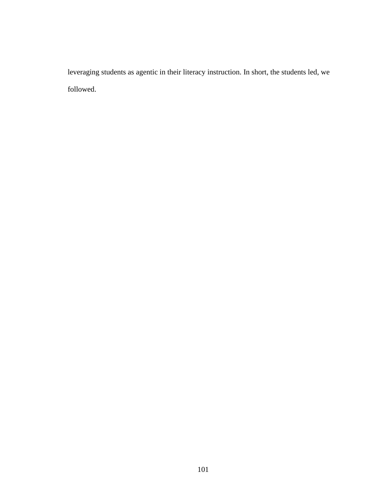leveraging students as agentic in their literacy instruction. In short, the students led, we followed.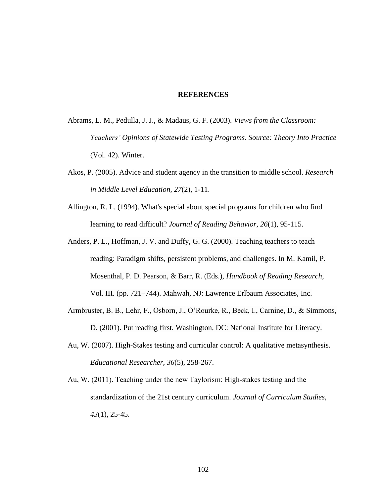## **REFERENCES**

- Abrams, L. M., Pedulla, J. J., & Madaus, G. F. (2003). *Views from the Classroom: Teachers' Opinions of Statewide Testing Programs*. *Source: Theory Into Practice* (Vol. 42). Winter.
- Akos, P. (2005). Advice and student agency in the transition to middle school. *Research in Middle Level Education, 27*(2), 1-11.
- Allington, R. L. (1994). What's special about special programs for children who find learning to read difficult? *Journal of Reading Behavior*, *26*(1), 95-115.
- Anders, P. L., Hoffman, J. V. and Duffy, G. G. (2000). Teaching teachers to teach reading: Paradigm shifts, persistent problems, and challenges. In M. Kamil, P. Mosenthal, P. D. Pearson, & Barr, R. (Eds.), *Handbook of Reading Research*, Vol. III. (pp. 721–744). Mahwah, NJ: Lawrence Erlbaum Associates, Inc.
- Armbruster, B. B., Lehr, F., Osborn, J., O'Rourke, R., Beck, I., Carnine, D., & Simmons, D. (2001). Put reading first. Washington, DC: National Institute for Literacy.
- Au, W. (2007). High-Stakes testing and curricular control: A qualitative metasynthesis. *Educational Researcher, 36*(5), 258-267.
- Au, W. (2011). Teaching under the new Taylorism: High‐stakes testing and the standardization of the 21st century curriculum. *Journal of Curriculum Studies, 43*(1), 25-45.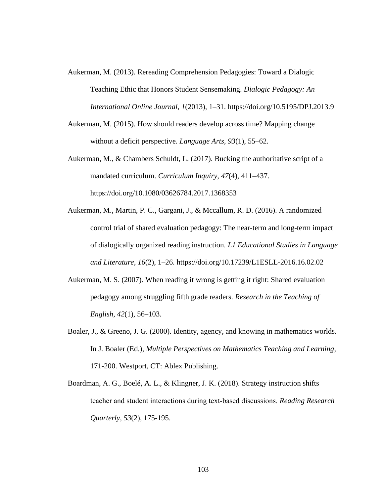- Aukerman, M. (2013). Rereading Comprehension Pedagogies: Toward a Dialogic Teaching Ethic that Honors Student Sensemaking. *Dialogic Pedagogy: An International Online Journal*, *1*(2013), 1–31. https://doi.org/10.5195/DPJ.2013.9
- Aukerman, M. (2015). How should readers develop across time? Mapping change without a deficit perspective. *Language Arts, 93*(1), 55–62.
- Aukerman, M., & Chambers Schuldt, L. (2017). Bucking the authoritative script of a mandated curriculum. *Curriculum Inquiry*, *47*(4), 411–437. https://doi.org/10.1080/03626784.2017.1368353
- Aukerman, M., Martin, P. C., Gargani, J., & Mccallum, R. D. (2016). A randomized control trial of shared evaluation pedagogy: The near-term and long-term impact of dialogically organized reading instruction. *L1 Educational Studies in Language and Literature*, *16*(2), 1–26. https://doi.org/10.17239/L1ESLL-2016.16.02.02
- Aukerman, M. S. (2007). When reading it wrong is getting it right: Shared evaluation pedagogy among struggling fifth grade readers. *Research in the Teaching of English*, *42*(1), 56–103.
- Boaler, J., & Greeno, J. G. (2000). Identity, agency, and knowing in mathematics worlds. In J. Boaler (Ed.), *Multiple Perspectives on Mathematics Teaching and Learning*, 171-200. Westport, CT: Ablex Publishing.
- Boardman, A. G., Boelé, A. L., & Klingner, J. K. (2018). Strategy instruction shifts teacher and student interactions during text‐based discussions. *Reading Research Quarterly, 53*(2), 175-195.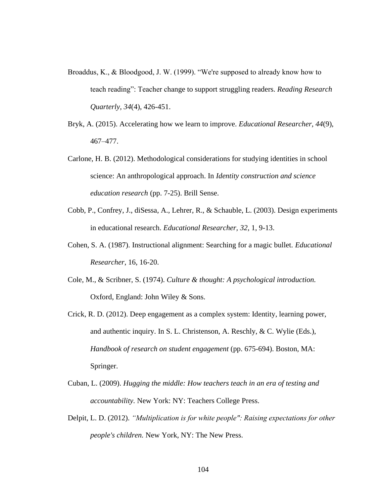- Broaddus, K., & Bloodgood, J. W. (1999). "We're supposed to already know how to teach reading": Teacher change to support struggling readers. *Reading Research Quarterly, 34*(4), 426-451.
- Bryk, A. (2015). Accelerating how we learn to improve. *Educational Researcher, 44*(9), 467–477.
- Carlone, H. B. (2012). Methodological considerations for studying identities in school science: An anthropological approach. In *Identity construction and science education research* (pp. 7-25). Brill Sense.
- Cobb, P., Confrey, J., diSessa, A., Lehrer, R., & Schauble, L. (2003). Design experiments in educational research. *Educational Researcher, 32,* 1, 9-13.
- Cohen, S. A. (1987). Instructional alignment: Searching for a magic bullet. *Educational Researcher*, 16, 16-20.
- Cole, M., & Scribner, S. (1974). *Culture & thought: A psychological introduction.* Oxford, England: John Wiley & Sons.
- Crick, R. D. (2012). Deep engagement as a complex system: Identity, learning power, and authentic inquiry. In S. L. Christenson, A. Reschly, & C. Wylie (Eds.), *Handbook of research on student engagement* (pp. 675-694). Boston, MA: Springer.
- Cuban, L. (2009). *Hugging the middle: How teachers teach in an era of testing and accountability.* New York: NY: Teachers College Press.
- Delpit, L. D. (2012). *"Multiplication is for white people": Raising expectations for other people's children.* New York, NY: The New Press.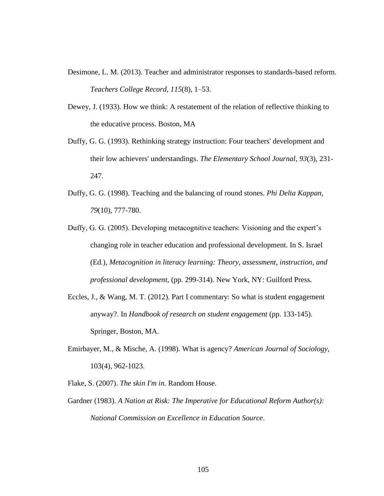- Desimone, L. M. (2013). Teacher and administrator responses to standards-based reform. *Teachers College Record*, *115*(8), 1–53.
- Dewey, J. (1933). How we think: A restatement of the relation of reflective thinking to the educative process. Boston, MA
- Duffy, G. G. (1993). Rethinking strategy instruction: Four teachers' development and their low achievers' understandings. *The Elementary School Journal, 93*(3), 231- 247.
- Duffy, G. G. (1998). Teaching and the balancing of round stones. *Phi Delta Kappan, 79*(10), 777-780.
- Duffy, G. G. (2005). Developing metacognitive teachers: Visioning and the expert's changing role in teacher education and professional development. In S. Israel (Ed.), *Metacognition in literacy learning: Theory, assessment, instruction, and professional development,* (pp. 299-314). New York, NY: Guilford Press.
- Eccles, J., & Wang, M. T. (2012). Part I commentary: So what is student engagement anyway?. In *Handbook of research on student engagement* (pp. 133-145). Springer, Boston, MA.
- Emirbayer, M., & Mische, A. (1998). What is agency? *American Journal of Sociology*, 103(4), 962-1023.
- Flake, S. (2007). *The skin I'm in.* Random House.
- Gardner (1983). *A Nation at Risk: The Imperative for Educational Reform Author(s): National Commission on Excellence in Education Source*.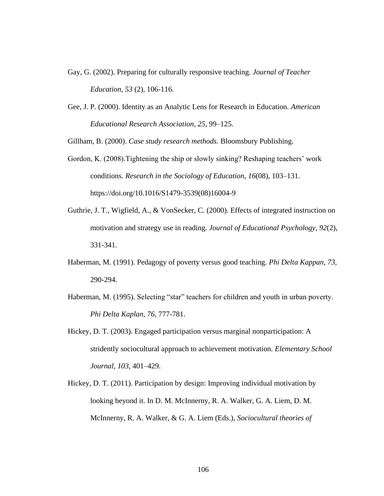- Gay, G. (2002). Preparing for culturally responsive teaching. *Journal of Teacher Education, 53* (2), 106-116.
- Gee, J. P. (2000). Identity as an Analytic Lens for Research in Education. *American Educational Research Association*, *25*, 99–125.

Gillham, B. (2000). *Case study research methods.* Bloomsbury Publishing.

- Gordon, K. (2008).Tightening the ship or slowly sinking? Reshaping teachers' work conditions. *Research in the Sociology of Education*, *16*(08), 103–131. https://doi.org/10.1016/S1479-3539(08)16004-9
- Guthrie, J. T., Wigfield, A., & VonSecker, C. (2000). Effects of integrated instruction on motivation and strategy use in reading. *Journal of Educational Psychology, 92*(2), 331-341.
- Haberman, M. (1991). Pedagogy of poverty versus good teaching. *Phi Delta Kappan, 73,* 290-294.
- Haberman, M. (1995). Selecting "star" teachers for children and youth in urban poverty. *Phi Delta Kaplan, 76*, 777-781.
- Hickey, D. T. (2003). Engaged participation versus marginal nonparticipation: A stridently sociocultural approach to achievement motivation. *Elementary School Journal, 103,* 401–429.
- Hickey, D. T. (2011). Participation by design: Improving individual motivation by looking beyond it. In D. M. McInnerny, R. A. Walker, G. A. Liem, D. M. McInnerny, R. A. Walker, & G. A. Liem (Eds.), *Sociocultural theories of*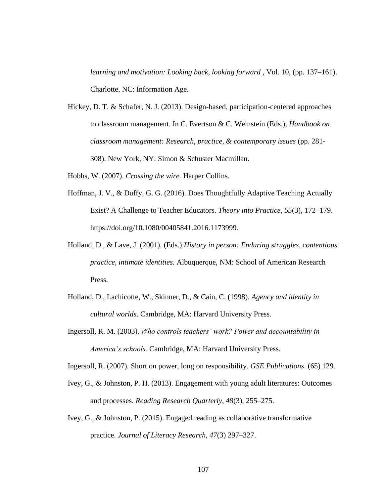*learning and motivation: Looking back, looking forward, Vol. 10, (pp. 137–161).* Charlotte, NC: Information Age.

- Hickey, D. T. & Schafer, N. J. (2013). Design-based, participation-centered approaches to classroom management. In C. Evertson & C. Weinstein (Eds.), *Handbook on classroom management: Research, practice, & contemporary issues* (pp. 281- 308). New York, NY: Simon & Schuster Macmillan.
- Hobbs, W. (2007). *Crossing the wire.* Harper Collins.
- Hoffman, J. V., & Duffy, G. G. (2016). Does Thoughtfully Adaptive Teaching Actually Exist? A Challenge to Teacher Educators. *Theory into Practice*, *55*(3), 172–179. https://doi.org/10.1080/00405841.2016.1173999.
- Holland, D., & Lave, J. (2001). (Eds.) *History in person: Enduring struggles, contentious practice, intimate identities.* Albuquerque, NM: School of American Research Press.
- Holland, D., Lachicotte, W., Skinner, D., & Cain, C. (1998). *Agency and identity in cultural worlds*. Cambridge, MA: Harvard University Press.
- Ingersoll, R. M. (2003). *Who controls teachers' work? Power and accountability in America's schools.* Cambridge, MA: Harvard University Press.

Ingersoll, R. (2007). Short on power, long on responsibility. *GSE Publications*. (65) 129.

- Ivey, G., & Johnston, P. H. (2013). Engagement with young adult literatures: Outcomes and processes. *Reading Research Quarterly, 48*(3), 255–275.
- Ivey, G., & Johnston, P. (2015). Engaged reading as collaborative transformative practice. *Journal of Literacy Research, 47*(3) 297–327.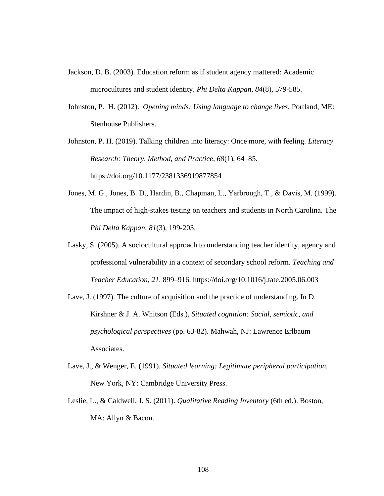- Jackson, D. B. (2003). Education reform as if student agency mattered: Academic microcultures and student identity. *Phi Delta Kappan, 84*(8), 579-585.
- Johnston, P. H. (2012). *Opening minds: Using language to change lives.* Portland, ME: Stenhouse Publishers.
- Johnston, P. H. (2019). Talking children into literacy: Once more, with feeling. *Literacy Research: Theory, Method, and Practice*, *68*(1), 64–85. https://doi.org/10.1177/2381336919877854
- Jones, M. G., Jones, B. D., Hardin, B., Chapman, L., Yarbrough, T., & Davis, M. (1999). The impact of high-stakes testing on teachers and students in North Carolina. The *Phi Delta Kappan, 81*(3), 199-203.
- Lasky, S. (2005). A sociocultural approach to understanding teacher identity, agency and professional vulnerability in a context of secondary school reform. *Teaching and Teacher Education*, *21*, 899–916. https://doi.org/10.1016/j.tate.2005.06.003
- Lave, J. (1997). The culture of acquisition and the practice of understanding. In D. Kirshner & J. A. Whitson (Eds.), *Situated cognition: Social, semiotic, and psychological perspectives* (pp. 63-82). Mahwah, NJ: Lawrence Erlbaum Associates.
- Lave, J., & Wenger, E. (1991). *Situated learning: Legitimate peripheral participation.* New York, NY: Cambridge University Press.
- Leslie, L., & Caldwell, J. S. (2011). *Qualitative Reading Inventory* (6th ed.). Boston, MA: Allyn & Bacon.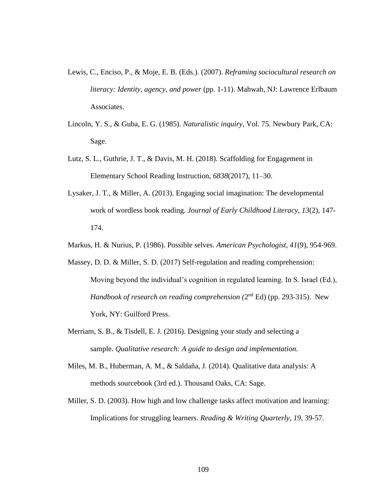- Lewis, C., Enciso, P., & Moje, E. B. (Eds.). (2007). *Reframing sociocultural research on literacy: Identity, agency, and power* (pp. 1-11). Mahwah, NJ: Lawrence Erlbaum Associates.
- Lincoln, Y. S., & Guba, E. G. (1985). *Naturalistic inquiry,* Vol. 75. Newbury Park, CA: Sage.
- Lutz, S. L., Guthrie, J. T., & Davis, M. H. (2018). Scaffolding for Engagement in Elementary School Reading Instruction, *6838*(2017), 11–30.
- Lysaker, J. T., & Miller, A. (2013). Engaging social imagination: The developmental work of wordless book reading. *Journal of Early Childhood Literacy*, *13*(2), 147- 174.
- Markus, H. & Nurius, P. (1986). Possible selves. *American Psychologist, 41*(9), 954-969.
- Massey, D. D. & Miller, S. D. (2017) Self-regulation and reading comprehension: Moving beyond the individual's cognition in regulated learning. In S. Israel (Ed.), Handbook of research on reading comprehension (2<sup>nd</sup> Ed) (pp. 293-315). New York, NY: Guilford Press.
- Merriam, S. B., & Tisdell, E. J. (2016). Designing your study and selecting a sample. *Qualitative research: A guide to design and implementation.*
- Miles, M. B., Huberman, A. M., & Saldaña, J. (2014). Qualitative data analysis: A methods sourcebook (3rd ed.). Thousand Oaks, CA: Sage.
- Miller, S. D. (2003). How high and low challenge tasks affect motivation and learning: Implications for struggling learners. *Reading & Writing Quarterly, 19,* 39-57.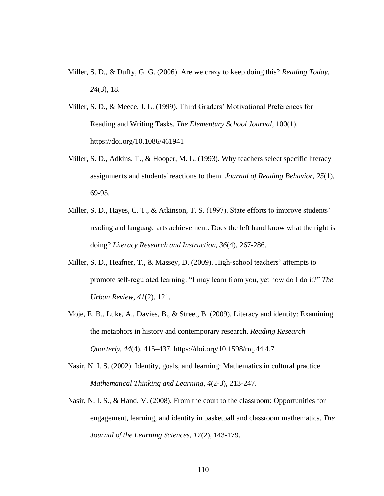- Miller, S. D., & Duffy, G. G. (2006). Are we crazy to keep doing this? *Reading Today, 24*(3), 18.
- Miller, S. D., & Meece, J. L. (1999). Third Graders' Motivational Preferences for Reading and Writing Tasks. *The Elementary School Journal*, 100(1). https://doi.org/10.1086/461941
- Miller, S. D., Adkins, T., & Hooper, M. L. (1993). Why teachers select specific literacy assignments and students' reactions to them. *Journal of Reading Behavior, 25*(1), 69-95.
- Miller, S. D., Hayes, C. T., & Atkinson, T. S. (1997). State efforts to improve students' reading and language arts achievement: Does the left hand know what the right is doing? *Literacy Research and Instruction, 36*(4), 267-286.
- Miller, S. D., Heafner, T., & Massey, D. (2009). High-school teachers' attempts to promote self-regulated learning: "I may learn from you, yet how do I do it?" *The Urban Review, 41*(2), 121.
- Moje, E. B., Luke, A., Davies, B., & Street, B. (2009). Literacy and identity: Examining the metaphors in history and contemporary research. *Reading Research Quarterly*, *44*(4), 415–437. https://doi.org/10.1598/rrq.44.4.7
- Nasir, N. I. S. (2002). Identity, goals, and learning: Mathematics in cultural practice. *Mathematical Thinking and Learning, 4*(2-3), 213-247.
- Nasir, N. I. S., & Hand, V. (2008). From the court to the classroom: Opportunities for engagement, learning, and identity in basketball and classroom mathematics. *The Journal of the Learning Sciences, 17*(2), 143-179.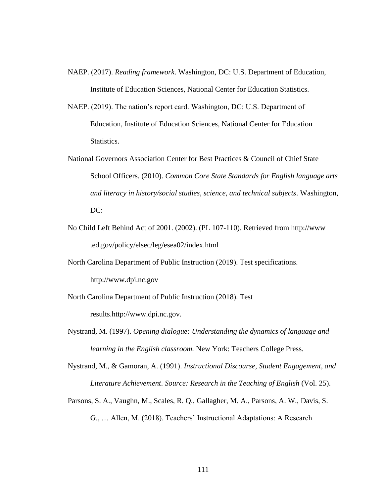- NAEP. (2017). *Reading framework*. Washington, DC: U.S. Department of Education, Institute of Education Sciences, National Center for Education Statistics.
- NAEP. (2019). The nation's report card. Washington, DC: U.S. Department of Education, Institute of Education Sciences, National Center for Education Statistics.
- National Governors Association Center for Best Practices & Council of Chief State School Officers. (2010). *Common Core State Standards for English language arts and literacy in history/social studies, science, and technical subjects*. Washington, DC:
- No Child Left Behind Act of 2001. (2002). (PL 107-110). Retrieved from http://www .ed.gov/policy/elsec/leg/esea02/index.html
- North Carolina Department of Public Instruction (2019). Test specifications.

http://www.dpi.nc.gov

- North Carolina Department of Public Instruction (2018). Test results.http://www.dpi.nc.gov.
- Nystrand, M. (1997). *Opening dialogue: Understanding the dynamics of language and learning in the English classroom.* New York: Teachers College Press.
- Nystrand, M., & Gamoran, A. (1991). *Instructional Discourse, Student Engagement, and Literature Achievement*. *Source: Research in the Teaching of English* (Vol. 25).
- Parsons, S. A., Vaughn, M., Scales, R. Q., Gallagher, M. A., Parsons, A. W., Davis, S. G., … Allen, M. (2018). Teachers' Instructional Adaptations: A Research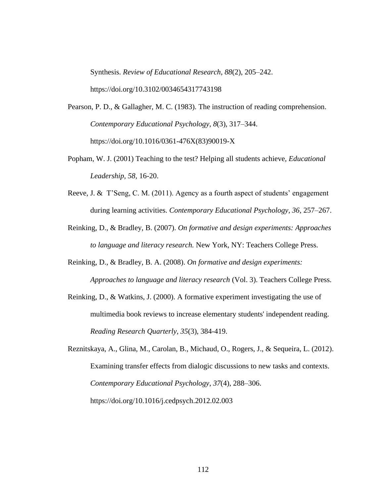Synthesis. *Review of Educational Research*, *88*(2), 205–242. https://doi.org/10.3102/0034654317743198

- Pearson, P. D., & Gallagher, M. C. (1983). The instruction of reading comprehension. *Contemporary Educational Psychology*, *8*(3), 317–344. https://doi.org/10.1016/0361-476X(83)90019-X
- Popham, W. J. (2001) Teaching to the test? Helping all students achieve, *Educational Leadership, 58,* 16-20.
- Reeve, J. & T'Seng, C. M. (2011). Agency as a fourth aspect of students' engagement during learning activities. *Contemporary Educational Psychology, 36,* 257–267.
- Reinking, D., & Bradley, B. (2007). *On formative and design experiments: Approaches to language and literacy research.* New York, NY: Teachers College Press.
- Reinking, D., & Bradley, B. A. (2008). *On formative and design experiments: Approaches to language and literacy research* (Vol. 3). Teachers College Press.
- Reinking, D., & Watkins, J. (2000). A formative experiment investigating the use of multimedia book reviews to increase elementary students' independent reading. *Reading Research Quarterly, 35*(3), 384-419.

Reznitskaya, A., Glina, M., Carolan, B., Michaud, O., Rogers, J., & Sequeira, L. (2012). Examining transfer effects from dialogic discussions to new tasks and contexts. *Contemporary Educational Psychology*, *37*(4), 288–306. https://doi.org/10.1016/j.cedpsych.2012.02.003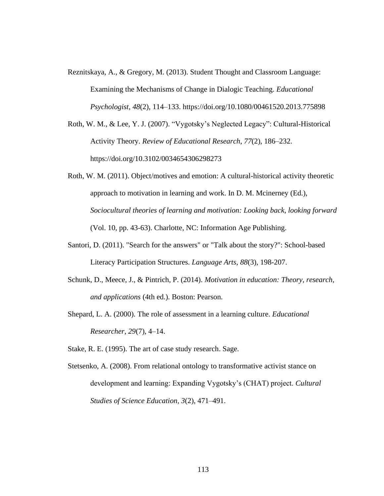- Reznitskaya, A., & Gregory, M. (2013). Student Thought and Classroom Language: Examining the Mechanisms of Change in Dialogic Teaching. *Educational Psychologist*, *48*(2), 114–133. https://doi.org/10.1080/00461520.2013.775898
- Roth, W. M., & Lee, Y. J. (2007). "Vygotsky's Neglected Legacy": Cultural-Historical Activity Theory. *Review of Educational Research*, *77*(2), 186–232. https://doi.org/10.3102/0034654306298273
- Roth, W. M. (2011). Object/motives and emotion: A cultural-historical activity theoretic approach to motivation in learning and work. In D. M. Mcinerney (Ed.), *Sociocultural theories of learning and motivation: Looking back, looking forward*  (Vol. 10, pp. 43-63). Charlotte, NC: Information Age Publishing.
- Santori, D. (2011). "Search for the answers" or "Talk about the story?": School-based Literacy Participation Structures. *Language Arts, 88*(3), 198-207.
- Schunk, D., Meece, J., & Pintrich, P. (2014). *Motivation in education: Theory, research, and applications* (4th ed.). Boston: Pearson.
- Shepard, L. A. (2000). The role of assessment in a learning culture. *Educational Researcher, 29*(7), 4–14.
- Stake, R. E. (1995). The art of case study research. Sage.
- Stetsenko, A. (2008). From relational ontology to transformative activist stance on development and learning: Expanding Vygotsky's (CHAT) project. *Cultural Studies of Science Education, 3*(2), 471–491.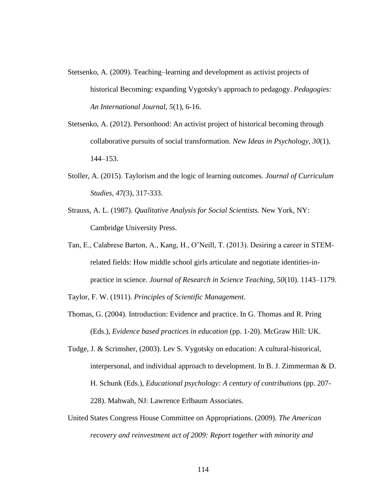- Stetsenko, A. (2009). Teaching–learning and development as activist projects of historical Becoming: expanding Vygotsky's approach to pedagogy. *Pedagogies: An International Journal, 5*(1), 6-16.
- Stetsenko, A. (2012). Personhood: An activist project of historical becoming through collaborative pursuits of social transformation. *New Ideas in Psychology, 30*(1), 144–153.
- Stoller, A. (2015). Taylorism and the logic of learning outcomes. *Journal of Curriculum Studies, 47(*3), 317-333.
- Strauss, A. L. (1987). *Qualitative Analysis for Social Scientists.* New York, NY: Cambridge University Press.
- Tan, E., Calabrese Barton, A., Kang, H., O'Neill, T. (2013). Desiring a career in STEMrelated fields: How middle school girls articulate and negotiate identities-inpractice in science. *Journal of Research in Science Teaching, 50*(10). 1143–1179.

Taylor, F. W. (1911). *Principles of Scientific Management*.

- Thomas, G. (2004). Introduction: Evidence and practice. In G. Thomas and R. Pring (Eds.), *Evidence based practices in education* (pp. 1-20). McGraw Hill: UK.
- Tudge, J. & Scrimsher, (2003). Lev S. Vygotsky on education: A cultural-historical, interpersonal, and individual approach to development. In B. J. Zimmerman & D. H. Schunk (Eds.), *Educational psychology: A century of contributions* (pp. 207- 228). Mahwah, NJ: Lawrence Erlbaum Associates.
- United States Congress House Committee on Appropriations. (2009). *The American recovery and reinvestment act of 2009: Report together with minority and*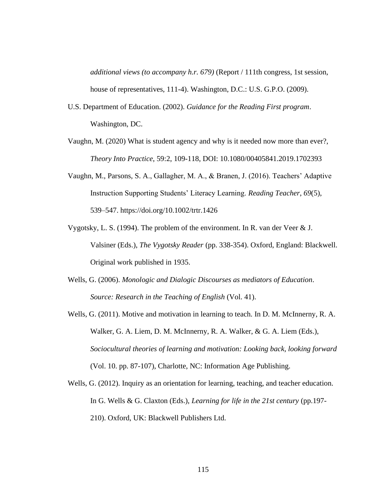*additional views (to accompany h.r. 679)* (Report / 111th congress, 1st session, house of representatives, 111-4). Washington, D.C.: U.S. G.P.O. (2009).

- U.S. Department of Education. (2002). *Guidance for the Reading First program*. Washington, DC.
- Vaughn, M. (2020) What is student agency and why is it needed now more than ever?, *Theory Into Practice*, 59:2, 109-118, DOI: 10.1080/00405841.2019.1702393
- Vaughn, M., Parsons, S. A., Gallagher, M. A., & Branen, J. (2016). Teachers' Adaptive Instruction Supporting Students' Literacy Learning. *Reading Teacher*, *69*(5), 539–547. https://doi.org/10.1002/trtr.1426
- Vygotsky, L. S. (1994). The problem of the environment. In R. van der Veer & J. Valsiner (Eds.), *The Vygotsky Reader* (pp. 338-354). Oxford, England: Blackwell. Original work published in 1935.
- Wells, G. (2006). *Monologic and Dialogic Discourses as mediators of Education*. *Source: Research in the Teaching of English* (Vol. 41).
- Wells, G. (2011). Motive and motivation in learning to teach. In D. M. McInnerny, R. A. Walker, G. A. Liem, D. M. McInnerny, R. A. Walker, & G. A. Liem (Eds.), *Sociocultural theories of learning and motivation: Looking back, looking forward*  (Vol. 10. pp. 87-107), Charlotte, NC: Information Age Publishing.
- Wells, G. (2012). Inquiry as an orientation for learning, teaching, and teacher education. In G. Wells & G. Claxton (Eds.), *Learning for life in the 21st century* (pp.197- 210). Oxford, UK: Blackwell Publishers Ltd.